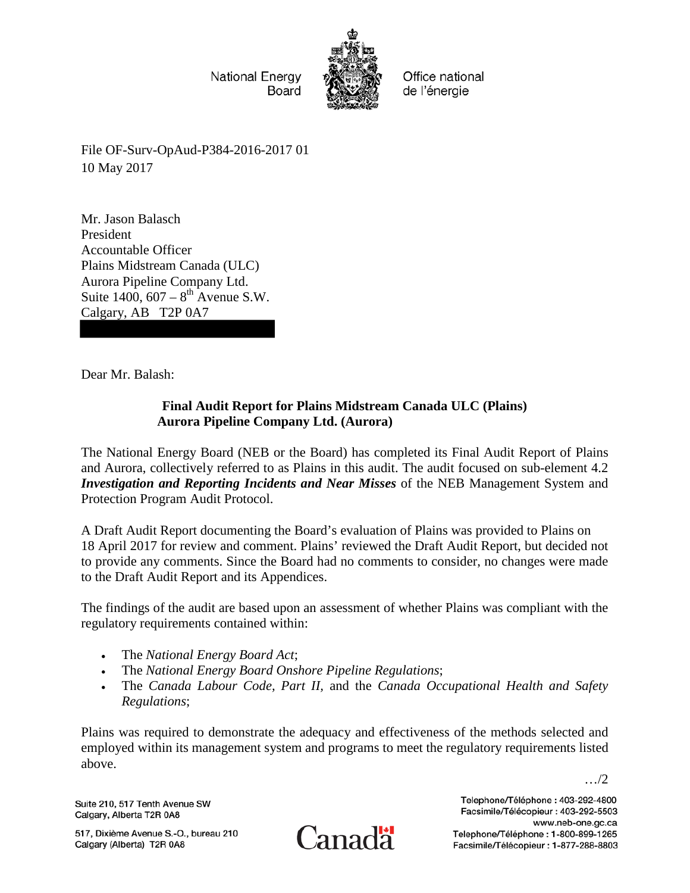

Office national de l'énergie

File OF-Surv-OpAud-P384-2016-2017 01 10 May 2017

Mr. Jason Balasch President Accountable Officer Plains Midstream Canada (ULC) Aurora Pipeline Company Ltd. Suite  $1400, 607 - 8$ <sup>th</sup> Avenue S.W. Calgary, AB T2P 0A7

Dear Mr. Balash:

# **Final Audit Report for Plains Midstream Canada ULC (Plains) Aurora Pipeline Company Ltd. (Aurora)**

The National Energy Board (NEB or the Board) has completed its Final Audit Report of Plains and Aurora, collectively referred to as Plains in this audit. The audit focused on sub-element 4.2 *Investigation and Reporting Incidents and Near Misses* of the NEB Management System and Protection Program Audit Protocol.

A Draft Audit Report documenting the Board's evaluation of Plains was provided to Plains on 18 April 2017 for review and comment. Plains' reviewed the Draft Audit Report, but decided not to provide any comments. Since the Board had no comments to consider, no changes were made to the Draft Audit Report and its Appendices.

The findings of the audit are based upon an assessment of whether Plains was compliant with the regulatory requirements contained within:

- The *National Energy Board Act*;
- The *National Energy Board Onshore Pipeline Regulations*;
- The *Canada Labour Code, Part II,* and the *Canada Occupational Health and Safety Regulations*;

Plains was required to demonstrate the adequacy and effectiveness of the methods selected and employed within its management system and programs to meet the regulatory requirements listed above.

Suite 210, 517 Tenth Avenue SW Calgary, Alberta T2R 0A8

517, Dixième Avenue S.-O., bureau 210 Calgary (Alberta) T2R 0A8



Telephone/Téléphone: 403-292-4800 Facsimile/Télécopieur: 403-292-5503 www.neb-one.gc.ca Telephone/Téléphone: 1-800-899-1265 Facsimile/Télécopieur: 1-877-288-8803

…/2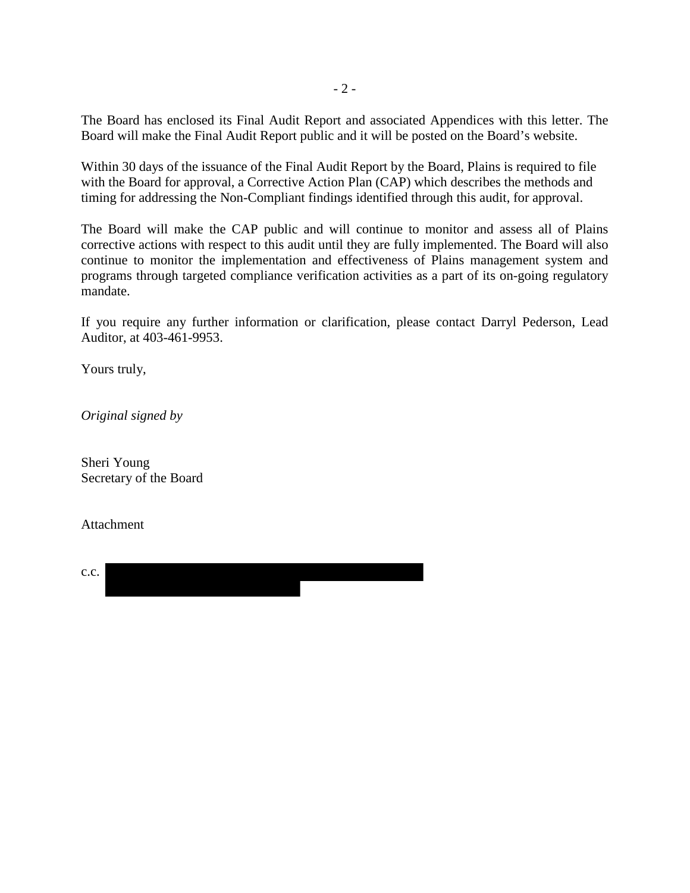The Board has enclosed its Final Audit Report and associated Appendices with this letter. The Board will make the Final Audit Report public and it will be posted on the Board's website.

Within 30 days of the issuance of the Final Audit Report by the Board, Plains is required to file with the Board for approval, a Corrective Action Plan (CAP) which describes the methods and timing for addressing the Non-Compliant findings identified through this audit, for approval.

The Board will make the CAP public and will continue to monitor and assess all of Plains corrective actions with respect to this audit until they are fully implemented. The Board will also continue to monitor the implementation and effectiveness of Plains management system and programs through targeted compliance verification activities as a part of its on-going regulatory mandate.

If you require any further information or clarification, please contact Darryl Pederson, Lead Auditor, at 403-461-9953.

Yours truly,

*Original signed by* 

Sheri Young Secretary of the Board

Attachment

| C.C. |  |
|------|--|
|      |  |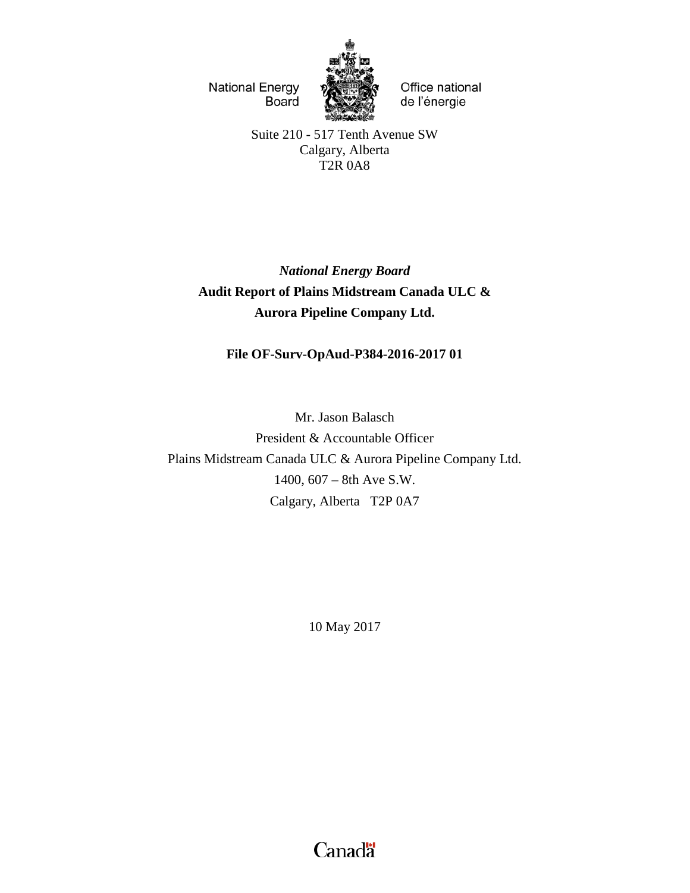

Office national de l'énergie

Suite 210 - 517 Tenth Avenue SW Calgary, Alberta T2R 0A8

*National Energy Board* **Audit Report of Plains Midstream Canada ULC & Aurora Pipeline Company Ltd.**

## **File OF-Surv-OpAud-P384-2016-2017 01**

Mr. Jason Balasch President & Accountable Officer Plains Midstream Canada ULC & Aurora Pipeline Company Ltd. 1400, 607 – 8th Ave S.W. Calgary, Alberta T2P 0A7

10 May 2017

Canadä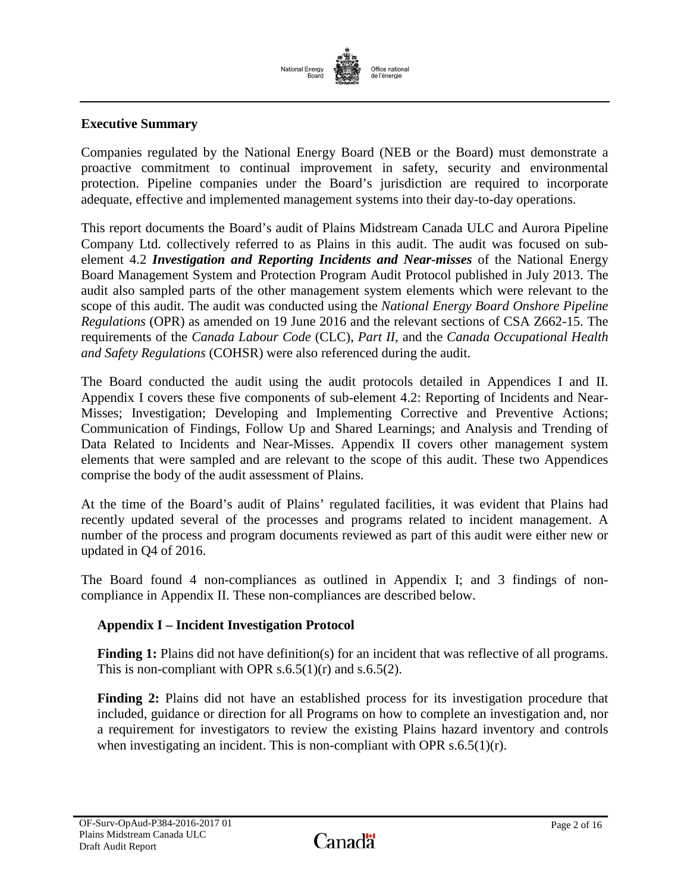

## **Executive Summary**

Companies regulated by the National Energy Board (NEB or the Board) must demonstrate a proactive commitment to continual improvement in safety, security and environmental protection. Pipeline companies under the Board's jurisdiction are required to incorporate adequate, effective and implemented management systems into their day-to-day operations.

This report documents the Board's audit of Plains Midstream Canada ULC and Aurora Pipeline Company Ltd. collectively referred to as Plains in this audit. The audit was focused on subelement 4.2 *Investigation and Reporting Incidents and Near-misses* of the National Energy Board Management System and Protection Program Audit Protocol published in July 2013. The audit also sampled parts of the other management system elements which were relevant to the scope of this audit. The audit was conducted using the *National Energy Board Onshore Pipeline Regulations* (OPR) as amended on 19 June 2016 and the relevant sections of CSA Z662-15. The requirements of the *Canada Labour Code* (CLC), *Part II*, and the *Canada Occupational Health and Safety Regulations* (COHSR) were also referenced during the audit.

The Board conducted the audit using the audit protocols detailed in Appendices I and II. Appendix I covers these five components of sub-element 4.2: Reporting of Incidents and Near-Misses; Investigation; Developing and Implementing Corrective and Preventive Actions; Communication of Findings, Follow Up and Shared Learnings; and Analysis and Trending of Data Related to Incidents and Near-Misses. Appendix II covers other management system elements that were sampled and are relevant to the scope of this audit. These two Appendices comprise the body of the audit assessment of Plains.

At the time of the Board's audit of Plains' regulated facilities, it was evident that Plains had recently updated several of the processes and programs related to incident management. A number of the process and program documents reviewed as part of this audit were either new or updated in Q4 of 2016.

The Board found 4 non-compliances as outlined in Appendix I; and 3 findings of noncompliance in Appendix II. These non-compliances are described below.

## **Appendix I – Incident Investigation Protocol**

Finding 1: Plains did not have definition(s) for an incident that was reflective of all programs. This is non-compliant with OPR  $s.6.5(1)(r)$  and  $s.6.5(2)$ .

**Finding 2:** Plains did not have an established process for its investigation procedure that included, guidance or direction for all Programs on how to complete an investigation and, nor a requirement for investigators to review the existing Plains hazard inventory and controls when investigating an incident. This is non-compliant with OPR s.6.5(1)(r).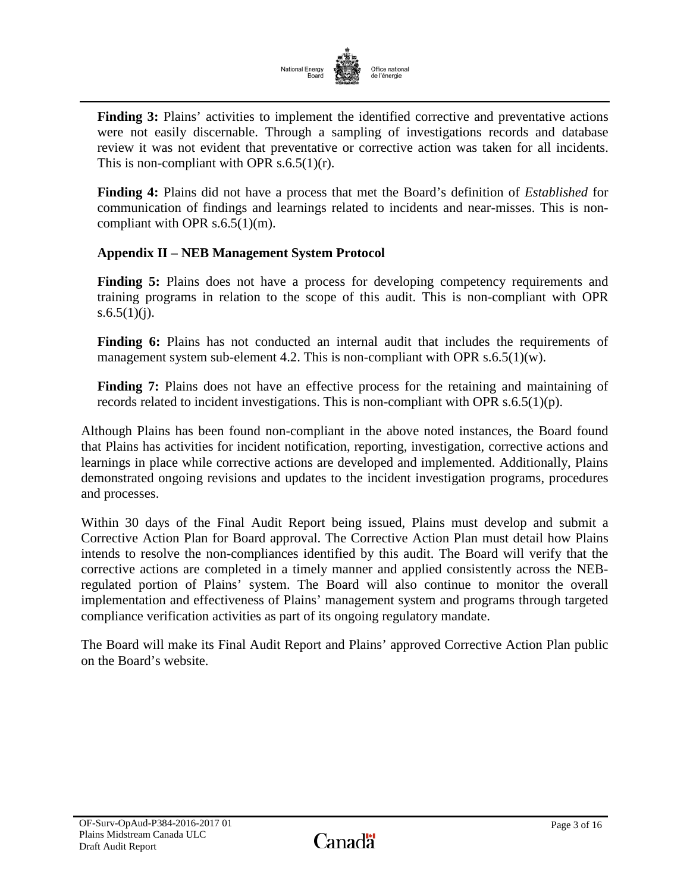

**Finding 3:** Plains' activities to implement the identified corrective and preventative actions were not easily discernable. Through a sampling of investigations records and database review it was not evident that preventative or corrective action was taken for all incidents. This is non-compliant with OPR  $s.6.5(1)(r)$ .

**Finding 4:** Plains did not have a process that met the Board's definition of *Established* for communication of findings and learnings related to incidents and near-misses. This is noncompliant with OPR s.6.5(1)(m).

## **Appendix II – NEB Management System Protocol**

**Finding 5:** Plains does not have a process for developing competency requirements and training programs in relation to the scope of this audit. This is non-compliant with OPR s.6.5(1)(j).

**Finding 6:** Plains has not conducted an internal audit that includes the requirements of management system sub-element 4.2. This is non-compliant with OPR s.6.5(1)(w).

**Finding 7:** Plains does not have an effective process for the retaining and maintaining of records related to incident investigations. This is non-compliant with OPR s.6.5(1)(p).

Although Plains has been found non-compliant in the above noted instances, the Board found that Plains has activities for incident notification, reporting, investigation, corrective actions and learnings in place while corrective actions are developed and implemented. Additionally, Plains demonstrated ongoing revisions and updates to the incident investigation programs, procedures and processes.

Within 30 days of the Final Audit Report being issued, Plains must develop and submit a Corrective Action Plan for Board approval. The Corrective Action Plan must detail how Plains intends to resolve the non-compliances identified by this audit. The Board will verify that the corrective actions are completed in a timely manner and applied consistently across the NEBregulated portion of Plains' system. The Board will also continue to monitor the overall implementation and effectiveness of Plains' management system and programs through targeted compliance verification activities as part of its ongoing regulatory mandate.

The Board will make its Final Audit Report and Plains' approved Corrective Action Plan public on the Board's website.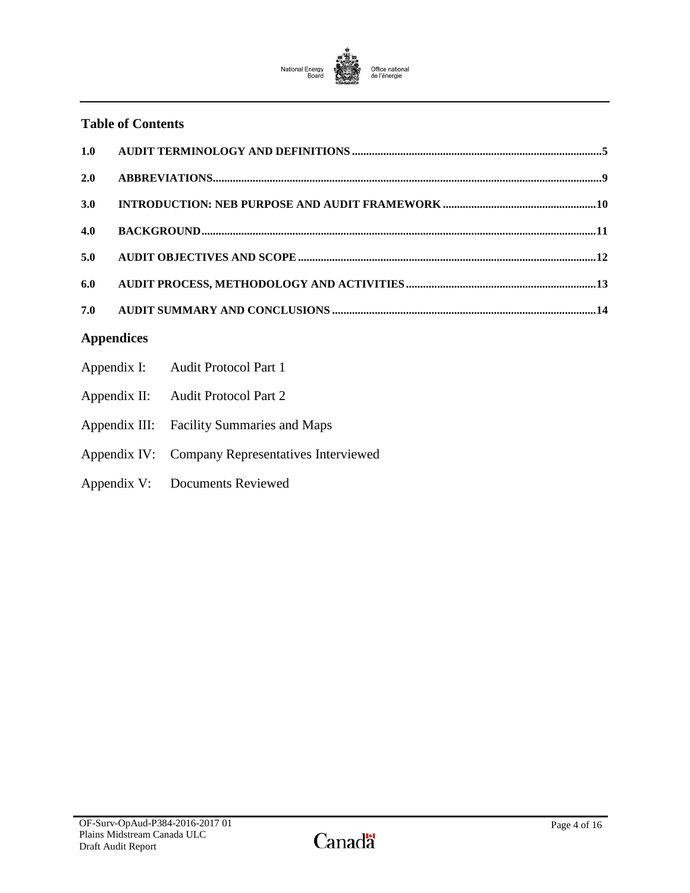

## **Table of Contents**

| 1.0               |  |                                           |  |
|-------------------|--|-------------------------------------------|--|
| 2.0               |  |                                           |  |
| 3.0               |  |                                           |  |
| 4.0               |  |                                           |  |
| 5.0               |  |                                           |  |
| 6.0               |  |                                           |  |
| 7.0               |  |                                           |  |
| <b>Appendices</b> |  |                                           |  |
|                   |  | Appendix I: Audit Protocol Part 1         |  |
|                   |  | Appendix II: Audit Protocol Part 2        |  |
|                   |  | Appendix III: Facility Summaries and Maps |  |

- Appendix IV: Company Representatives Interviewed
- Appendix V: Documents Reviewed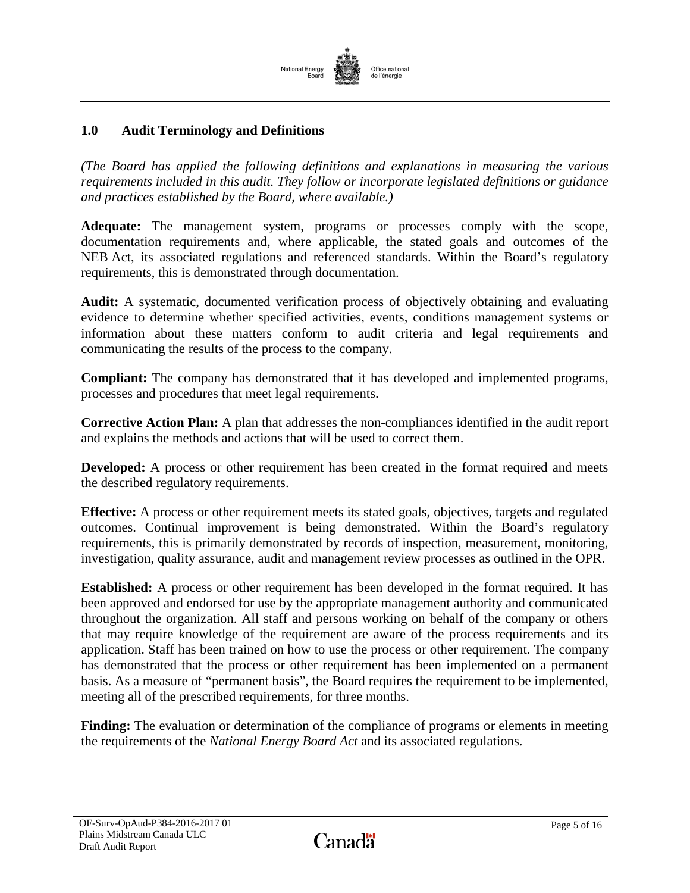

## <span id="page-6-0"></span>**1.0 Audit Terminology and Definitions**

*(The Board has applied the following definitions and explanations in measuring the various requirements included in this audit. They follow or incorporate legislated definitions or guidance and practices established by the Board, where available.)*

**Adequate:** The management system, programs or processes comply with the scope, documentation requirements and, where applicable, the stated goals and outcomes of the NEB Act, its associated regulations and referenced standards. Within the Board's regulatory requirements, this is demonstrated through documentation.

**Audit:** A systematic, documented verification process of objectively obtaining and evaluating evidence to determine whether specified activities, events, conditions management systems or information about these matters conform to audit criteria and legal requirements and communicating the results of the process to the company.

**Compliant:** The company has demonstrated that it has developed and implemented programs, processes and procedures that meet legal requirements.

**Corrective Action Plan:** A plan that addresses the non-compliances identified in the audit report and explains the methods and actions that will be used to correct them.

**Developed:** A process or other requirement has been created in the format required and meets the described regulatory requirements.

**Effective:** A process or other requirement meets its stated goals, objectives, targets and regulated outcomes. Continual improvement is being demonstrated. Within the Board's regulatory requirements, this is primarily demonstrated by records of inspection, measurement, monitoring, investigation, quality assurance, audit and management review processes as outlined in the OPR.

**Established:** A process or other requirement has been developed in the format required. It has been approved and endorsed for use by the appropriate management authority and communicated throughout the organization. All staff and persons working on behalf of the company or others that may require knowledge of the requirement are aware of the process requirements and its application. Staff has been trained on how to use the process or other requirement. The company has demonstrated that the process or other requirement has been implemented on a permanent basis. As a measure of "permanent basis", the Board requires the requirement to be implemented, meeting all of the prescribed requirements, for three months.

**Finding:** The evaluation or determination of the compliance of programs or elements in meeting the requirements of the *National Energy Board Act* and its associated regulations.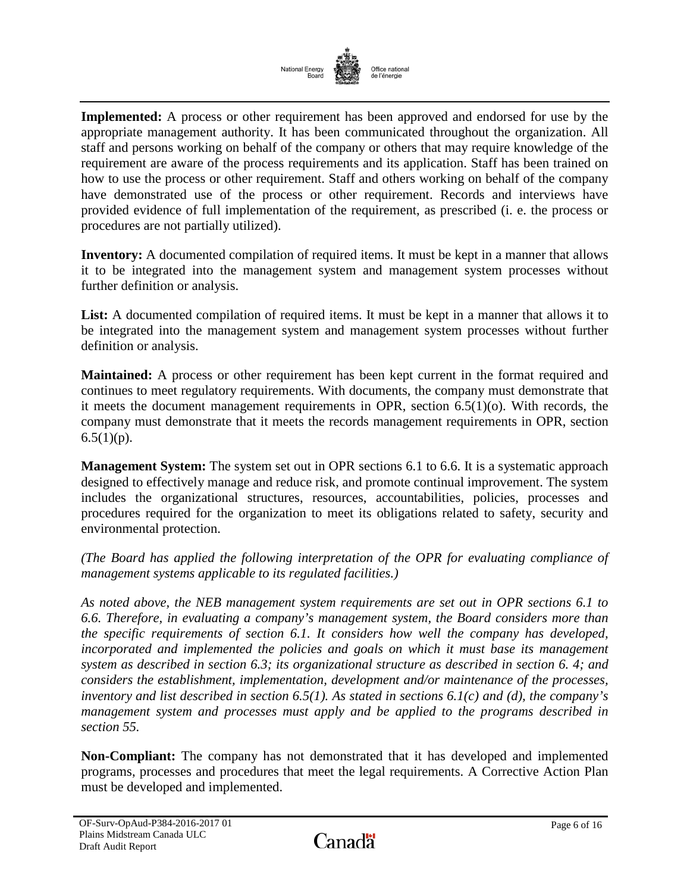

**Implemented:** A process or other requirement has been approved and endorsed for use by the appropriate management authority. It has been communicated throughout the organization. All staff and persons working on behalf of the company or others that may require knowledge of the requirement are aware of the process requirements and its application. Staff has been trained on how to use the process or other requirement. Staff and others working on behalf of the company have demonstrated use of the process or other requirement. Records and interviews have provided evidence of full implementation of the requirement, as prescribed (i. e. the process or procedures are not partially utilized).

**Inventory:** A documented compilation of required items. It must be kept in a manner that allows it to be integrated into the management system and management system processes without further definition or analysis.

List: A documented compilation of required items. It must be kept in a manner that allows it to be integrated into the management system and management system processes without further definition or analysis.

**Maintained:** A process or other requirement has been kept current in the format required and continues to meet regulatory requirements. With documents, the company must demonstrate that it meets the document management requirements in OPR, section 6.5(1)(o). With records, the company must demonstrate that it meets the records management requirements in OPR, section  $6.5(1)(p)$ .

**Management System:** The system set out in OPR sections 6.1 to 6.6. It is a systematic approach designed to effectively manage and reduce risk, and promote continual improvement. The system includes the organizational structures, resources, accountabilities, policies, processes and procedures required for the organization to meet its obligations related to safety, security and environmental protection.

*(The Board has applied the following interpretation of the OPR for evaluating compliance of management systems applicable to its regulated facilities.)*

*As noted above, the NEB management system requirements are set out in OPR sections 6.1 to 6.6. Therefore, in evaluating a company's management system, the Board considers more than the specific requirements of section 6.1. It considers how well the company has developed,*  incorporated and implemented the policies and goals on which it must base its management *system as described in section 6.3; its organizational structure as described in section 6. 4; and considers the establishment, implementation, development and/or maintenance of the processes, inventory and list described in section 6.5(1). As stated in sections 6.1(c) and (d), the company's management system and processes must apply and be applied to the programs described in section 55.*

**Non-Compliant:** The company has not demonstrated that it has developed and implemented programs, processes and procedures that meet the legal requirements. A Corrective Action Plan must be developed and implemented.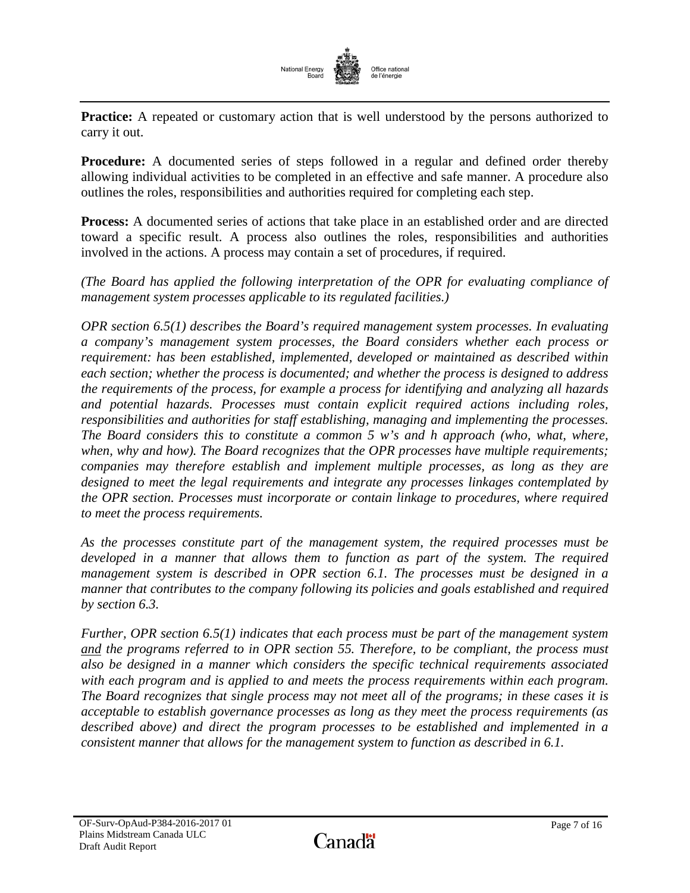

**Practice:** A repeated or customary action that is well understood by the persons authorized to carry it out.

**Procedure:** A documented series of steps followed in a regular and defined order thereby allowing individual activities to be completed in an effective and safe manner. A procedure also outlines the roles, responsibilities and authorities required for completing each step.

**Process:** A documented series of actions that take place in an established order and are directed toward a specific result. A process also outlines the roles, responsibilities and authorities involved in the actions. A process may contain a set of procedures, if required.

*(The Board has applied the following interpretation of the OPR for evaluating compliance of management system processes applicable to its regulated facilities.)*

*OPR section 6.5(1) describes the Board's required management system processes. In evaluating a company's management system processes, the Board considers whether each process or requirement: has been established, implemented, developed or maintained as described within each section; whether the process is documented; and whether the process is designed to address the requirements of the process, for example a process for identifying and analyzing all hazards and potential hazards. Processes must contain explicit required actions including roles, responsibilities and authorities for staff establishing, managing and implementing the processes. The Board considers this to constitute a common 5 w's and h approach (who, what, where, when, why and how). The Board recognizes that the OPR processes have multiple requirements; companies may therefore establish and implement multiple processes, as long as they are designed to meet the legal requirements and integrate any processes linkages contemplated by the OPR section. Processes must incorporate or contain linkage to procedures, where required to meet the process requirements.*

*As the processes constitute part of the management system, the required processes must be developed in a manner that allows them to function as part of the system. The required management system is described in OPR section 6.1. The processes must be designed in a manner that contributes to the company following its policies and goals established and required by section 6.3.*

*Further, OPR section 6.5(1) indicates that each process must be part of the management system and the programs referred to in OPR section 55. Therefore, to be compliant, the process must also be designed in a manner which considers the specific technical requirements associated with each program and is applied to and meets the process requirements within each program. The Board recognizes that single process may not meet all of the programs; in these cases it is acceptable to establish governance processes as long as they meet the process requirements (as described above) and direct the program processes to be established and implemented in a consistent manner that allows for the management system to function as described in 6.1.*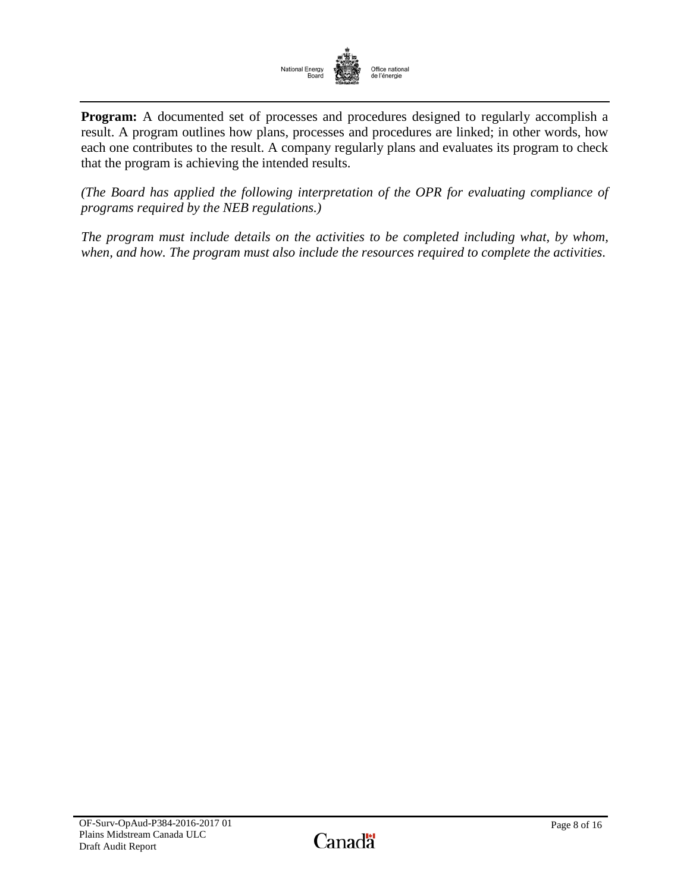

**Program:** A documented set of processes and procedures designed to regularly accomplish a result. A program outlines how plans, processes and procedures are linked; in other words, how each one contributes to the result. A company regularly plans and evaluates its program to check that the program is achieving the intended results.

*(The Board has applied the following interpretation of the OPR for evaluating compliance of programs required by the NEB regulations.)*

*The program must include details on the activities to be completed including what, by whom, when, and how. The program must also include the resources required to complete the activities*.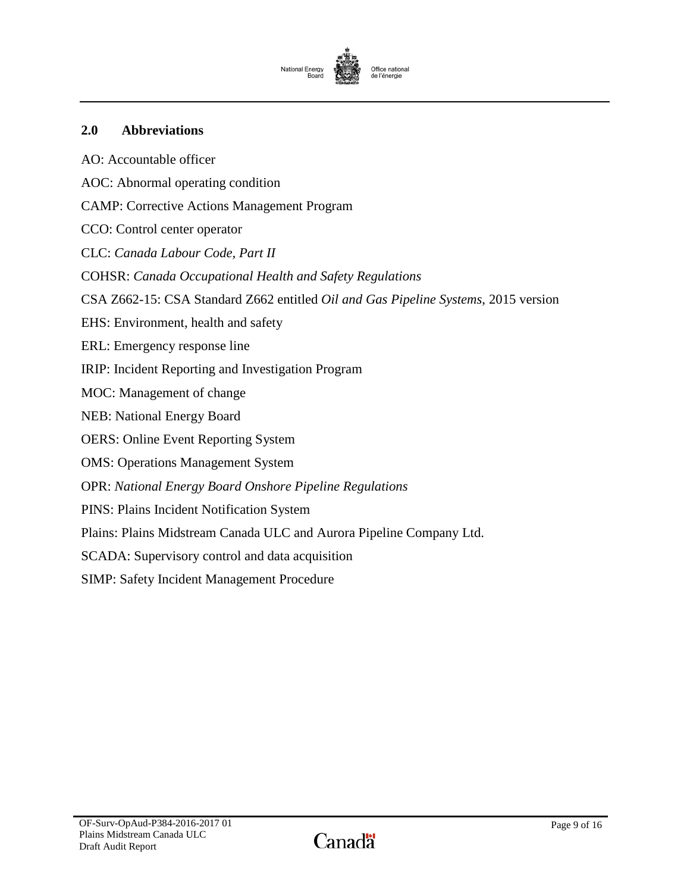

## <span id="page-10-0"></span>**2.0 Abbreviations**

AO: Accountable officer AOC: Abnormal operating condition CAMP: Corrective Actions Management Program CCO: Control center operator CLC: *Canada Labour Code, Part II* COHSR: *Canada Occupational Health and Safety Regulations* CSA Z662-15: CSA Standard Z662 entitled *Oil and Gas Pipeline Systems*, 2015 version EHS: Environment, health and safety ERL: Emergency response line IRIP: Incident Reporting and Investigation Program MOC: Management of change NEB: National Energy Board OERS: Online Event Reporting System OMS: Operations Management System OPR: *National Energy Board Onshore Pipeline Regulations* PINS: Plains Incident Notification System Plains: Plains Midstream Canada ULC and Aurora Pipeline Company Ltd. SCADA: Supervisory control and data acquisition SIMP: Safety Incident Management Procedure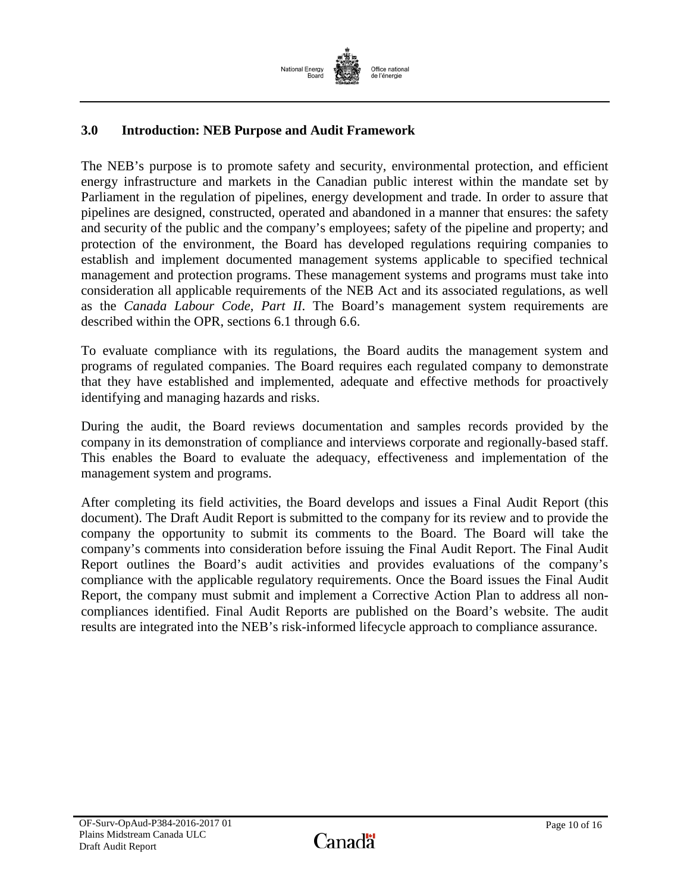

# <span id="page-11-0"></span>**3.0 Introduction: NEB Purpose and Audit Framework**

The NEB's purpose is to promote safety and security, environmental protection, and efficient energy infrastructure and markets in the Canadian public interest within the mandate set by Parliament in the regulation of pipelines, energy development and trade. In order to assure that pipelines are designed, constructed, operated and abandoned in a manner that ensures: the safety and security of the public and the company's employees; safety of the pipeline and property; and protection of the environment, the Board has developed regulations requiring companies to establish and implement documented management systems applicable to specified technical management and protection programs. These management systems and programs must take into consideration all applicable requirements of the NEB Act and its associated regulations, as well as the *Canada Labour Code, Part II*. The Board's management system requirements are described within the OPR, sections 6.1 through 6.6.

To evaluate compliance with its regulations, the Board audits the management system and programs of regulated companies. The Board requires each regulated company to demonstrate that they have established and implemented, adequate and effective methods for proactively identifying and managing hazards and risks.

During the audit, the Board reviews documentation and samples records provided by the company in its demonstration of compliance and interviews corporate and regionally-based staff. This enables the Board to evaluate the adequacy, effectiveness and implementation of the management system and programs.

<span id="page-11-1"></span>After completing its field activities, the Board develops and issues a Final Audit Report (this document). The Draft Audit Report is submitted to the company for its review and to provide the company the opportunity to submit its comments to the Board. The Board will take the company's comments into consideration before issuing the Final Audit Report. The Final Audit Report outlines the Board's audit activities and provides evaluations of the company's compliance with the applicable regulatory requirements. Once the Board issues the Final Audit Report, the company must submit and implement a Corrective Action Plan to address all noncompliances identified. Final Audit Reports are published on the Board's website. The audit results are integrated into the NEB's risk-informed lifecycle approach to compliance assurance.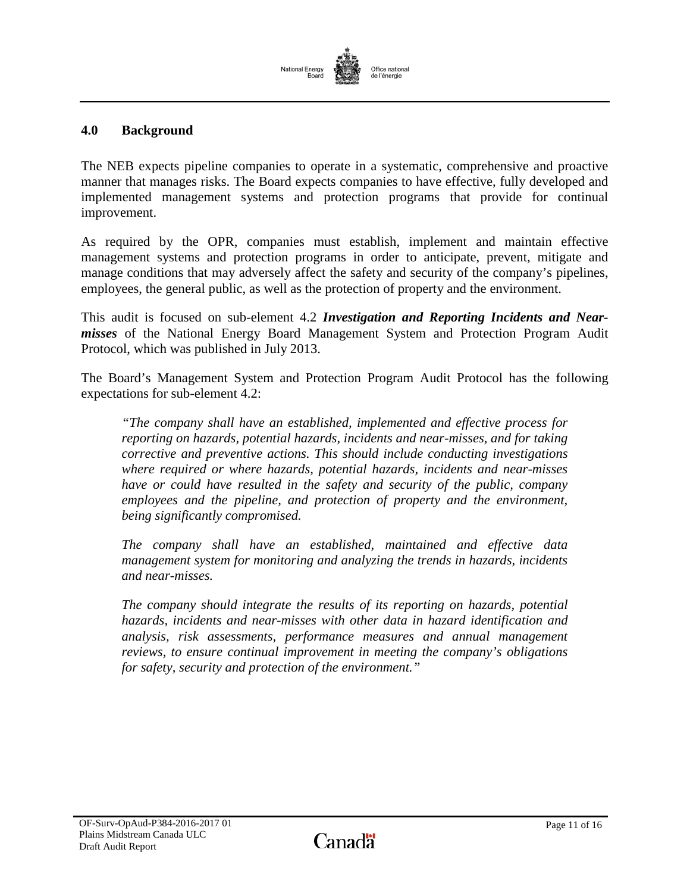## **4.0 Background**

The NEB expects pipeline companies to operate in a systematic, comprehensive and proactive manner that manages risks. The Board expects companies to have effective, fully developed and implemented management systems and protection programs that provide for continual improvement.

As required by the OPR, companies must establish, implement and maintain effective management systems and protection programs in order to anticipate, prevent, mitigate and manage conditions that may adversely affect the safety and security of the company's pipelines, employees, the general public, as well as the protection of property and the environment.

This audit is focused on sub-element 4.2 *Investigation and Reporting Incidents and Nearmisses* of the National Energy Board Management System and Protection Program Audit Protocol, which was published in July 2013.

The Board's Management System and Protection Program Audit Protocol has the following expectations for sub-element 4.2:

*"The company shall have an established, implemented and effective process for reporting on hazards, potential hazards, incidents and near-misses, and for taking corrective and preventive actions. This should include conducting investigations where required or where hazards, potential hazards, incidents and near-misses have or could have resulted in the safety and security of the public, company employees and the pipeline, and protection of property and the environment, being significantly compromised.* 

*The company shall have an established, maintained and effective data management system for monitoring and analyzing the trends in hazards, incidents and near-misses.* 

*The company should integrate the results of its reporting on hazards, potential hazards, incidents and near-misses with other data in hazard identification and analysis, risk assessments, performance measures and annual management reviews, to ensure continual improvement in meeting the company's obligations for safety, security and protection of the environment."*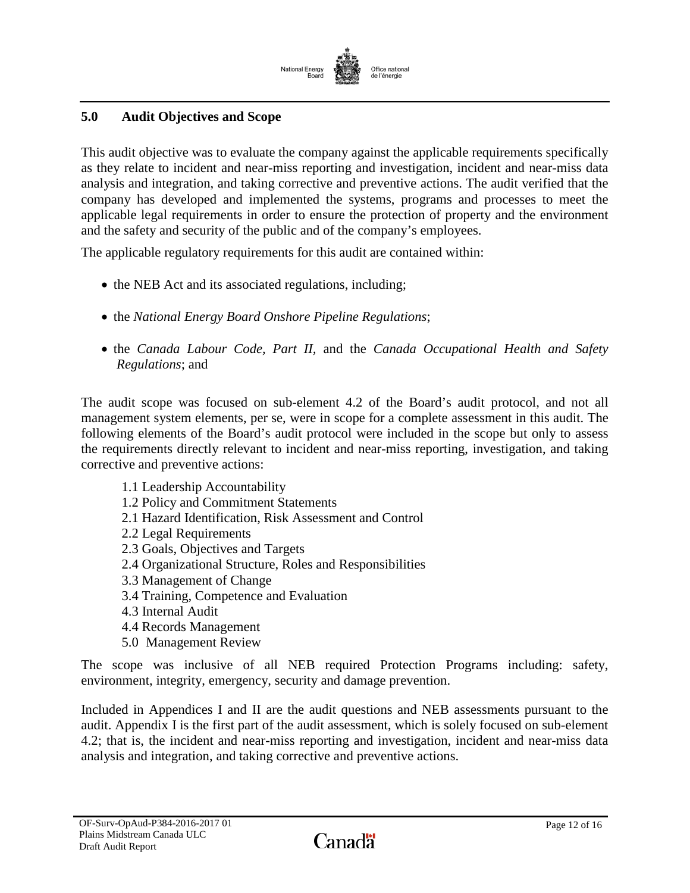

# <span id="page-13-0"></span>**5.0 Audit Objectives and Scope**

This audit objective was to evaluate the company against the applicable requirements specifically as they relate to incident and near-miss reporting and investigation, incident and near-miss data analysis and integration, and taking corrective and preventive actions. The audit verified that the company has developed and implemented the systems, programs and processes to meet the applicable legal requirements in order to ensure the protection of property and the environment and the safety and security of the public and of the company's employees.

The applicable regulatory requirements for this audit are contained within:

- the NEB Act and its associated regulations, including;
- the *National Energy Board Onshore Pipeline Regulations*;
- the *Canada Labour Code, Part II,* and the *Canada Occupational Health and Safety Regulations*; and

The audit scope was focused on sub-element 4.2 of the Board's audit protocol, and not all management system elements, per se, were in scope for a complete assessment in this audit. The following elements of the Board's audit protocol were included in the scope but only to assess the requirements directly relevant to incident and near-miss reporting, investigation, and taking corrective and preventive actions:

1.1 Leadership Accountability 1.2 Policy and Commitment Statements 2.1 Hazard Identification, Risk Assessment and Control 2.2 Legal Requirements 2.3 Goals, Objectives and Targets 2.4 Organizational Structure, Roles and Responsibilities 3.3 Management of Change 3.4 Training, Competence and Evaluation 4.3 Internal Audit 4.4 Records Management 5.0 Management Review

The scope was inclusive of all NEB required Protection Programs including: safety, environment, integrity, emergency, security and damage prevention.

Included in Appendices I and II are the audit questions and NEB assessments pursuant to the audit. Appendix I is the first part of the audit assessment, which is solely focused on sub-element 4.2; that is, the incident and near-miss reporting and investigation, incident and near-miss data analysis and integration, and taking corrective and preventive actions.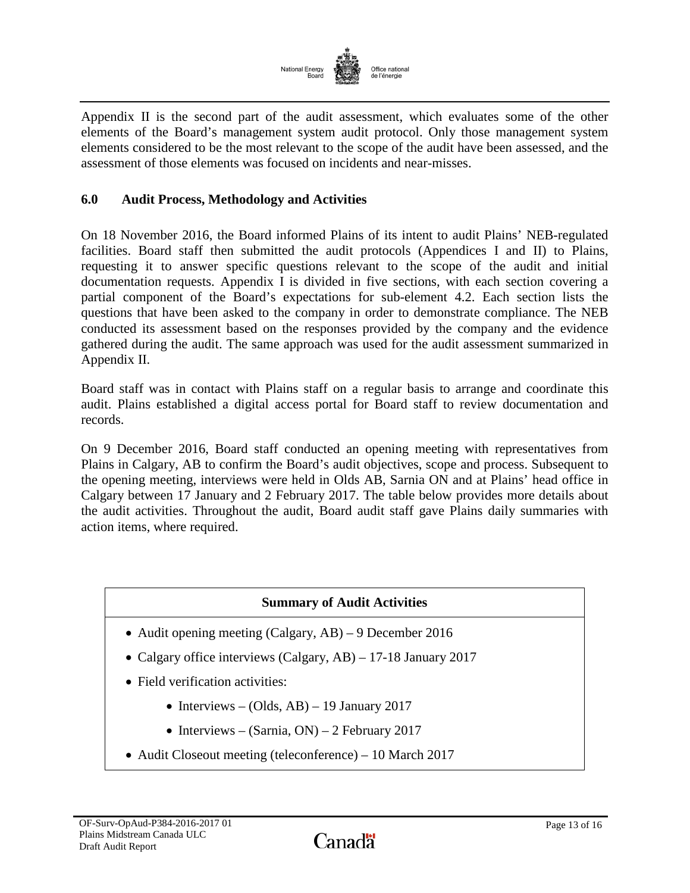

Appendix II is the second part of the audit assessment, which evaluates some of the other elements of the Board's management system audit protocol. Only those management system elements considered to be the most relevant to the scope of the audit have been assessed, and the assessment of those elements was focused on incidents and near-misses.

## <span id="page-14-0"></span>**6.0 Audit Process, Methodology and Activities**

On 18 November 2016, the Board informed Plains of its intent to audit Plains' NEB-regulated facilities. Board staff then submitted the audit protocols (Appendices I and II) to Plains, requesting it to answer specific questions relevant to the scope of the audit and initial documentation requests. Appendix I is divided in five sections, with each section covering a partial component of the Board's expectations for sub-element 4.2. Each section lists the questions that have been asked to the company in order to demonstrate compliance. The NEB conducted its assessment based on the responses provided by the company and the evidence gathered during the audit. The same approach was used for the audit assessment summarized in Appendix II.

Board staff was in contact with Plains staff on a regular basis to arrange and coordinate this audit. Plains established a digital access portal for Board staff to review documentation and records.

On 9 December 2016, Board staff conducted an opening meeting with representatives from Plains in Calgary, AB to confirm the Board's audit objectives, scope and process. Subsequent to the opening meeting, interviews were held in Olds AB, Sarnia ON and at Plains' head office in Calgary between 17 January and 2 February 2017. The table below provides more details about the audit activities. Throughout the audit, Board audit staff gave Plains daily summaries with action items, where required.

## **Summary of Audit Activities**

- Audit opening meeting (Calgary, AB) 9 December 2016
- Calgary office interviews (Calgary, AB) 17-18 January 2017
- Field verification activities:
	- Interviews (Olds, AB) 19 January 2017
	- Interviews (Sarnia, ON) 2 February 2017
- Audit Closeout meeting (teleconference) 10 March 2017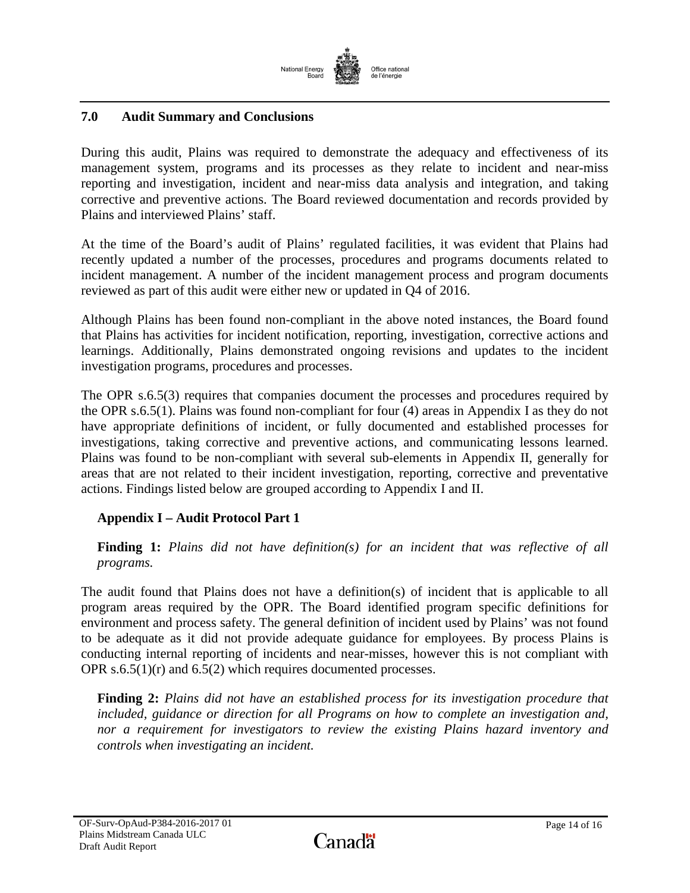

# <span id="page-15-0"></span>**7.0 Audit Summary and Conclusions**

During this audit, Plains was required to demonstrate the adequacy and effectiveness of its management system, programs and its processes as they relate to incident and near-miss reporting and investigation, incident and near-miss data analysis and integration, and taking corrective and preventive actions. The Board reviewed documentation and records provided by Plains and interviewed Plains' staff.

At the time of the Board's audit of Plains' regulated facilities, it was evident that Plains had recently updated a number of the processes, procedures and programs documents related to incident management. A number of the incident management process and program documents reviewed as part of this audit were either new or updated in Q4 of 2016.

Although Plains has been found non-compliant in the above noted instances, the Board found that Plains has activities for incident notification, reporting, investigation, corrective actions and learnings. Additionally, Plains demonstrated ongoing revisions and updates to the incident investigation programs, procedures and processes.

The OPR s.6.5(3) requires that companies document the processes and procedures required by the OPR s.6.5(1). Plains was found non-compliant for four (4) areas in Appendix I as they do not have appropriate definitions of incident, or fully documented and established processes for investigations, taking corrective and preventive actions, and communicating lessons learned. Plains was found to be non-compliant with several sub-elements in Appendix II, generally for areas that are not related to their incident investigation, reporting, corrective and preventative actions. Findings listed below are grouped according to Appendix I and II.

## **Appendix I – Audit Protocol Part 1**

**Finding 1:** *Plains did not have definition(s) for an incident that was reflective of all programs.*

The audit found that Plains does not have a definition(s) of incident that is applicable to all program areas required by the OPR. The Board identified program specific definitions for environment and process safety. The general definition of incident used by Plains' was not found to be adequate as it did not provide adequate guidance for employees. By process Plains is conducting internal reporting of incidents and near-misses, however this is not compliant with OPR s.6.5(1)(r) and 6.5(2) which requires documented processes.

**Finding 2:** *Plains did not have an established process for its investigation procedure that included, guidance or direction for all Programs on how to complete an investigation and, nor a requirement for investigators to review the existing Plains hazard inventory and controls when investigating an incident.*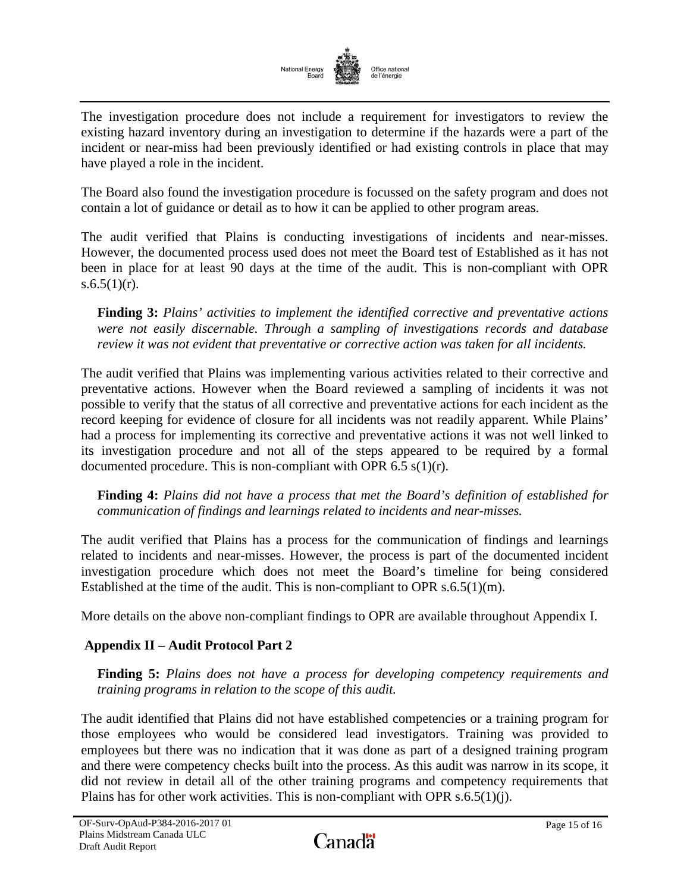

The investigation procedure does not include a requirement for investigators to review the existing hazard inventory during an investigation to determine if the hazards were a part of the incident or near-miss had been previously identified or had existing controls in place that may have played a role in the incident.

The Board also found the investigation procedure is focussed on the safety program and does not contain a lot of guidance or detail as to how it can be applied to other program areas.

The audit verified that Plains is conducting investigations of incidents and near-misses. However, the documented process used does not meet the Board test of Established as it has not been in place for at least 90 days at the time of the audit. This is non-compliant with OPR s.6.5 $(1)(r)$ .

**Finding 3:** *Plains' activities to implement the identified corrective and preventative actions were not easily discernable. Through a sampling of investigations records and database review it was not evident that preventative or corrective action was taken for all incidents.*

The audit verified that Plains was implementing various activities related to their corrective and preventative actions. However when the Board reviewed a sampling of incidents it was not possible to verify that the status of all corrective and preventative actions for each incident as the record keeping for evidence of closure for all incidents was not readily apparent. While Plains' had a process for implementing its corrective and preventative actions it was not well linked to its investigation procedure and not all of the steps appeared to be required by a formal documented procedure. This is non-compliant with OPR  $6.5 \text{ s}(1)(r)$ .

**Finding 4:** *Plains did not have a process that met the Board's definition of established for communication of findings and learnings related to incidents and near-misses.* 

The audit verified that Plains has a process for the communication of findings and learnings related to incidents and near-misses. However, the process is part of the documented incident investigation procedure which does not meet the Board's timeline for being considered Established at the time of the audit. This is non-compliant to OPR  $s.6.5(1)(m)$ .

More details on the above non-compliant findings to OPR are available throughout Appendix I.

## **Appendix II – Audit Protocol Part 2**

**Finding 5:** *Plains does not have a process for developing competency requirements and training programs in relation to the scope of this audit.* 

The audit identified that Plains did not have established competencies or a training program for those employees who would be considered lead investigators. Training was provided to employees but there was no indication that it was done as part of a designed training program and there were competency checks built into the process. As this audit was narrow in its scope, it did not review in detail all of the other training programs and competency requirements that Plains has for other work activities. This is non-compliant with OPR  $s.6.5(1)(j)$ .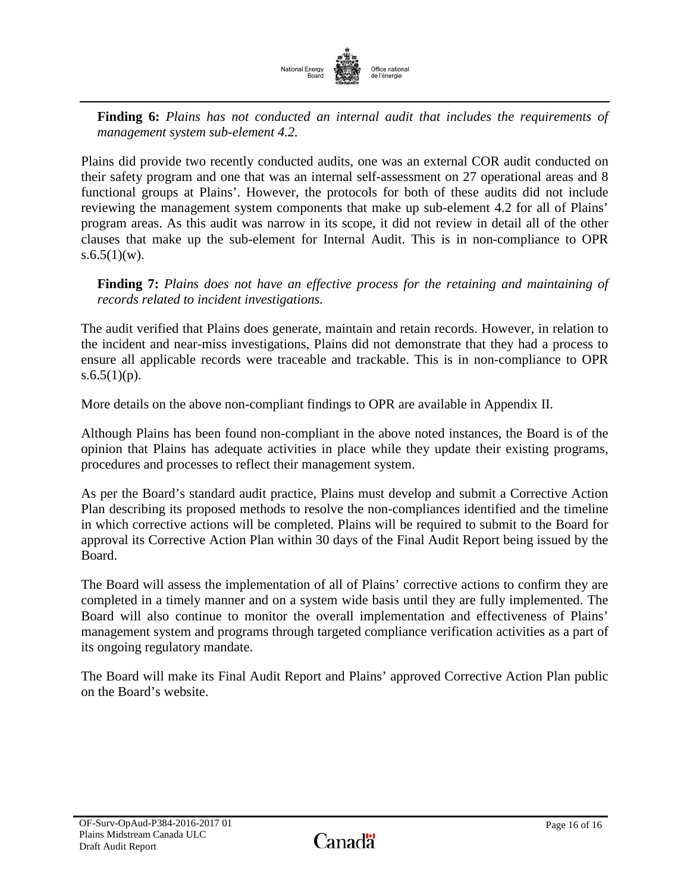

**Finding 6:** *Plains has not conducted an internal audit that includes the requirements of management system sub-element 4.2.* 

Plains did provide two recently conducted audits, one was an external COR audit conducted on their safety program and one that was an internal self-assessment on 27 operational areas and 8 functional groups at Plains'. However, the protocols for both of these audits did not include reviewing the management system components that make up sub-element 4.2 for all of Plains' program areas. As this audit was narrow in its scope, it did not review in detail all of the other clauses that make up the sub-element for Internal Audit. This is in non-compliance to OPR  $s.6.5(1)(w)$ .

**Finding 7:** *Plains does not have an effective process for the retaining and maintaining of records related to incident investigations.* 

The audit verified that Plains does generate, maintain and retain records. However, in relation to the incident and near-miss investigations, Plains did not demonstrate that they had a process to ensure all applicable records were traceable and trackable. This is in non-compliance to OPR s.6.5(1)(p).

More details on the above non-compliant findings to OPR are available in Appendix II.

Although Plains has been found non-compliant in the above noted instances, the Board is of the opinion that Plains has adequate activities in place while they update their existing programs, procedures and processes to reflect their management system.

As per the Board's standard audit practice, Plains must develop and submit a Corrective Action Plan describing its proposed methods to resolve the non-compliances identified and the timeline in which corrective actions will be completed. Plains will be required to submit to the Board for approval its Corrective Action Plan within 30 days of the Final Audit Report being issued by the Board.

The Board will assess the implementation of all of Plains' corrective actions to confirm they are completed in a timely manner and on a system wide basis until they are fully implemented. The Board will also continue to monitor the overall implementation and effectiveness of Plains' management system and programs through targeted compliance verification activities as a part of its ongoing regulatory mandate.

The Board will make its Final Audit Report and Plains' approved Corrective Action Plan public on the Board's website.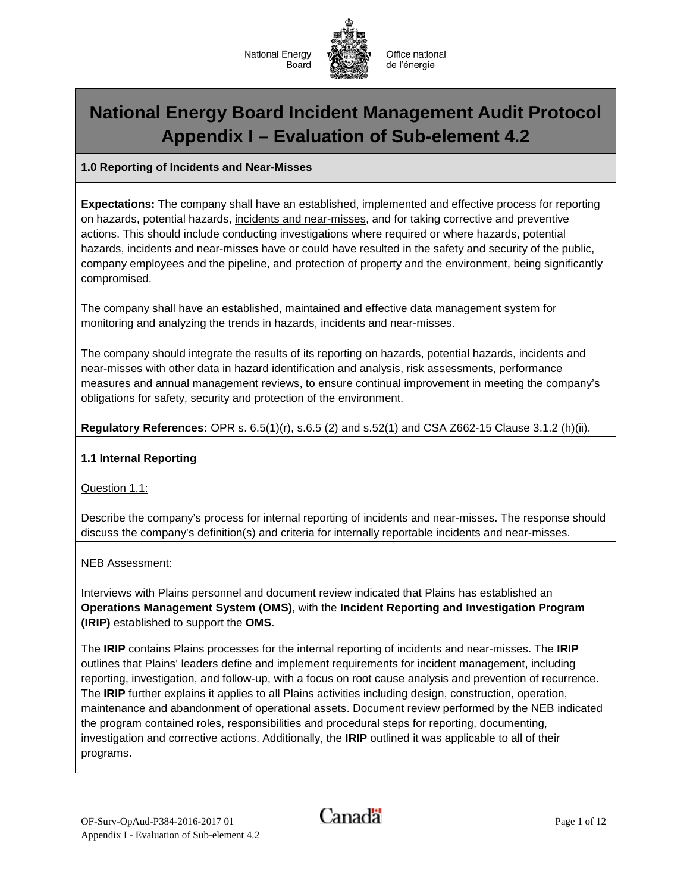



# **National Energy Board Incident Management Audit Protocol Appendix I – Evaluation of Sub-element 4.2**

## **1.0 Reporting of Incidents and Near-Misses**

**Expectations:** The company shall have an established, implemented and effective process for reporting on hazards, potential hazards, incidents and near-misses, and for taking corrective and preventive actions. This should include conducting investigations where required or where hazards, potential hazards, incidents and near-misses have or could have resulted in the safety and security of the public, company employees and the pipeline, and protection of property and the environment, being significantly compromised.

The company shall have an established, maintained and effective data management system for monitoring and analyzing the trends in hazards, incidents and near-misses.

The company should integrate the results of its reporting on hazards, potential hazards, incidents and near-misses with other data in hazard identification and analysis, risk assessments, performance measures and annual management reviews, to ensure continual improvement in meeting the company's obligations for safety, security and protection of the environment.

**Regulatory References:** OPR s. 6.5(1)(r), s.6.5 (2) and s.52(1) and CSA Z662-15 Clause 3.1.2 (h)(ii).

#### **1.1 Internal Reporting**

Question 1.1:

Describe the company's process for internal reporting of incidents and near-misses. The response should discuss the company's definition(s) and criteria for internally reportable incidents and near-misses.

#### NEB Assessment:

Interviews with Plains personnel and document review indicated that Plains has established an **Operations Management System (OMS)**, with the **Incident Reporting and Investigation Program (IRIP)** established to support the **OMS**.

The **IRIP** contains Plains processes for the internal reporting of incidents and near-misses. The **IRIP** outlines that Plains' leaders define and implement requirements for incident management, including reporting, investigation, and follow-up, with a focus on root cause analysis and prevention of recurrence. The **IRIP** further explains it applies to all Plains activities including design, construction, operation, maintenance and abandonment of operational assets. Document review performed by the NEB indicated the program contained roles, responsibilities and procedural steps for reporting, documenting, investigation and corrective actions. Additionally, the **IRIP** outlined it was applicable to all of their programs.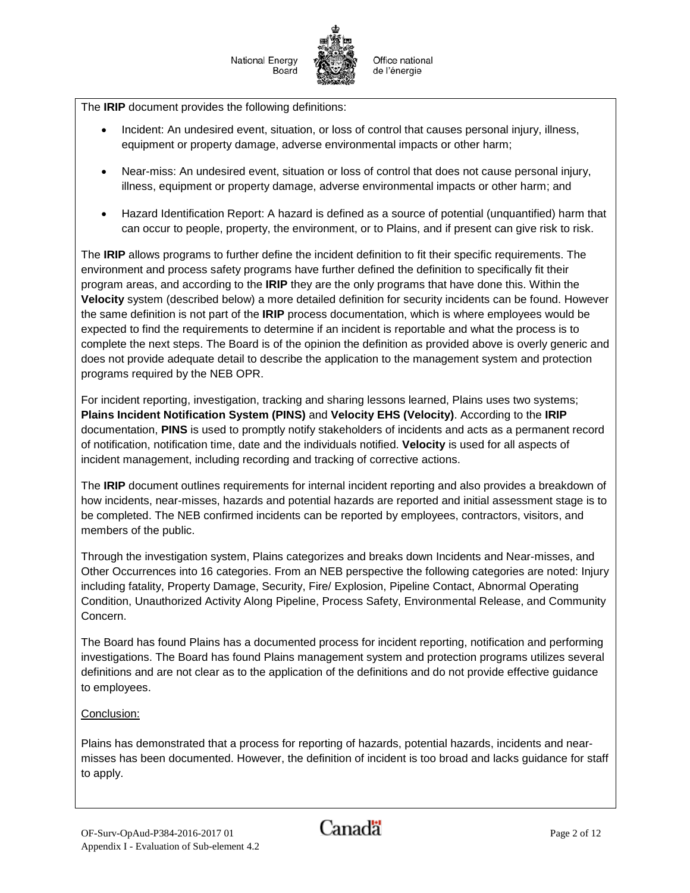The **IRIP** document provides the following definitions:

- Incident: An undesired event, situation, or loss of control that causes personal injury, illness, equipment or property damage, adverse environmental impacts or other harm;
- Near-miss: An undesired event, situation or loss of control that does not cause personal injury, illness, equipment or property damage, adverse environmental impacts or other harm; and
- Hazard Identification Report: A hazard is defined as a source of potential (unquantified) harm that can occur to people, property, the environment, or to Plains, and if present can give risk to risk.

The **IRIP** allows programs to further define the incident definition to fit their specific requirements. The environment and process safety programs have further defined the definition to specifically fit their program areas, and according to the **IRIP** they are the only programs that have done this. Within the **Velocity** system (described below) a more detailed definition for security incidents can be found. However the same definition is not part of the **IRIP** process documentation, which is where employees would be expected to find the requirements to determine if an incident is reportable and what the process is to complete the next steps. The Board is of the opinion the definition as provided above is overly generic and does not provide adequate detail to describe the application to the management system and protection programs required by the NEB OPR.

For incident reporting, investigation, tracking and sharing lessons learned, Plains uses two systems; **Plains Incident Notification System (PINS)** and **Velocity EHS (Velocity)**. According to the **IRIP** documentation, **PINS** is used to promptly notify stakeholders of incidents and acts as a permanent record of notification, notification time, date and the individuals notified. **Velocity** is used for all aspects of incident management, including recording and tracking of corrective actions.

The **IRIP** document outlines requirements for internal incident reporting and also provides a breakdown of how incidents, near-misses, hazards and potential hazards are reported and initial assessment stage is to be completed. The NEB confirmed incidents can be reported by employees, contractors, visitors, and members of the public.

Through the investigation system, Plains categorizes and breaks down Incidents and Near-misses, and Other Occurrences into 16 categories. From an NEB perspective the following categories are noted: Injury including fatality, Property Damage, Security, Fire/ Explosion, Pipeline Contact, Abnormal Operating Condition, Unauthorized Activity Along Pipeline, Process Safety, Environmental Release, and Community Concern.

The Board has found Plains has a documented process for incident reporting, notification and performing investigations. The Board has found Plains management system and protection programs utilizes several definitions and are not clear as to the application of the definitions and do not provide effective guidance to employees.

## Conclusion:

Plains has demonstrated that a process for reporting of hazards, potential hazards, incidents and nearmisses has been documented. However, the definition of incident is too broad and lacks guidance for staff to apply.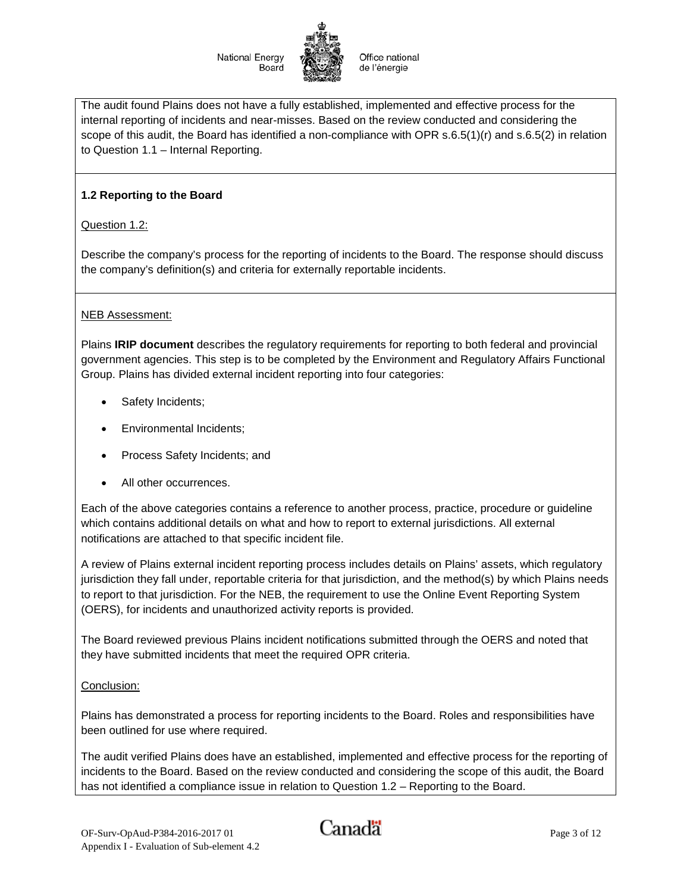Office national de l'énergie

The audit found Plains does not have a fully established, implemented and effective process for the internal reporting of incidents and near-misses. Based on the review conducted and considering the scope of this audit, the Board has identified a non-compliance with OPR s.6.5(1)(r) and s.6.5(2) in relation to Question 1.1 – Internal Reporting.

## **1.2 Reporting to the Board**

Question 1.2:

Describe the company's process for the reporting of incidents to the Board. The response should discuss the company's definition(s) and criteria for externally reportable incidents.

#### NEB Assessment:

Plains **IRIP document** describes the regulatory requirements for reporting to both federal and provincial government agencies. This step is to be completed by the Environment and Regulatory Affairs Functional Group. Plains has divided external incident reporting into four categories:

- Safety Incidents;
- Environmental Incidents;
- Process Safety Incidents; and
- All other occurrences.

Each of the above categories contains a reference to another process, practice, procedure or guideline which contains additional details on what and how to report to external jurisdictions. All external notifications are attached to that specific incident file.

A review of Plains external incident reporting process includes details on Plains' assets, which regulatory jurisdiction they fall under, reportable criteria for that jurisdiction, and the method(s) by which Plains needs to report to that jurisdiction. For the NEB, the requirement to use the Online Event Reporting System (OERS), for incidents and unauthorized activity reports is provided.

The Board reviewed previous Plains incident notifications submitted through the OERS and noted that they have submitted incidents that meet the required OPR criteria.

#### Conclusion:

Plains has demonstrated a process for reporting incidents to the Board. Roles and responsibilities have been outlined for use where required.

The audit verified Plains does have an established, implemented and effective process for the reporting of incidents to the Board. Based on the review conducted and considering the scope of this audit, the Board has not identified a compliance issue in relation to Question 1.2 – Reporting to the Board.

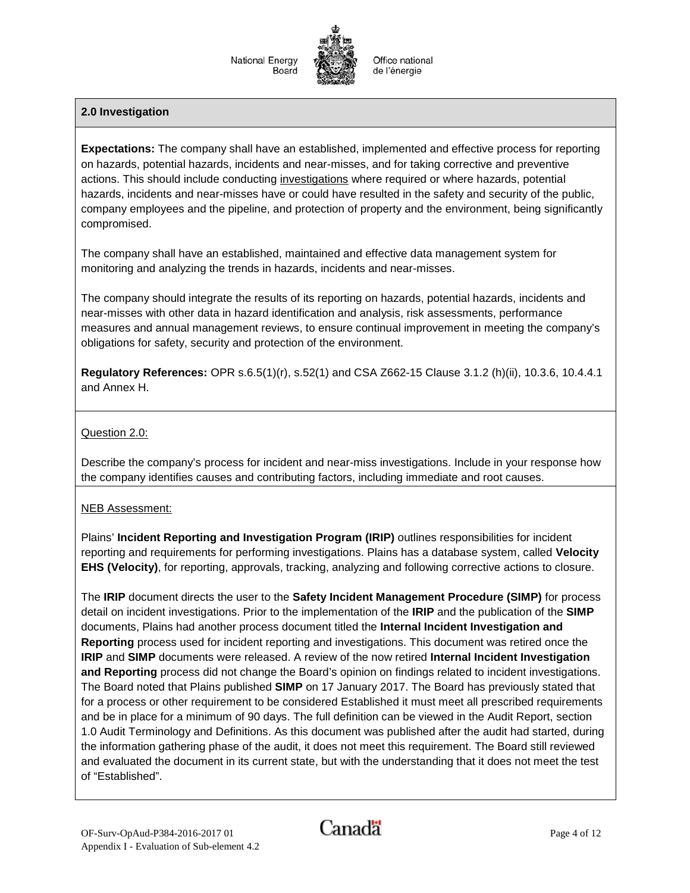## **2.0 Investigation**

**Expectations:** The company shall have an established, implemented and effective process for reporting on hazards, potential hazards, incidents and near-misses, and for taking corrective and preventive actions. This should include conducting investigations where required or where hazards, potential hazards, incidents and near-misses have or could have resulted in the safety and security of the public, company employees and the pipeline, and protection of property and the environment, being significantly compromised.

The company shall have an established, maintained and effective data management system for monitoring and analyzing the trends in hazards, incidents and near-misses.

The company should integrate the results of its reporting on hazards, potential hazards, incidents and near-misses with other data in hazard identification and analysis, risk assessments, performance measures and annual management reviews, to ensure continual improvement in meeting the company's obligations for safety, security and protection of the environment.

**Regulatory References:** OPR s.6.5(1)(r), s.52(1) and CSA Z662-15 Clause 3.1.2 (h)(ii), 10.3.6, 10.4.4.1 and Annex H.

#### Question 2.0:

Describe the company's process for incident and near-miss investigations. Include in your response how the company identifies causes and contributing factors, including immediate and root causes.

#### NEB Assessment:

Plains' **Incident Reporting and Investigation Program (IRIP)** outlines responsibilities for incident reporting and requirements for performing investigations. Plains has a database system, called **Velocity EHS (Velocity)**, for reporting, approvals, tracking, analyzing and following corrective actions to closure.

The **IRIP** document directs the user to the **Safety Incident Management Procedure (SIMP)** for process detail on incident investigations. Prior to the implementation of the **IRIP** and the publication of the **SIMP** documents, Plains had another process document titled the **Internal Incident Investigation and Reporting** process used for incident reporting and investigations. This document was retired once the **IRIP** and **SIMP** documents were released. A review of the now retired **Internal Incident Investigation and Reporting** process did not change the Board's opinion on findings related to incident investigations. The Board noted that Plains published **SIMP** on 17 January 2017. The Board has previously stated that for a process or other requirement to be considered Established it must meet all prescribed requirements and be in place for a minimum of 90 days. The full definition can be viewed in the Audit Report, section 1.0 Audit Terminology and Definitions. As this document was published after the audit had started, during the information gathering phase of the audit, it does not meet this requirement. The Board still reviewed and evaluated the document in its current state, but with the understanding that it does not meet the test of "Established".

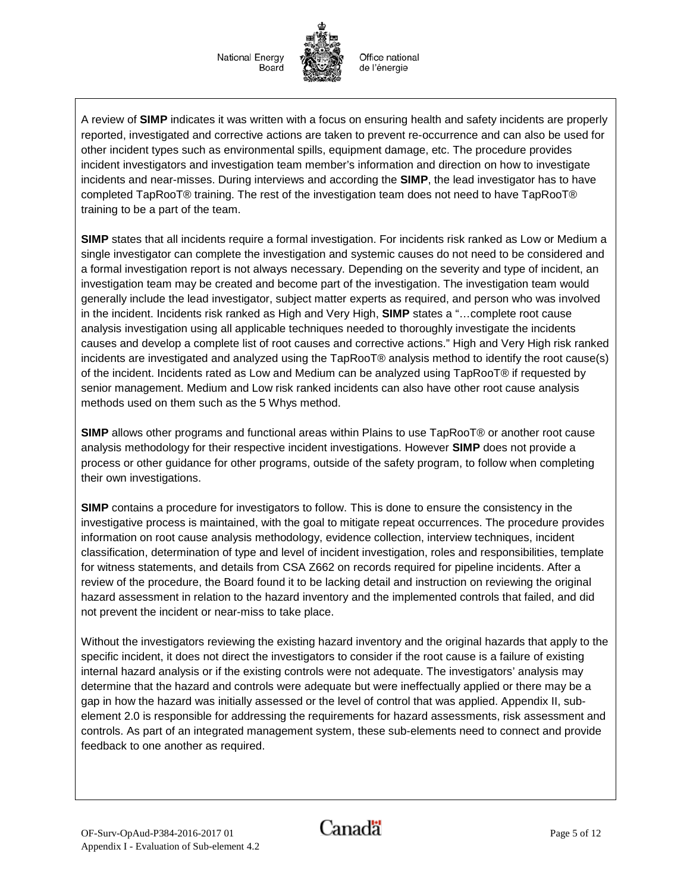Office national de l'énergie

A review of **SIMP** indicates it was written with a focus on ensuring health and safety incidents are properly reported, investigated and corrective actions are taken to prevent re-occurrence and can also be used for other incident types such as environmental spills, equipment damage, etc. The procedure provides incident investigators and investigation team member's information and direction on how to investigate incidents and near-misses. During interviews and according the **SIMP**, the lead investigator has to have completed TapRooT® training. The rest of the investigation team does not need to have TapRooT® training to be a part of the team.

**SIMP** states that all incidents require a formal investigation. For incidents risk ranked as Low or Medium a single investigator can complete the investigation and systemic causes do not need to be considered and a formal investigation report is not always necessary. Depending on the severity and type of incident, an investigation team may be created and become part of the investigation. The investigation team would generally include the lead investigator, subject matter experts as required, and person who was involved in the incident. Incidents risk ranked as High and Very High, **SIMP** states a "…complete root cause analysis investigation using all applicable techniques needed to thoroughly investigate the incidents causes and develop a complete list of root causes and corrective actions." High and Very High risk ranked incidents are investigated and analyzed using the TapRooT® analysis method to identify the root cause(s) of the incident. Incidents rated as Low and Medium can be analyzed using TapRooT® if requested by senior management. Medium and Low risk ranked incidents can also have other root cause analysis methods used on them such as the 5 Whys method.

**SIMP** allows other programs and functional areas within Plains to use TapRooT® or another root cause analysis methodology for their respective incident investigations. However **SIMP** does not provide a process or other guidance for other programs, outside of the safety program, to follow when completing their own investigations.

**SIMP** contains a procedure for investigators to follow. This is done to ensure the consistency in the investigative process is maintained, with the goal to mitigate repeat occurrences. The procedure provides information on root cause analysis methodology, evidence collection, interview techniques, incident classification, determination of type and level of incident investigation, roles and responsibilities, template for witness statements, and details from CSA Z662 on records required for pipeline incidents. After a review of the procedure, the Board found it to be lacking detail and instruction on reviewing the original hazard assessment in relation to the hazard inventory and the implemented controls that failed, and did not prevent the incident or near-miss to take place.

Without the investigators reviewing the existing hazard inventory and the original hazards that apply to the specific incident, it does not direct the investigators to consider if the root cause is a failure of existing internal hazard analysis or if the existing controls were not adequate. The investigators' analysis may determine that the hazard and controls were adequate but were ineffectually applied or there may be a gap in how the hazard was initially assessed or the level of control that was applied. Appendix II, subelement 2.0 is responsible for addressing the requirements for hazard assessments, risk assessment and controls. As part of an integrated management system, these sub-elements need to connect and provide feedback to one another as required.

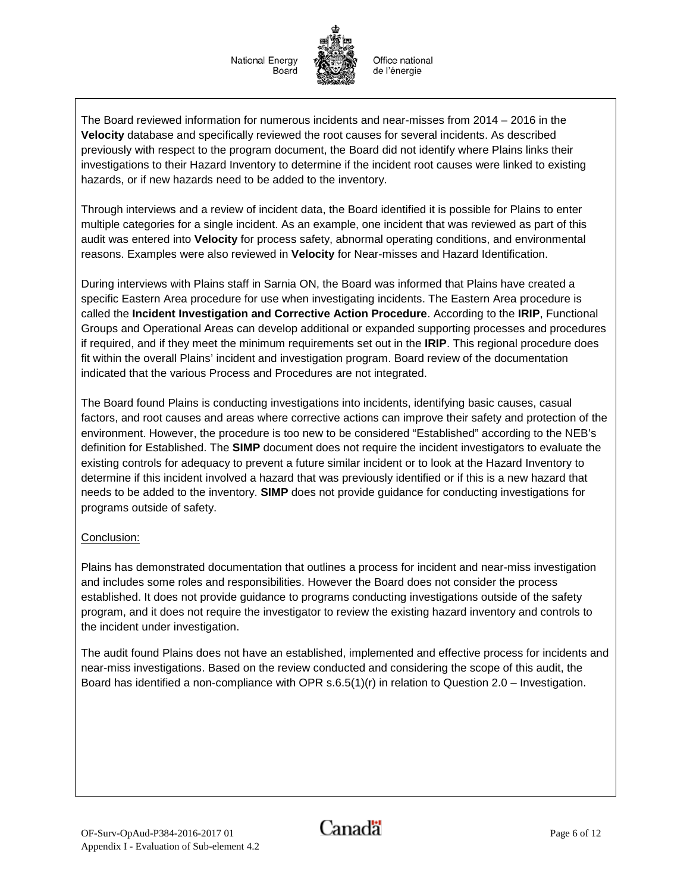The Board reviewed information for numerous incidents and near-misses from 2014 – 2016 in the **Velocity** database and specifically reviewed the root causes for several incidents. As described previously with respect to the program document, the Board did not identify where Plains links their investigations to their Hazard Inventory to determine if the incident root causes were linked to existing hazards, or if new hazards need to be added to the inventory.

Through interviews and a review of incident data, the Board identified it is possible for Plains to enter multiple categories for a single incident. As an example, one incident that was reviewed as part of this audit was entered into **Velocity** for process safety, abnormal operating conditions, and environmental reasons. Examples were also reviewed in **Velocity** for Near-misses and Hazard Identification.

During interviews with Plains staff in Sarnia ON, the Board was informed that Plains have created a specific Eastern Area procedure for use when investigating incidents. The Eastern Area procedure is called the **Incident Investigation and Corrective Action Procedure**. According to the **IRIP**, Functional Groups and Operational Areas can develop additional or expanded supporting processes and procedures if required, and if they meet the minimum requirements set out in the **IRIP**. This regional procedure does fit within the overall Plains' incident and investigation program. Board review of the documentation indicated that the various Process and Procedures are not integrated.

The Board found Plains is conducting investigations into incidents, identifying basic causes, casual factors, and root causes and areas where corrective actions can improve their safety and protection of the environment. However, the procedure is too new to be considered "Established" according to the NEB's definition for Established. The **SIMP** document does not require the incident investigators to evaluate the existing controls for adequacy to prevent a future similar incident or to look at the Hazard Inventory to determine if this incident involved a hazard that was previously identified or if this is a new hazard that needs to be added to the inventory. **SIMP** does not provide guidance for conducting investigations for programs outside of safety.

## Conclusion:

Plains has demonstrated documentation that outlines a process for incident and near-miss investigation and includes some roles and responsibilities. However the Board does not consider the process established. It does not provide guidance to programs conducting investigations outside of the safety program, and it does not require the investigator to review the existing hazard inventory and controls to the incident under investigation.

The audit found Plains does not have an established, implemented and effective process for incidents and near-miss investigations. Based on the review conducted and considering the scope of this audit, the Board has identified a non-compliance with OPR  $s.6.5(1)(r)$  in relation to Question 2.0 – Investigation.

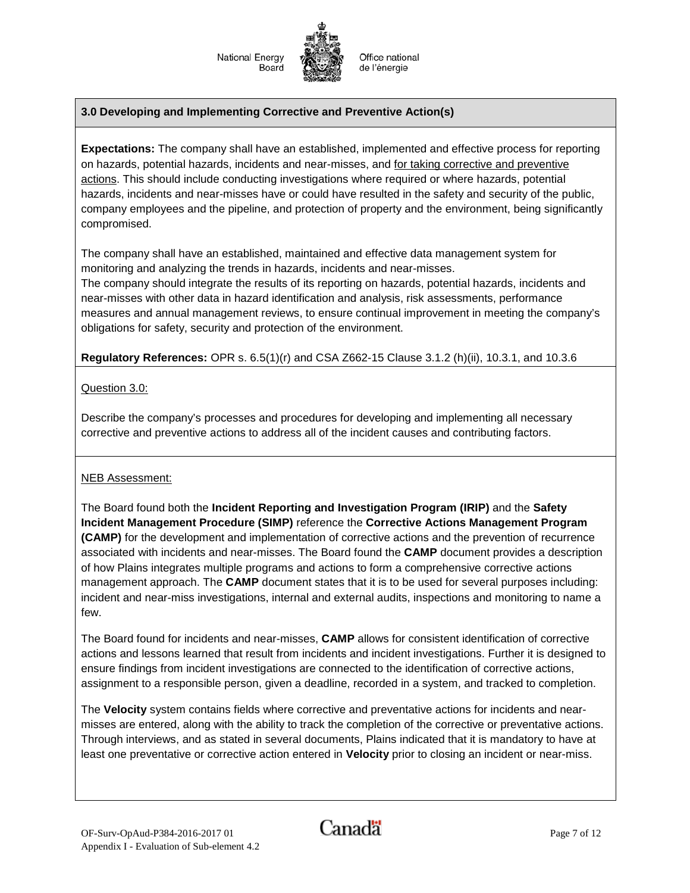Office national de l'énergie

### **3.0 Developing and Implementing Corrective and Preventive Action(s)**

**Expectations:** The company shall have an established, implemented and effective process for reporting on hazards, potential hazards, incidents and near-misses, and for taking corrective and preventive actions. This should include conducting investigations where required or where hazards, potential hazards, incidents and near-misses have or could have resulted in the safety and security of the public, company employees and the pipeline, and protection of property and the environment, being significantly compromised.

The company shall have an established, maintained and effective data management system for monitoring and analyzing the trends in hazards, incidents and near-misses.

The company should integrate the results of its reporting on hazards, potential hazards, incidents and near-misses with other data in hazard identification and analysis, risk assessments, performance measures and annual management reviews, to ensure continual improvement in meeting the company's obligations for safety, security and protection of the environment.

**Regulatory References:** OPR s. 6.5(1)(r) and CSA Z662-15 Clause 3.1.2 (h)(ii), 10.3.1, and 10.3.6

#### Question 3.0:

Describe the company's processes and procedures for developing and implementing all necessary corrective and preventive actions to address all of the incident causes and contributing factors.

#### NEB Assessment:

The Board found both the **Incident Reporting and Investigation Program (IRIP)** and the **Safety Incident Management Procedure (SIMP)** reference the **Corrective Actions Management Program (CAMP)** for the development and implementation of corrective actions and the prevention of recurrence associated with incidents and near-misses. The Board found the **CAMP** document provides a description of how Plains integrates multiple programs and actions to form a comprehensive corrective actions management approach. The **CAMP** document states that it is to be used for several purposes including: incident and near-miss investigations, internal and external audits, inspections and monitoring to name a few.

The Board found for incidents and near-misses, **CAMP** allows for consistent identification of corrective actions and lessons learned that result from incidents and incident investigations. Further it is designed to ensure findings from incident investigations are connected to the identification of corrective actions, assignment to a responsible person, given a deadline, recorded in a system, and tracked to completion.

The **Velocity** system contains fields where corrective and preventative actions for incidents and nearmisses are entered, along with the ability to track the completion of the corrective or preventative actions. Through interviews, and as stated in several documents, Plains indicated that it is mandatory to have at least one preventative or corrective action entered in **Velocity** prior to closing an incident or near-miss.

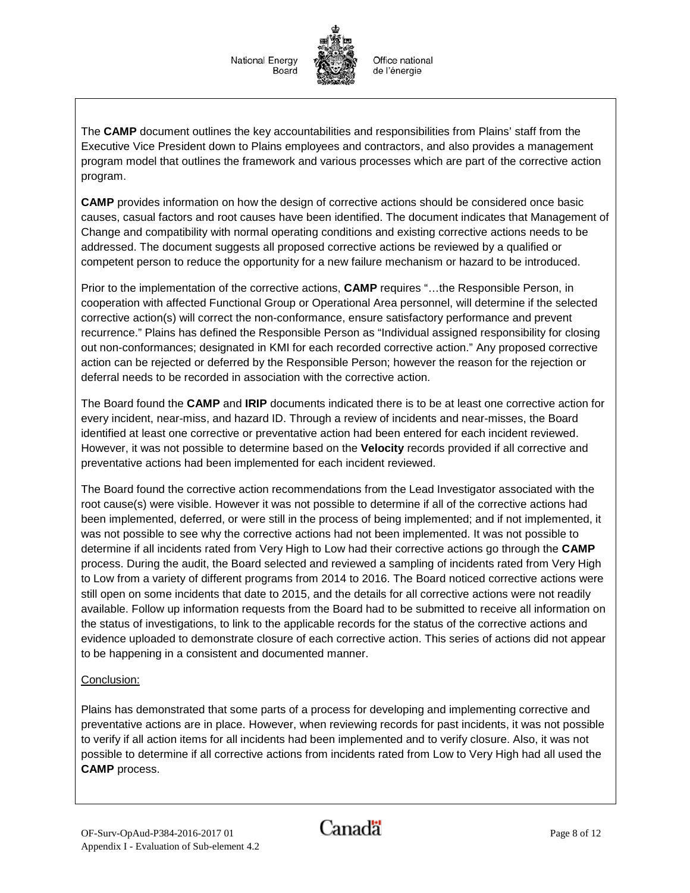The **CAMP** document outlines the key accountabilities and responsibilities from Plains' staff from the Executive Vice President down to Plains employees and contractors, and also provides a management program model that outlines the framework and various processes which are part of the corrective action program.

**CAMP** provides information on how the design of corrective actions should be considered once basic causes, casual factors and root causes have been identified. The document indicates that Management of Change and compatibility with normal operating conditions and existing corrective actions needs to be addressed. The document suggests all proposed corrective actions be reviewed by a qualified or competent person to reduce the opportunity for a new failure mechanism or hazard to be introduced.

Prior to the implementation of the corrective actions, **CAMP** requires "…the Responsible Person, in cooperation with affected Functional Group or Operational Area personnel, will determine if the selected corrective action(s) will correct the non-conformance, ensure satisfactory performance and prevent recurrence." Plains has defined the Responsible Person as "Individual assigned responsibility for closing out non-conformances; designated in KMI for each recorded corrective action." Any proposed corrective action can be rejected or deferred by the Responsible Person; however the reason for the rejection or deferral needs to be recorded in association with the corrective action.

The Board found the **CAMP** and **IRIP** documents indicated there is to be at least one corrective action for every incident, near-miss, and hazard ID. Through a review of incidents and near-misses, the Board identified at least one corrective or preventative action had been entered for each incident reviewed. However, it was not possible to determine based on the **Velocity** records provided if all corrective and preventative actions had been implemented for each incident reviewed.

The Board found the corrective action recommendations from the Lead Investigator associated with the root cause(s) were visible. However it was not possible to determine if all of the corrective actions had been implemented, deferred, or were still in the process of being implemented; and if not implemented, it was not possible to see why the corrective actions had not been implemented. It was not possible to determine if all incidents rated from Very High to Low had their corrective actions go through the **CAMP** process. During the audit, the Board selected and reviewed a sampling of incidents rated from Very High to Low from a variety of different programs from 2014 to 2016. The Board noticed corrective actions were still open on some incidents that date to 2015, and the details for all corrective actions were not readily available. Follow up information requests from the Board had to be submitted to receive all information on the status of investigations, to link to the applicable records for the status of the corrective actions and evidence uploaded to demonstrate closure of each corrective action. This series of actions did not appear to be happening in a consistent and documented manner.

## Conclusion:

Plains has demonstrated that some parts of a process for developing and implementing corrective and preventative actions are in place. However, when reviewing records for past incidents, it was not possible to verify if all action items for all incidents had been implemented and to verify closure. Also, it was not possible to determine if all corrective actions from incidents rated from Low to Very High had all used the **CAMP** process.

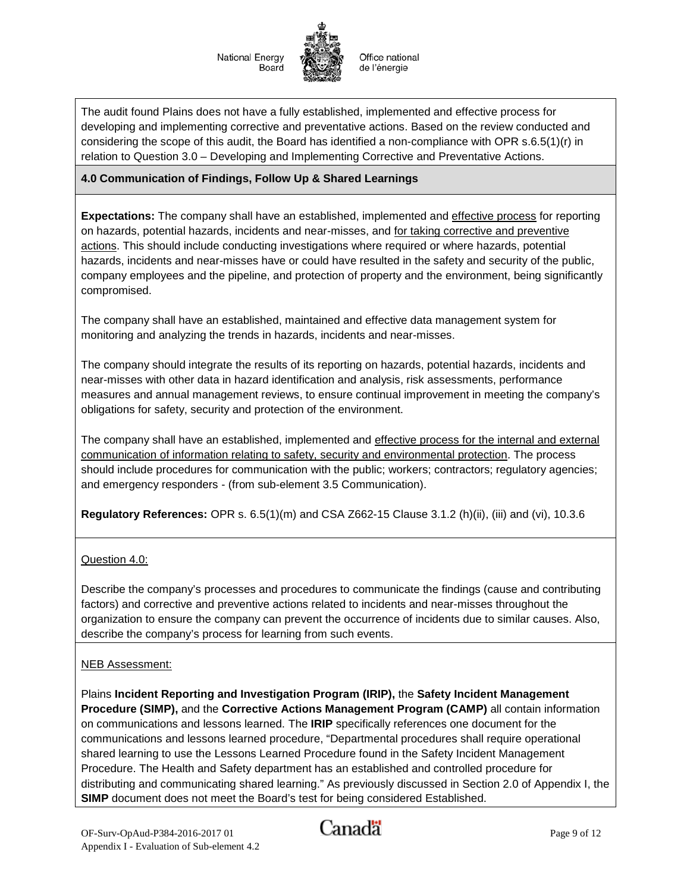Office national de l'énergie

The audit found Plains does not have a fully established, implemented and effective process for developing and implementing corrective and preventative actions. Based on the review conducted and considering the scope of this audit, the Board has identified a non-compliance with OPR s.6.5(1)(r) in relation to Question 3.0 – Developing and Implementing Corrective and Preventative Actions.

### **4.0 Communication of Findings, Follow Up & Shared Learnings**

**Expectations:** The company shall have an established, implemented and effective process for reporting on hazards, potential hazards, incidents and near-misses, and for taking corrective and preventive actions. This should include conducting investigations where required or where hazards, potential hazards, incidents and near-misses have or could have resulted in the safety and security of the public, company employees and the pipeline, and protection of property and the environment, being significantly compromised.

The company shall have an established, maintained and effective data management system for monitoring and analyzing the trends in hazards, incidents and near-misses.

The company should integrate the results of its reporting on hazards, potential hazards, incidents and near-misses with other data in hazard identification and analysis, risk assessments, performance measures and annual management reviews, to ensure continual improvement in meeting the company's obligations for safety, security and protection of the environment.

The company shall have an established, implemented and effective process for the internal and external communication of information relating to safety, security and environmental protection. The process should include procedures for communication with the public; workers; contractors; regulatory agencies; and emergency responders - (from sub-element 3.5 Communication).

**Regulatory References:** OPR s. 6.5(1)(m) and CSA Z662-15 Clause 3.1.2 (h)(ii), (iii) and (vi), 10.3.6

#### Question 4.0:

Describe the company's processes and procedures to communicate the findings (cause and contributing factors) and corrective and preventive actions related to incidents and near-misses throughout the organization to ensure the company can prevent the occurrence of incidents due to similar causes. Also, describe the company's process for learning from such events.

#### NEB Assessment:

Plains **Incident Reporting and Investigation Program (IRIP),** the **Safety Incident Management Procedure (SIMP),** and the **Corrective Actions Management Program (CAMP)** all contain information on communications and lessons learned. The **IRIP** specifically references one document for the communications and lessons learned procedure, "Departmental procedures shall require operational shared learning to use the Lessons Learned Procedure found in the Safety Incident Management Procedure. The Health and Safety department has an established and controlled procedure for distributing and communicating shared learning." As previously discussed in Section 2.0 of Appendix I, the **SIMP** document does not meet the Board's test for being considered Established.

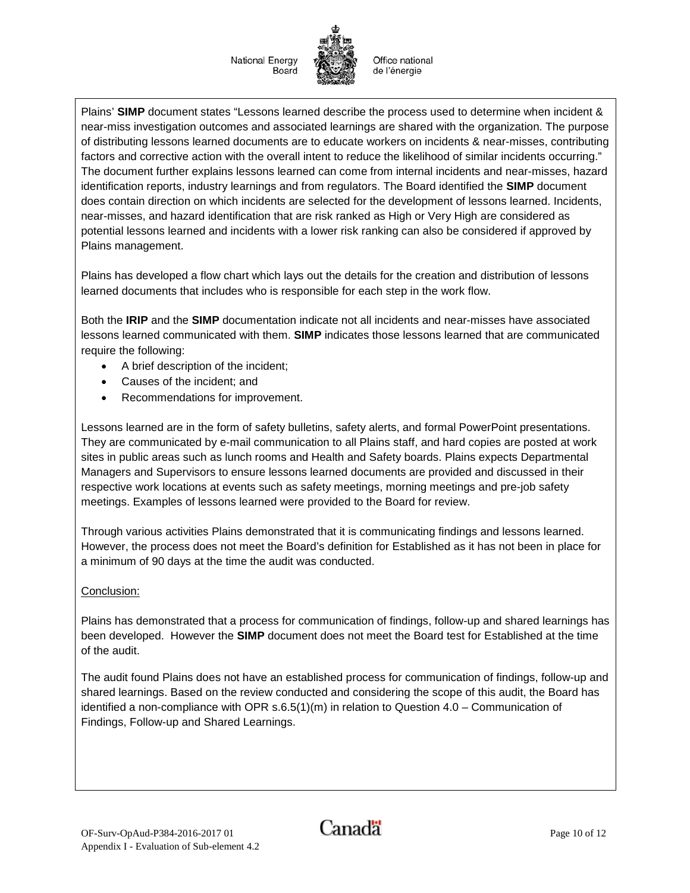Office national de l'énergie

Plains' **SIMP** document states "Lessons learned describe the process used to determine when incident & near-miss investigation outcomes and associated learnings are shared with the organization. The purpose of distributing lessons learned documents are to educate workers on incidents & near-misses, contributing factors and corrective action with the overall intent to reduce the likelihood of similar incidents occurring." The document further explains lessons learned can come from internal incidents and near-misses, hazard identification reports, industry learnings and from regulators. The Board identified the **SIMP** document does contain direction on which incidents are selected for the development of lessons learned. Incidents, near-misses, and hazard identification that are risk ranked as High or Very High are considered as potential lessons learned and incidents with a lower risk ranking can also be considered if approved by Plains management.

Plains has developed a flow chart which lays out the details for the creation and distribution of lessons learned documents that includes who is responsible for each step in the work flow.

Both the **IRIP** and the **SIMP** documentation indicate not all incidents and near-misses have associated lessons learned communicated with them. **SIMP** indicates those lessons learned that are communicated require the following:

- A brief description of the incident;
- Causes of the incident; and
- Recommendations for improvement.

Lessons learned are in the form of safety bulletins, safety alerts, and formal PowerPoint presentations. They are communicated by e-mail communication to all Plains staff, and hard copies are posted at work sites in public areas such as lunch rooms and Health and Safety boards. Plains expects Departmental Managers and Supervisors to ensure lessons learned documents are provided and discussed in their respective work locations at events such as safety meetings, morning meetings and pre-job safety meetings. Examples of lessons learned were provided to the Board for review.

Through various activities Plains demonstrated that it is communicating findings and lessons learned. However, the process does not meet the Board's definition for Established as it has not been in place for a minimum of 90 days at the time the audit was conducted.

#### Conclusion:

Plains has demonstrated that a process for communication of findings, follow-up and shared learnings has been developed. However the **SIMP** document does not meet the Board test for Established at the time of the audit.

The audit found Plains does not have an established process for communication of findings, follow-up and shared learnings. Based on the review conducted and considering the scope of this audit, the Board has identified a non-compliance with OPR  $s.6.5(1)(m)$  in relation to Question 4.0 – Communication of Findings, Follow-up and Shared Learnings.

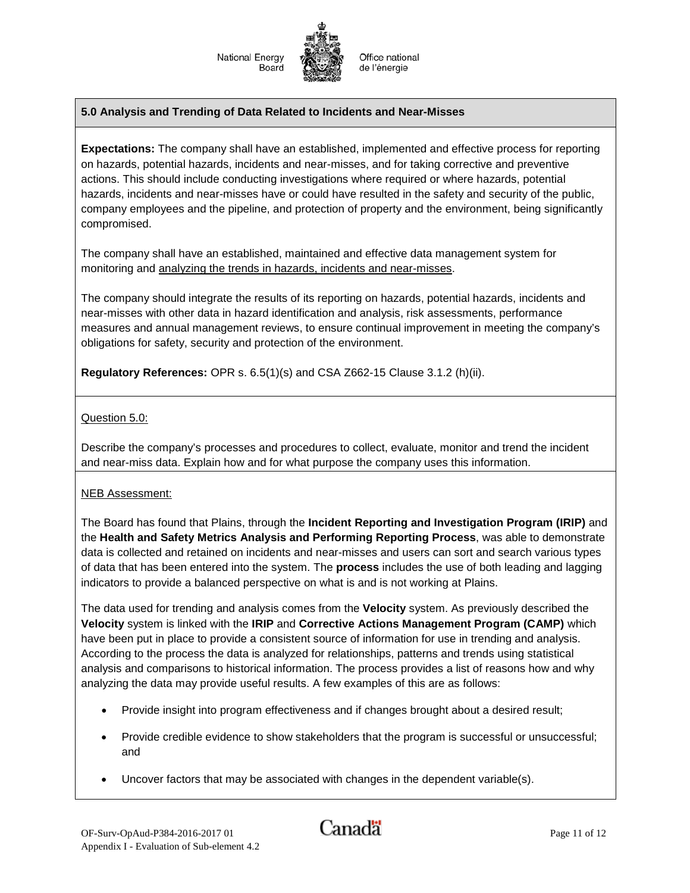

Office national de l'énergie

#### **5.0 Analysis and Trending of Data Related to Incidents and Near-Misses**

**Expectations:** The company shall have an established, implemented and effective process for reporting on hazards, potential hazards, incidents and near-misses, and for taking corrective and preventive actions. This should include conducting investigations where required or where hazards, potential hazards, incidents and near-misses have or could have resulted in the safety and security of the public, company employees and the pipeline, and protection of property and the environment, being significantly compromised.

The company shall have an established, maintained and effective data management system for monitoring and analyzing the trends in hazards, incidents and near-misses.

The company should integrate the results of its reporting on hazards, potential hazards, incidents and near-misses with other data in hazard identification and analysis, risk assessments, performance measures and annual management reviews, to ensure continual improvement in meeting the company's obligations for safety, security and protection of the environment.

**Regulatory References:** OPR s. 6.5(1)(s) and CSA Z662-15 Clause 3.1.2 (h)(ii).

#### Question 5.0:

Describe the company's processes and procedures to collect, evaluate, monitor and trend the incident and near-miss data. Explain how and for what purpose the company uses this information.

#### NEB Assessment:

The Board has found that Plains, through the **Incident Reporting and Investigation Program (IRIP)** and the **Health and Safety Metrics Analysis and Performing Reporting Process**, was able to demonstrate data is collected and retained on incidents and near-misses and users can sort and search various types of data that has been entered into the system. The **process** includes the use of both leading and lagging indicators to provide a balanced perspective on what is and is not working at Plains.

The data used for trending and analysis comes from the **Velocity** system. As previously described the **Velocity** system is linked with the **IRIP** and **Corrective Actions Management Program (CAMP)** which have been put in place to provide a consistent source of information for use in trending and analysis. According to the process the data is analyzed for relationships, patterns and trends using statistical analysis and comparisons to historical information. The process provides a list of reasons how and why analyzing the data may provide useful results. A few examples of this are as follows:

- Provide insight into program effectiveness and if changes brought about a desired result;
- Provide credible evidence to show stakeholders that the program is successful or unsuccessful; and
- Uncover factors that may be associated with changes in the dependent variable(s).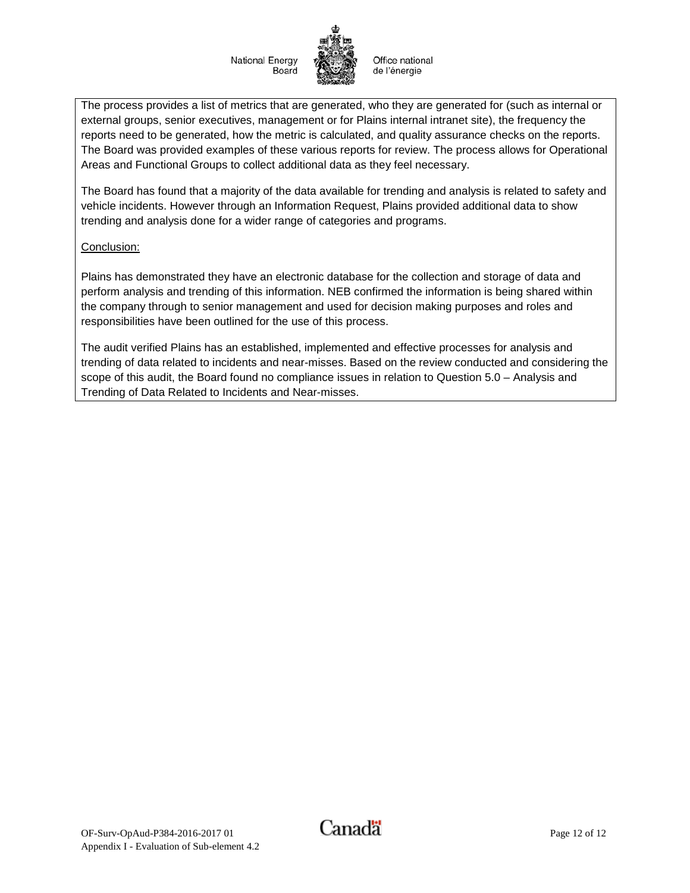Office national de l'énergie

The process provides a list of metrics that are generated, who they are generated for (such as internal or external groups, senior executives, management or for Plains internal intranet site), the frequency the reports need to be generated, how the metric is calculated, and quality assurance checks on the reports. The Board was provided examples of these various reports for review. The process allows for Operational Areas and Functional Groups to collect additional data as they feel necessary.

The Board has found that a majority of the data available for trending and analysis is related to safety and vehicle incidents. However through an Information Request, Plains provided additional data to show trending and analysis done for a wider range of categories and programs.

#### Conclusion:

Plains has demonstrated they have an electronic database for the collection and storage of data and perform analysis and trending of this information. NEB confirmed the information is being shared within the company through to senior management and used for decision making purposes and roles and responsibilities have been outlined for the use of this process.

The audit verified Plains has an established, implemented and effective processes for analysis and trending of data related to incidents and near-misses. Based on the review conducted and considering the scope of this audit, the Board found no compliance issues in relation to Question 5.0 – Analysis and Trending of Data Related to Incidents and Near-misses.

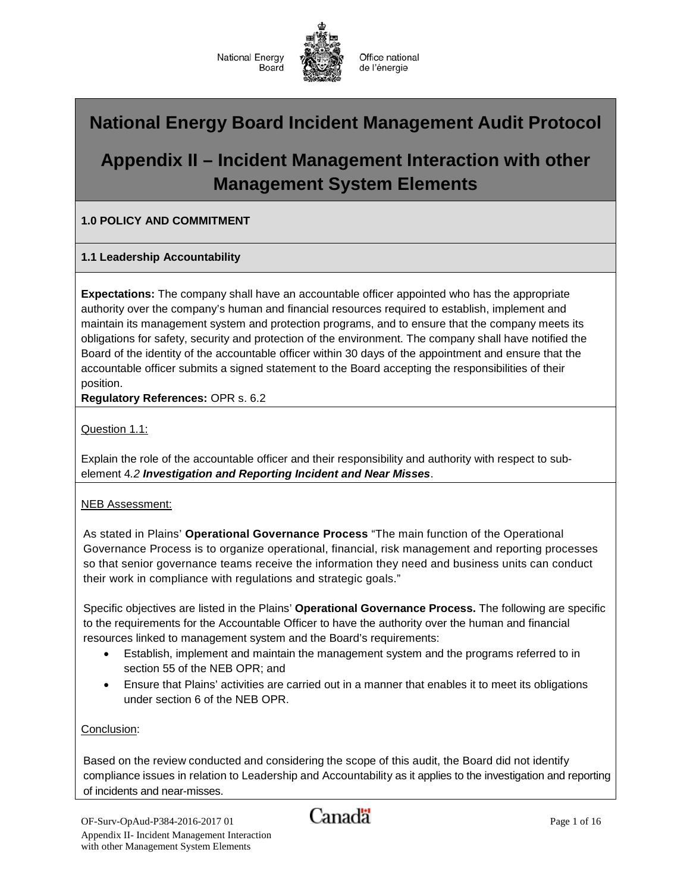

Office national de l'énergie

# **National Energy Board Incident Management Audit Protocol**

# **Appendix II – Incident Management Interaction with other Management System Elements**

### **1.0 POLICY AND COMMITMENT**

#### **1.1 Leadership Accountability**

**Expectations:** The company shall have an accountable officer appointed who has the appropriate authority over the company's human and financial resources required to establish, implement and maintain its management system and protection programs, and to ensure that the company meets its obligations for safety, security and protection of the environment. The company shall have notified the Board of the identity of the accountable officer within 30 days of the appointment and ensure that the accountable officer submits a signed statement to the Board accepting the responsibilities of their position.

**Regulatory References:** OPR s. 6.2

Question 1.1:

Explain the role of the accountable officer and their responsibility and authority with respect to subelement 4*.2 Investigation and Reporting Incident and Near Misses*.

#### NEB Assessment:

As stated in Plains' **Operational Governance Process** "The main function of the Operational Governance Process is to organize operational, financial, risk management and reporting processes so that senior governance teams receive the information they need and business units can conduct their work in compliance with regulations and strategic goals."

Specific objectives are listed in the Plains' **Operational Governance Process.** The following are specific to the requirements for the Accountable Officer to have the authority over the human and financial resources linked to management system and the Board's requirements:

- Establish, implement and maintain the management system and the programs referred to in section 55 of the NEB OPR; and
- Ensure that Plains' activities are carried out in a manner that enables it to meet its obligations under section 6 of the NEB OPR.

Conclusion:

Based on the review conducted and considering the scope of this audit, the Board did not identify compliance issues in relation to Leadership and Accountability as it applies to the investigation and reporting of incidents and near-misses.

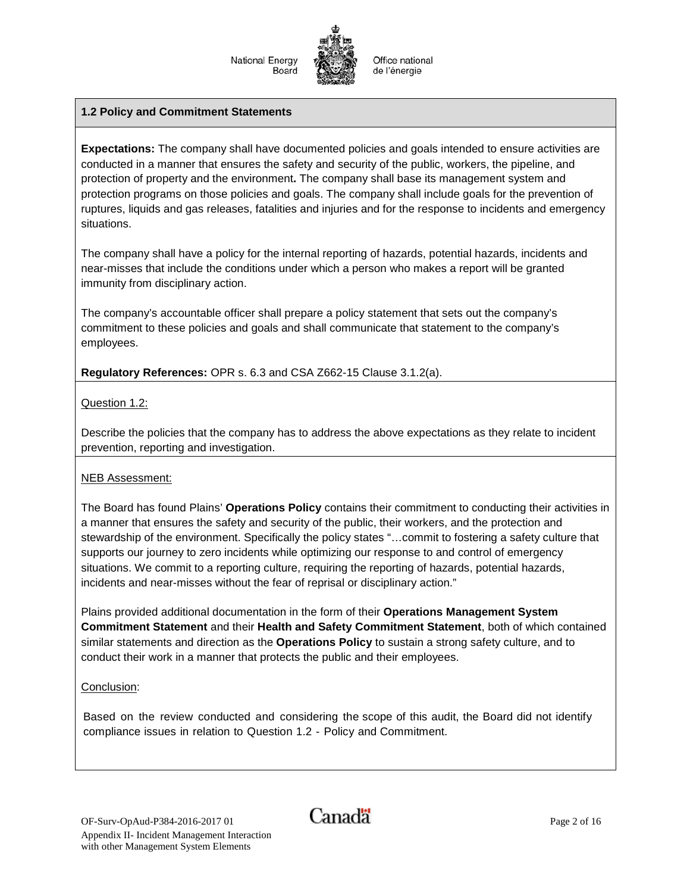#### **1.2 Policy and Commitment Statements**

**Expectations:** The company shall have documented policies and goals intended to ensure activities are conducted in a manner that ensures the safety and security of the public, workers, the pipeline, and protection of property and the environment**.** The company shall base its management system and protection programs on those policies and goals. The company shall include goals for the prevention of ruptures, liquids and gas releases, fatalities and injuries and for the response to incidents and emergency situations.

The company shall have a policy for the internal reporting of hazards, potential hazards, incidents and near-misses that include the conditions under which a person who makes a report will be granted immunity from disciplinary action.

The company's accountable officer shall prepare a policy statement that sets out the company's commitment to these policies and goals and shall communicate that statement to the company's employees.

**Regulatory References:** OPR s. 6.3 and CSA Z662-15 Clause 3.1.2(a).

Question 1.2:

Describe the policies that the company has to address the above expectations as they relate to incident prevention, reporting and investigation.

## NEB Assessment:

The Board has found Plains' **Operations Policy** contains their commitment to conducting their activities in a manner that ensures the safety and security of the public, their workers, and the protection and stewardship of the environment. Specifically the policy states "…commit to fostering a safety culture that supports our journey to zero incidents while optimizing our response to and control of emergency situations. We commit to a reporting culture, requiring the reporting of hazards, potential hazards, incidents and near-misses without the fear of reprisal or disciplinary action."

Plains provided additional documentation in the form of their **Operations Management System Commitment Statement** and their **Health and Safety Commitment Statement**, both of which contained similar statements and direction as the **Operations Policy** to sustain a strong safety culture, and to conduct their work in a manner that protects the public and their employees.

#### Conclusion:

Based on the review conducted and considering the scope of this audit, the Board did not identify compliance issues in relation to Question 1.2 - Policy and Commitment.

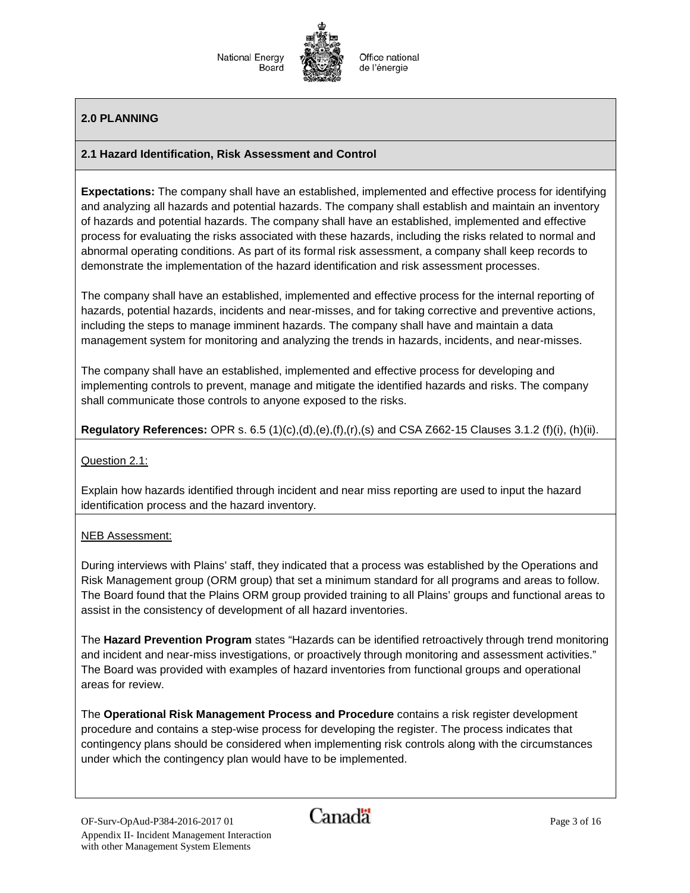Office national de l'énergie

## **2.0 PLANNING**

#### **2.1 Hazard Identification, Risk Assessment and Control**

**Expectations:** The company shall have an established, implemented and effective process for identifying and analyzing all hazards and potential hazards. The company shall establish and maintain an inventory of hazards and potential hazards. The company shall have an established, implemented and effective process for evaluating the risks associated with these hazards, including the risks related to normal and abnormal operating conditions. As part of its formal risk assessment, a company shall keep records to demonstrate the implementation of the hazard identification and risk assessment processes.

The company shall have an established, implemented and effective process for the internal reporting of hazards, potential hazards, incidents and near-misses, and for taking corrective and preventive actions, including the steps to manage imminent hazards. The company shall have and maintain a data management system for monitoring and analyzing the trends in hazards, incidents, and near-misses.

The company shall have an established, implemented and effective process for developing and implementing controls to prevent, manage and mitigate the identified hazards and risks. The company shall communicate those controls to anyone exposed to the risks.

**Regulatory References:** OPR s. 6.5 (1)(c),(d),(e),(f),(r),(s) and CSA Z662-15 Clauses 3.1.2 (f)(i), (h)(ii).

Question 2.1:

Explain how hazards identified through incident and near miss reporting are used to input the hazard identification process and the hazard inventory.

#### NEB Assessment:

During interviews with Plains' staff, they indicated that a process was established by the Operations and Risk Management group (ORM group) that set a minimum standard for all programs and areas to follow. The Board found that the Plains ORM group provided training to all Plains' groups and functional areas to assist in the consistency of development of all hazard inventories.

The **Hazard Prevention Program** states "Hazards can be identified retroactively through trend monitoring and incident and near-miss investigations, or proactively through monitoring and assessment activities." The Board was provided with examples of hazard inventories from functional groups and operational areas for review.

The **Operational Risk Management Process and Procedure** contains a risk register development procedure and contains a step-wise process for developing the register. The process indicates that contingency plans should be considered when implementing risk controls along with the circumstances under which the contingency plan would have to be implemented.

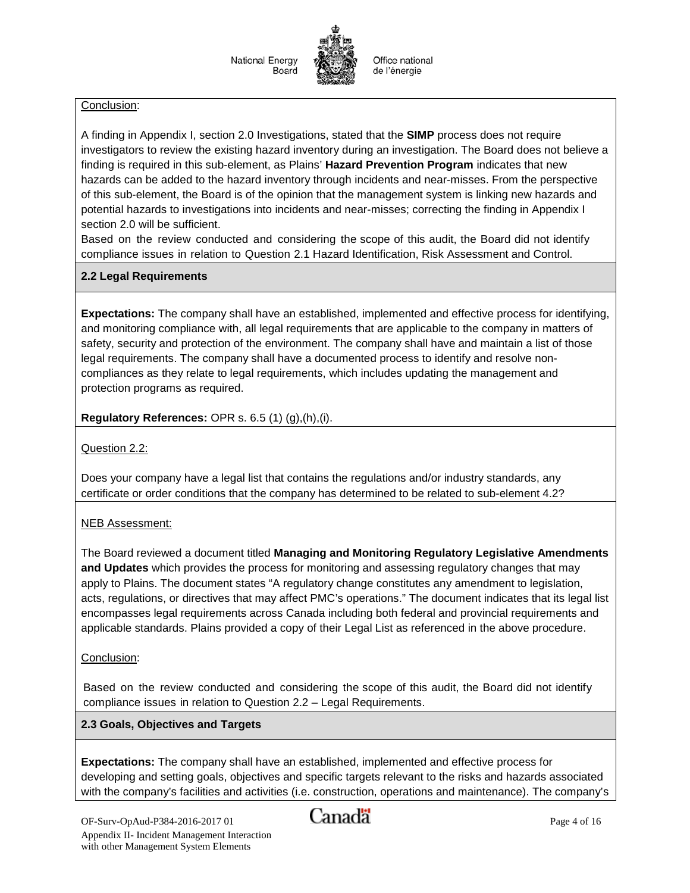#### Conclusion:

A finding in Appendix I, section 2.0 Investigations, stated that the **SIMP** process does not require investigators to review the existing hazard inventory during an investigation. The Board does not believe a finding is required in this sub-element, as Plains' **Hazard Prevention Program** indicates that new hazards can be added to the hazard inventory through incidents and near-misses. From the perspective of this sub-element, the Board is of the opinion that the management system is linking new hazards and potential hazards to investigations into incidents and near-misses; correcting the finding in Appendix I section 2.0 will be sufficient.

Based on the review conducted and considering the scope of this audit, the Board did not identify compliance issues in relation to Question 2.1 Hazard Identification, Risk Assessment and Control.

#### **2.2 Legal Requirements**

**Expectations:** The company shall have an established, implemented and effective process for identifying, and monitoring compliance with, all legal requirements that are applicable to the company in matters of safety, security and protection of the environment. The company shall have and maintain a list of those legal requirements. The company shall have a documented process to identify and resolve noncompliances as they relate to legal requirements, which includes updating the management and protection programs as required.

**Regulatory References:** OPR s. 6.5 (1) (g),(h),(i).

Question 2.2:

Does your company have a legal list that contains the regulations and/or industry standards, any certificate or order conditions that the company has determined to be related to sub-element 4.2?

NEB Assessment:

The Board reviewed a document titled **Managing and Monitoring Regulatory Legislative Amendments and Updates** which provides the process for monitoring and assessing regulatory changes that may apply to Plains. The document states "A regulatory change constitutes any amendment to legislation, acts, regulations, or directives that may affect PMC's operations." The document indicates that its legal list encompasses legal requirements across Canada including both federal and provincial requirements and applicable standards. Plains provided a copy of their Legal List as referenced in the above procedure.

#### Conclusion:

Based on the review conducted and considering the scope of this audit, the Board did not identify compliance issues in relation to Question 2.2 – Legal Requirements.

## **2.3 Goals, Objectives and Targets**

**Expectations:** The company shall have an established, implemented and effective process for developing and setting goals, objectives and specific targets relevant to the risks and hazards associated with the company's facilities and activities (i.e. construction, operations and maintenance). The company's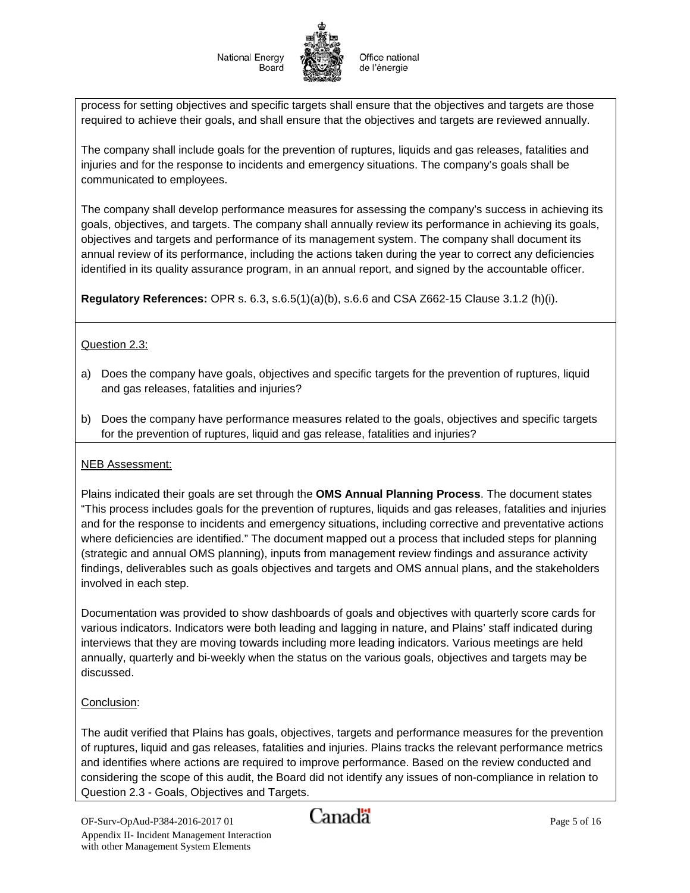Office national de l'énergie

process for setting objectives and specific targets shall ensure that the objectives and targets are those required to achieve their goals, and shall ensure that the objectives and targets are reviewed annually.

The company shall include goals for the prevention of ruptures, liquids and gas releases, fatalities and injuries and for the response to incidents and emergency situations. The company's goals shall be communicated to employees.

The company shall develop performance measures for assessing the company's success in achieving its goals, objectives, and targets. The company shall annually review its performance in achieving its goals, objectives and targets and performance of its management system. The company shall document its annual review of its performance, including the actions taken during the year to correct any deficiencies identified in its quality assurance program, in an annual report, and signed by the accountable officer.

**Regulatory References:** OPR s. 6.3, s.6.5(1)(a)(b), s.6.6 and CSA Z662-15 Clause 3.1.2 (h)(i).

#### Question 2.3:

- a) Does the company have goals, objectives and specific targets for the prevention of ruptures, liquid and gas releases, fatalities and injuries?
- b) Does the company have performance measures related to the goals, objectives and specific targets for the prevention of ruptures, liquid and gas release, fatalities and injuries?

#### NEB Assessment:

Plains indicated their goals are set through the **OMS Annual Planning Process**. The document states "This process includes goals for the prevention of ruptures, liquids and gas releases, fatalities and injuries and for the response to incidents and emergency situations, including corrective and preventative actions where deficiencies are identified." The document mapped out a process that included steps for planning (strategic and annual OMS planning), inputs from management review findings and assurance activity findings, deliverables such as goals objectives and targets and OMS annual plans, and the stakeholders involved in each step.

Documentation was provided to show dashboards of goals and objectives with quarterly score cards for various indicators. Indicators were both leading and lagging in nature, and Plains' staff indicated during interviews that they are moving towards including more leading indicators. Various meetings are held annually, quarterly and bi-weekly when the status on the various goals, objectives and targets may be discussed.

## Conclusion:

The audit verified that Plains has goals, objectives, targets and performance measures for the prevention of ruptures, liquid and gas releases, fatalities and injuries. Plains tracks the relevant performance metrics and identifies where actions are required to improve performance. Based on the review conducted and considering the scope of this audit, the Board did not identify any issues of non-compliance in relation to Question 2.3 - Goals, Objectives and Targets.

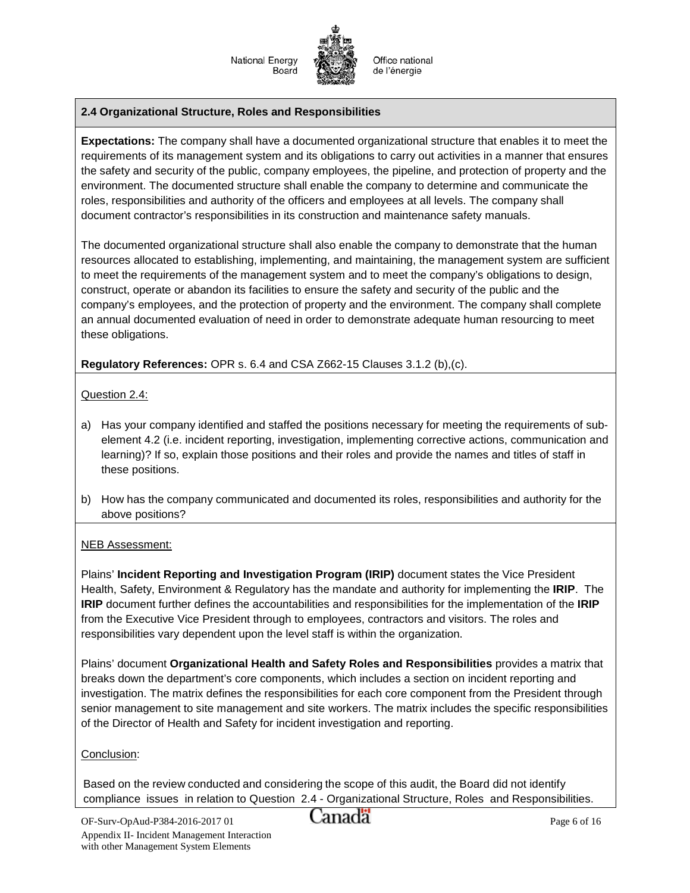

#### **2.4 Organizational Structure, Roles and Responsibilities**

**Expectations:** The company shall have a documented organizational structure that enables it to meet the requirements of its management system and its obligations to carry out activities in a manner that ensures the safety and security of the public, company employees, the pipeline, and protection of property and the environment. The documented structure shall enable the company to determine and communicate the roles, responsibilities and authority of the officers and employees at all levels. The company shall document contractor's responsibilities in its construction and maintenance safety manuals.

The documented organizational structure shall also enable the company to demonstrate that the human resources allocated to establishing, implementing, and maintaining, the management system are sufficient to meet the requirements of the management system and to meet the company's obligations to design, construct, operate or abandon its facilities to ensure the safety and security of the public and the company's employees, and the protection of property and the environment. The company shall complete an annual documented evaluation of need in order to demonstrate adequate human resourcing to meet these obligations.

#### **Regulatory References:** OPR s. 6.4 and CSA Z662-15 Clauses 3.1.2 (b),(c).

Question 2.4:

- a) Has your company identified and staffed the positions necessary for meeting the requirements of subelement 4.2 (i.e. incident reporting, investigation, implementing corrective actions, communication and learning)? If so, explain those positions and their roles and provide the names and titles of staff in these positions.
- b) How has the company communicated and documented its roles, responsibilities and authority for the above positions?

#### NEB Assessment:

Plains' **Incident Reporting and Investigation Program (IRIP)** document states the Vice President Health, Safety, Environment & Regulatory has the mandate and authority for implementing the **IRIP**. The **IRIP** document further defines the accountabilities and responsibilities for the implementation of the **IRIP** from the Executive Vice President through to employees, contractors and visitors. The roles and responsibilities vary dependent upon the level staff is within the organization.

Plains' document **Organizational Health and Safety Roles and Responsibilities** provides a matrix that breaks down the department's core components, which includes a section on incident reporting and investigation. The matrix defines the responsibilities for each core component from the President through senior management to site management and site workers. The matrix includes the specific responsibilities of the Director of Health and Safety for incident investigation and reporting.

#### Conclusion:

Based on the review conducted and considering the scope of this audit, the Board did not identify compliance issues in relation to Question 2.4 - Organizational Structure, Roles and Responsibilities.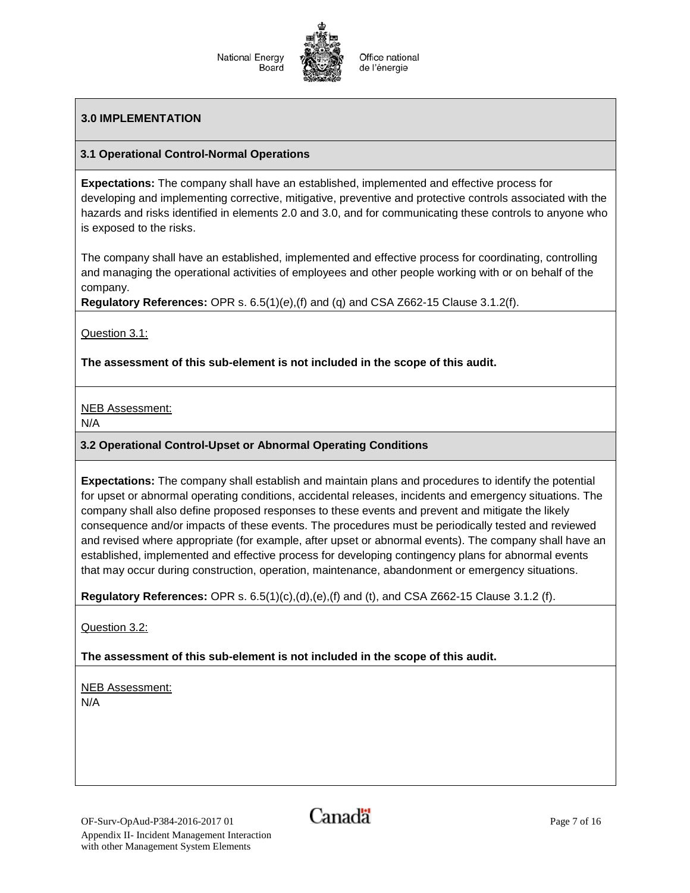

#### **3.0 IMPLEMENTATION**

#### **3.1 Operational Control-Normal Operations**

**Expectations:** The company shall have an established, implemented and effective process for developing and implementing corrective, mitigative, preventive and protective controls associated with the hazards and risks identified in elements 2.0 and 3.0, and for communicating these controls to anyone who is exposed to the risks.

The company shall have an established, implemented and effective process for coordinating, controlling and managing the operational activities of employees and other people working with or on behalf of the company.

**Regulatory References:** OPR s. 6.5(1)(*e*),(f) and (q) and CSA Z662-15 Clause 3.1.2(f).

Question 3.1:

**The assessment of this sub-element is not included in the scope of this audit.**

NEB Assessment:

N/A

#### **3.2 Operational Control-Upset or Abnormal Operating Conditions**

**Expectations:** The company shall establish and maintain plans and procedures to identify the potential for upset or abnormal operating conditions, accidental releases, incidents and emergency situations. The company shall also define proposed responses to these events and prevent and mitigate the likely consequence and/or impacts of these events. The procedures must be periodically tested and reviewed and revised where appropriate (for example, after upset or abnormal events). The company shall have an established, implemented and effective process for developing contingency plans for abnormal events that may occur during construction, operation, maintenance, abandonment or emergency situations.

**Regulatory References:** OPR s. 6.5(1)(c),(d),(e),(f) and (t), and CSA Z662-15 Clause 3.1.2 (f).

Question 3.2:

**The assessment of this sub-element is not included in the scope of this audit.**

NEB Assessment: N/A

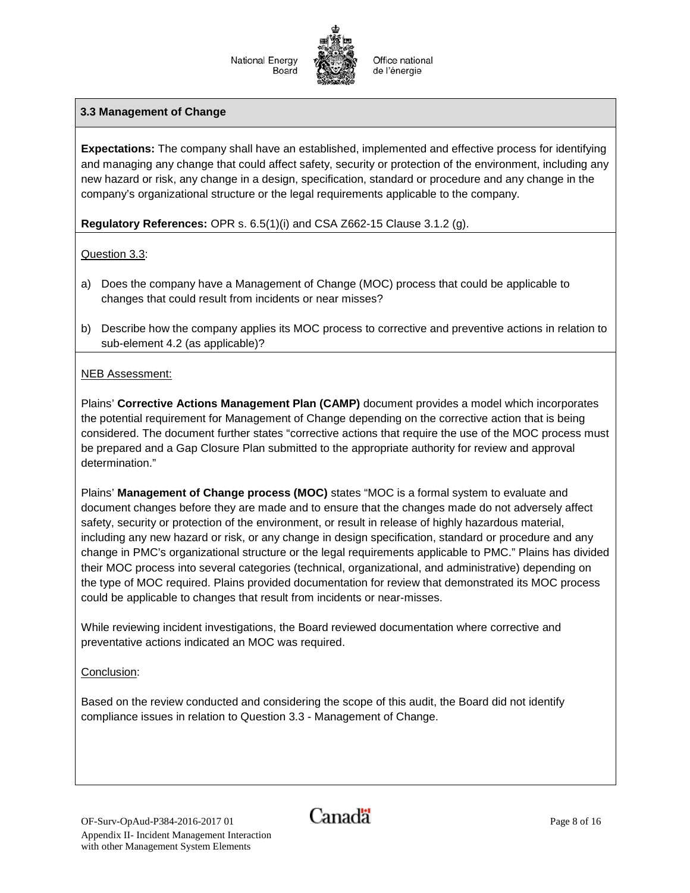

#### **3.3 Management of Change**

**Expectations:** The company shall have an established, implemented and effective process for identifying and managing any change that could affect safety, security or protection of the environment, including any new hazard or risk, any change in a design, specification, standard or procedure and any change in the company's organizational structure or the legal requirements applicable to the company.

#### **Regulatory References:** OPR s. 6.5(1)(i) and CSA Z662-15 Clause 3.1.2 (g).

#### Question 3.3:

- a) Does the company have a Management of Change (MOC) process that could be applicable to changes that could result from incidents or near misses?
- b) Describe how the company applies its MOC process to corrective and preventive actions in relation to sub-element 4.2 (as applicable)?

#### NEB Assessment:

Plains' **Corrective Actions Management Plan (CAMP)** document provides a model which incorporates the potential requirement for Management of Change depending on the corrective action that is being considered. The document further states "corrective actions that require the use of the MOC process must be prepared and a Gap Closure Plan submitted to the appropriate authority for review and approval determination."

Plains' **Management of Change process (MOC)** states "MOC is a formal system to evaluate and document changes before they are made and to ensure that the changes made do not adversely affect safety, security or protection of the environment, or result in release of highly hazardous material, including any new hazard or risk, or any change in design specification, standard or procedure and any change in PMC's organizational structure or the legal requirements applicable to PMC." Plains has divided their MOC process into several categories (technical, organizational, and administrative) depending on the type of MOC required. Plains provided documentation for review that demonstrated its MOC process could be applicable to changes that result from incidents or near-misses.

While reviewing incident investigations, the Board reviewed documentation where corrective and preventative actions indicated an MOC was required.

#### Conclusion:

Based on the review conducted and considering the scope of this audit, the Board did not identify compliance issues in relation to Question 3.3 - Management of Change.

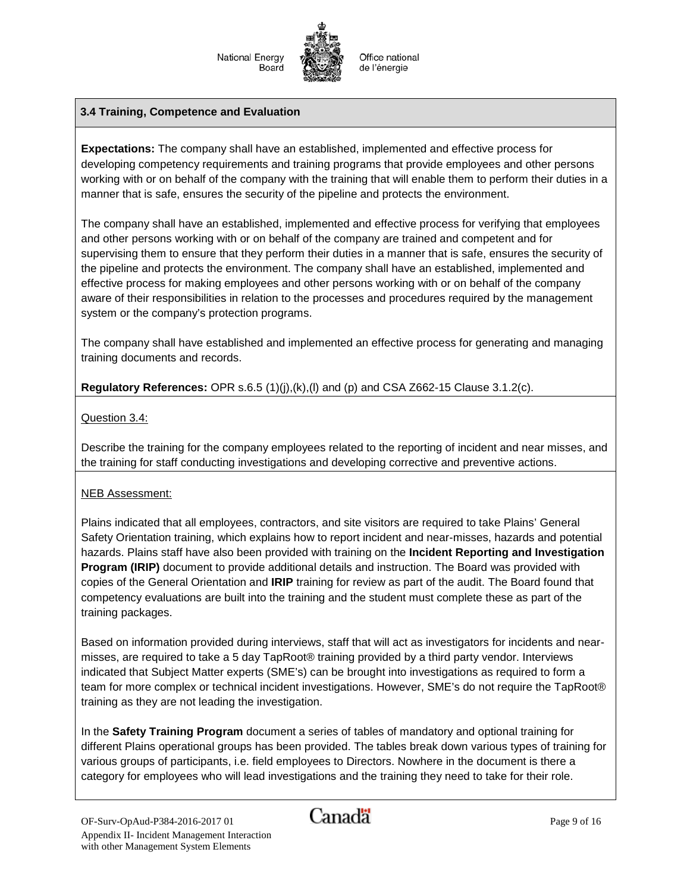

Office national de l'énergie

#### **3.4 Training, Competence and Evaluation**

**Expectations:** The company shall have an established, implemented and effective process for developing competency requirements and training programs that provide employees and other persons working with or on behalf of the company with the training that will enable them to perform their duties in a manner that is safe, ensures the security of the pipeline and protects the environment.

The company shall have an established, implemented and effective process for verifying that employees and other persons working with or on behalf of the company are trained and competent and for supervising them to ensure that they perform their duties in a manner that is safe, ensures the security of the pipeline and protects the environment. The company shall have an established, implemented and effective process for making employees and other persons working with or on behalf of the company aware of their responsibilities in relation to the processes and procedures required by the management system or the company's protection programs.

The company shall have established and implemented an effective process for generating and managing training documents and records.

**Regulatory References:** OPR s.6.5 (1)(j),(k),(l) and (p) and CSA Z662-15 Clause 3.1.2(c).

#### Question 3.4:

Describe the training for the company employees related to the reporting of incident and near misses, and the training for staff conducting investigations and developing corrective and preventive actions.

#### NEB Assessment:

Plains indicated that all employees, contractors, and site visitors are required to take Plains' General Safety Orientation training, which explains how to report incident and near-misses, hazards and potential hazards. Plains staff have also been provided with training on the **Incident Reporting and Investigation Program (IRIP)** document to provide additional details and instruction. The Board was provided with copies of the General Orientation and **IRIP** training for review as part of the audit. The Board found that competency evaluations are built into the training and the student must complete these as part of the training packages.

Based on information provided during interviews, staff that will act as investigators for incidents and nearmisses, are required to take a 5 day TapRoot® training provided by a third party vendor. Interviews indicated that Subject Matter experts (SME's) can be brought into investigations as required to form a team for more complex or technical incident investigations. However, SME's do not require the TapRoot® training as they are not leading the investigation.

In the **Safety Training Program** document a series of tables of mandatory and optional training for different Plains operational groups has been provided. The tables break down various types of training for various groups of participants, i.e. field employees to Directors. Nowhere in the document is there a category for employees who will lead investigations and the training they need to take for their role.

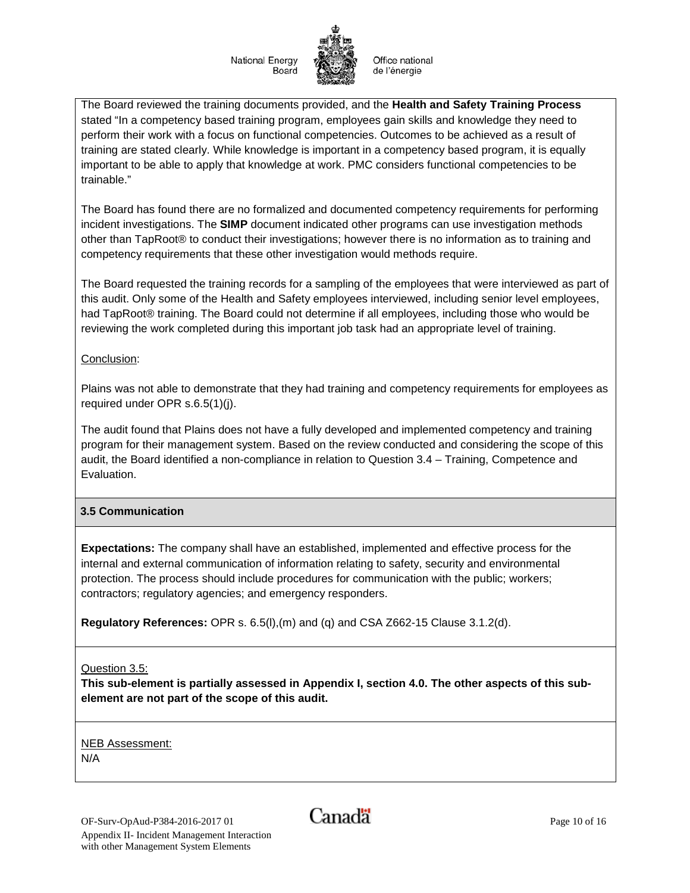Office national de l'énergie

The Board reviewed the training documents provided, and the **Health and Safety Training Process** stated "In a competency based training program, employees gain skills and knowledge they need to perform their work with a focus on functional competencies. Outcomes to be achieved as a result of training are stated clearly. While knowledge is important in a competency based program, it is equally important to be able to apply that knowledge at work. PMC considers functional competencies to be trainable."

The Board has found there are no formalized and documented competency requirements for performing incident investigations. The **SIMP** document indicated other programs can use investigation methods other than TapRoot® to conduct their investigations; however there is no information as to training and competency requirements that these other investigation would methods require.

The Board requested the training records for a sampling of the employees that were interviewed as part of this audit. Only some of the Health and Safety employees interviewed, including senior level employees, had TapRoot<sup>®</sup> training. The Board could not determine if all employees, including those who would be reviewing the work completed during this important job task had an appropriate level of training.

#### Conclusion:

Plains was not able to demonstrate that they had training and competency requirements for employees as required under OPR s.6.5(1)(j).

The audit found that Plains does not have a fully developed and implemented competency and training program for their management system. Based on the review conducted and considering the scope of this audit, the Board identified a non-compliance in relation to Question 3.4 – Training, Competence and **Evaluation** 

## **3.5 Communication**

**Expectations:** The company shall have an established, implemented and effective process for the internal and external communication of information relating to safety, security and environmental protection. The process should include procedures for communication with the public; workers; contractors; regulatory agencies; and emergency responders.

**Regulatory References:** OPR s. 6.5(l),(m) and (q) and CSA Z662-15 Clause 3.1.2(d).

Question 3.5:

**This sub-element is partially assessed in Appendix I, section 4.0. The other aspects of this subelement are not part of the scope of this audit.** 

NEB Assessment: N/A

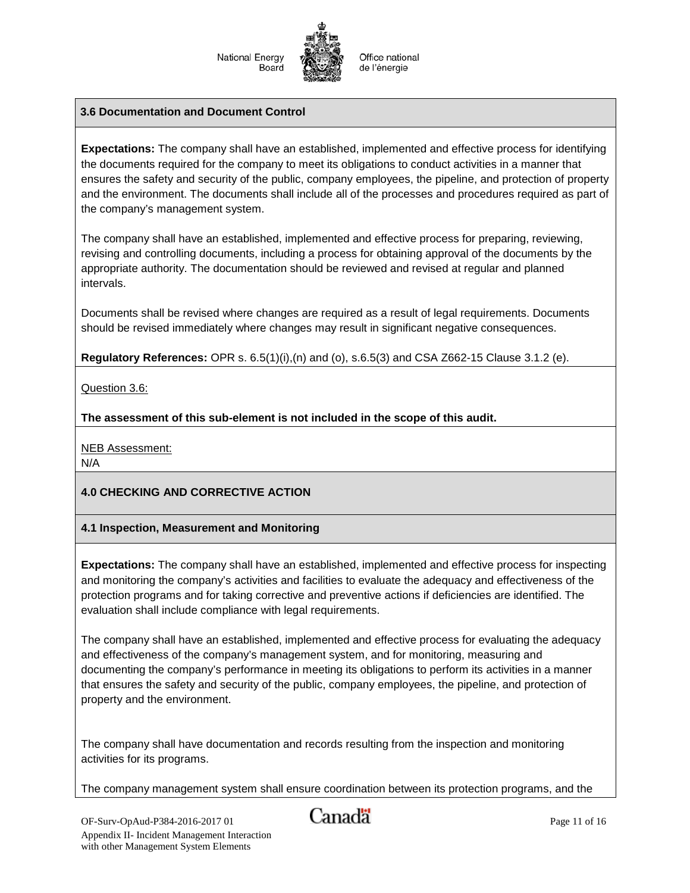Office national de l'énergie

#### **3.6 Documentation and Document Control**

**Expectations:** The company shall have an established, implemented and effective process for identifying the documents required for the company to meet its obligations to conduct activities in a manner that ensures the safety and security of the public, company employees, the pipeline, and protection of property and the environment. The documents shall include all of the processes and procedures required as part of the company's management system.

The company shall have an established, implemented and effective process for preparing, reviewing, revising and controlling documents, including a process for obtaining approval of the documents by the appropriate authority. The documentation should be reviewed and revised at regular and planned intervals.

Documents shall be revised where changes are required as a result of legal requirements. Documents should be revised immediately where changes may result in significant negative consequences.

**Regulatory References:** OPR s. 6.5(1)(i),(n) and (o), s.6.5(3) and CSA Z662-15 Clause 3.1.2 (e).

Question 3.6:

**The assessment of this sub-element is not included in the scope of this audit.**

NEB Assessment:

N/A

## **4.0 CHECKING AND CORRECTIVE ACTION**

## **4.1 Inspection, Measurement and Monitoring**

**Expectations:** The company shall have an established, implemented and effective process for inspecting and monitoring the company's activities and facilities to evaluate the adequacy and effectiveness of the protection programs and for taking corrective and preventive actions if deficiencies are identified. The evaluation shall include compliance with legal requirements.

The company shall have an established, implemented and effective process for evaluating the adequacy and effectiveness of the company's management system, and for monitoring, measuring and documenting the company's performance in meeting its obligations to perform its activities in a manner that ensures the safety and security of the public, company employees, the pipeline, and protection of property and the environment.

The company shall have documentation and records resulting from the inspection and monitoring activities for its programs.

The company management system shall ensure coordination between its protection programs, and the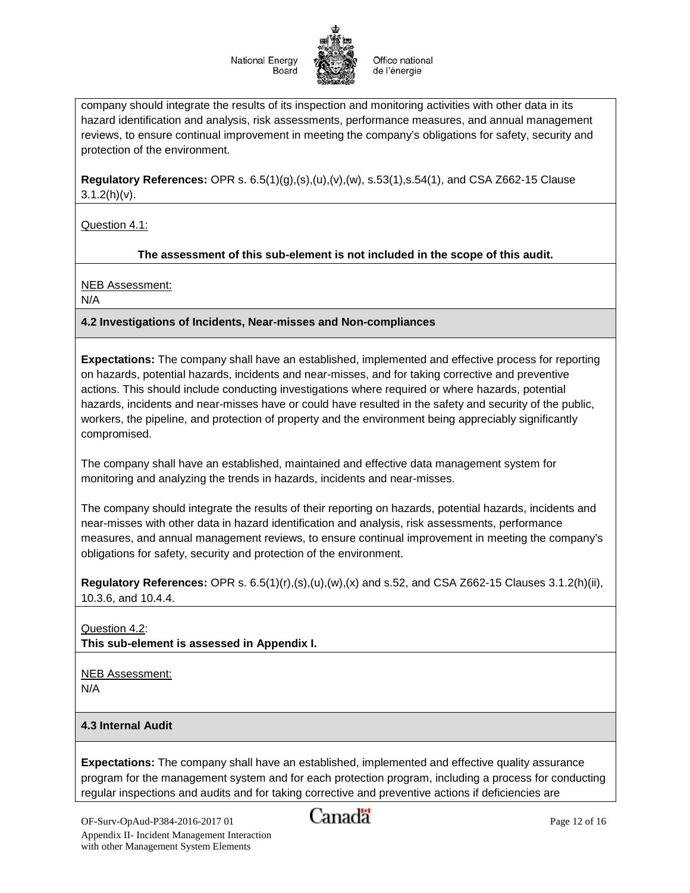Office national de l'énergie

company should integrate the results of its inspection and monitoring activities with other data in its hazard identification and analysis, risk assessments, performance measures, and annual management reviews, to ensure continual improvement in meeting the company's obligations for safety, security and protection of the environment.

**Regulatory References:** OPR s. 6.5(1)(g),(s),(u),(v),(w), s.53(1),s.54(1), and CSA Z662-15 Clause  $3.1.2(h)(v)$ .

Question 4.1:

## **The assessment of this sub-element is not included in the scope of this audit.**

NEB Assessment:

N/A

#### **4.2 Investigations of Incidents, Near-misses and Non-compliances**

**Expectations:** The company shall have an established, implemented and effective process for reporting on hazards, potential hazards, incidents and near-misses, and for taking corrective and preventive actions. This should include conducting investigations where required or where hazards, potential hazards, incidents and near-misses have or could have resulted in the safety and security of the public, workers, the pipeline, and protection of property and the environment being appreciably significantly compromised.

The company shall have an established, maintained and effective data management system for monitoring and analyzing the trends in hazards, incidents and near-misses.

The company should integrate the results of their reporting on hazards, potential hazards, incidents and near-misses with other data in hazard identification and analysis, risk assessments, performance measures, and annual management reviews, to ensure continual improvement in meeting the company's obligations for safety, security and protection of the environment.

**Regulatory References:** OPR s. 6.5(1)(r),(s),(u),(w),(x) and s.52, and CSA Z662-15 Clauses 3.1.2(h)(ii), 10.3.6, and 10.4.4.

Question 4.2: **This sub-element is assessed in Appendix I.**

NEB Assessment: N/A

#### **4.3 Internal Audit**

**Expectations:** The company shall have an established, implemented and effective quality assurance program for the management system and for each protection program, including a process for conducting regular inspections and audits and for taking corrective and preventive actions if deficiencies are

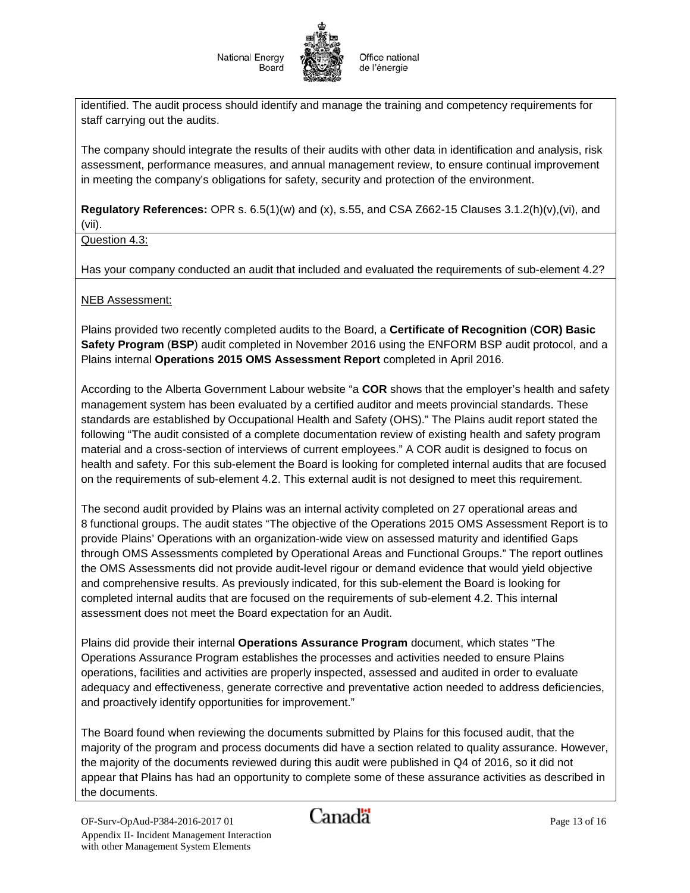

identified. The audit process should identify and manage the training and competency requirements for staff carrying out the audits.

The company should integrate the results of their audits with other data in identification and analysis, risk assessment, performance measures, and annual management review, to ensure continual improvement in meeting the company's obligations for safety, security and protection of the environment.

**Regulatory References:** OPR s. 6.5(1)(w) and (x), s.55, and CSA Z662-15 Clauses 3.1.2(h)(v),(vi), and (vii).

Question 4.3:

Has your company conducted an audit that included and evaluated the requirements of sub-element 4.2?

NEB Assessment:

Plains provided two recently completed audits to the Board, a **Certificate of Recognition** (**COR) Basic Safety Program** (**BSP**) audit completed in November 2016 using the ENFORM BSP audit protocol, and a Plains internal **Operations 2015 OMS Assessment Report** completed in April 2016.

According to the Alberta Government Labour website "a **COR** shows that the employer's health and safety management system has been evaluated by a certified auditor and meets provincial standards. These standards are established by Occupational Health and Safety (OHS)." The Plains audit report stated the following "The audit consisted of a complete documentation review of existing health and safety program material and a cross-section of interviews of current employees." A COR audit is designed to focus on health and safety. For this sub-element the Board is looking for completed internal audits that are focused on the requirements of sub-element 4.2. This external audit is not designed to meet this requirement.

The second audit provided by Plains was an internal activity completed on 27 operational areas and 8 functional groups. The audit states "The objective of the Operations 2015 OMS Assessment Report is to provide Plains' Operations with an organization-wide view on assessed maturity and identified Gaps through OMS Assessments completed by Operational Areas and Functional Groups." The report outlines the OMS Assessments did not provide audit-level rigour or demand evidence that would yield objective and comprehensive results. As previously indicated, for this sub-element the Board is looking for completed internal audits that are focused on the requirements of sub-element 4.2. This internal assessment does not meet the Board expectation for an Audit.

Plains did provide their internal **Operations Assurance Program** document, which states "The Operations Assurance Program establishes the processes and activities needed to ensure Plains operations, facilities and activities are properly inspected, assessed and audited in order to evaluate adequacy and effectiveness, generate corrective and preventative action needed to address deficiencies, and proactively identify opportunities for improvement."

The Board found when reviewing the documents submitted by Plains for this focused audit, that the majority of the program and process documents did have a section related to quality assurance. However, the majority of the documents reviewed during this audit were published in Q4 of 2016, so it did not appear that Plains has had an opportunity to complete some of these assurance activities as described in the documents.

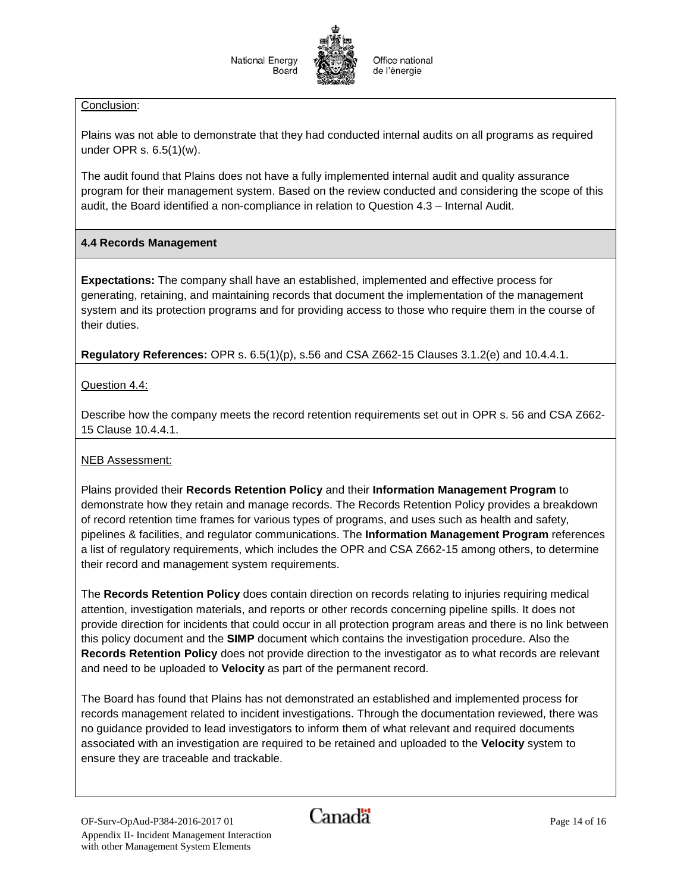#### Conclusion:

Plains was not able to demonstrate that they had conducted internal audits on all programs as required under OPR s. 6.5(1)(w).

The audit found that Plains does not have a fully implemented internal audit and quality assurance program for their management system. Based on the review conducted and considering the scope of this audit, the Board identified a non-compliance in relation to Question 4.3 – Internal Audit.

#### **4.4 Records Management**

**Expectations:** The company shall have an established, implemented and effective process for generating, retaining, and maintaining records that document the implementation of the management system and its protection programs and for providing access to those who require them in the course of their duties.

**Regulatory References:** OPR s. 6.5(1)(p), s.56 and CSA Z662-15 Clauses 3.1.2(e) and 10.4.4.1.

Question 4.4:

Describe how the company meets the record retention requirements set out in OPR s. 56 and CSA Z662- 15 Clause 10.4.4.1.

#### NEB Assessment:

Plains provided their **Records Retention Policy** and their **Information Management Program** to demonstrate how they retain and manage records. The Records Retention Policy provides a breakdown of record retention time frames for various types of programs, and uses such as health and safety, pipelines & facilities, and regulator communications. The **Information Management Program** references a list of regulatory requirements, which includes the OPR and CSA Z662-15 among others, to determine their record and management system requirements.

The **Records Retention Policy** does contain direction on records relating to injuries requiring medical attention, investigation materials, and reports or other records concerning pipeline spills. It does not provide direction for incidents that could occur in all protection program areas and there is no link between this policy document and the **SIMP** document which contains the investigation procedure. Also the **Records Retention Policy** does not provide direction to the investigator as to what records are relevant and need to be uploaded to **Velocity** as part of the permanent record.

The Board has found that Plains has not demonstrated an established and implemented process for records management related to incident investigations. Through the documentation reviewed, there was no guidance provided to lead investigators to inform them of what relevant and required documents associated with an investigation are required to be retained and uploaded to the **Velocity** system to ensure they are traceable and trackable.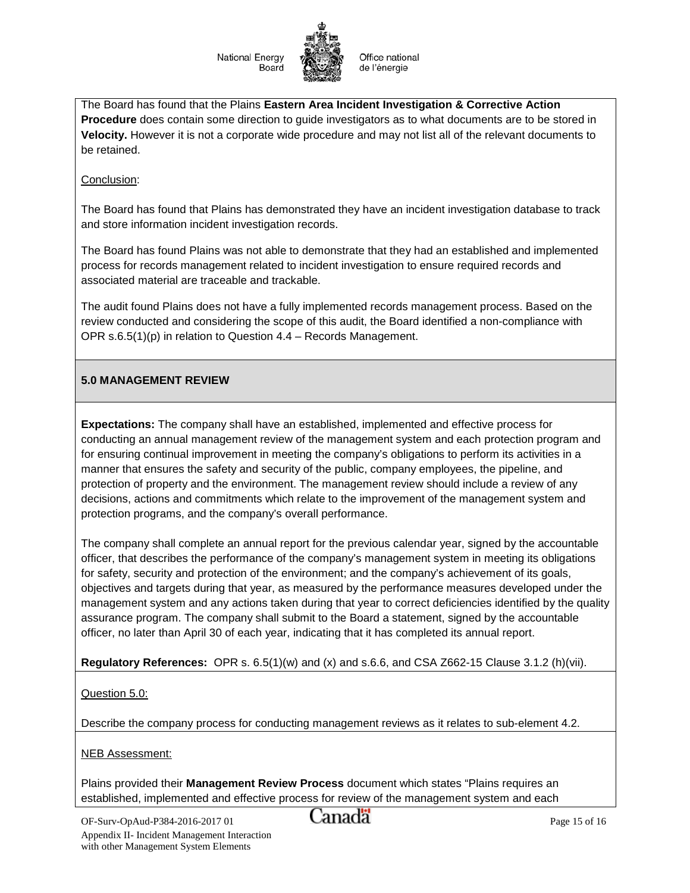

Office national de l'énergie

The Board has found that the Plains **Eastern Area Incident Investigation & Corrective Action Procedure** does contain some direction to guide investigators as to what documents are to be stored in **Velocity.** However it is not a corporate wide procedure and may not list all of the relevant documents to be retained.

#### Conclusion:

The Board has found that Plains has demonstrated they have an incident investigation database to track and store information incident investigation records.

The Board has found Plains was not able to demonstrate that they had an established and implemented process for records management related to incident investigation to ensure required records and associated material are traceable and trackable.

The audit found Plains does not have a fully implemented records management process. Based on the review conducted and considering the scope of this audit, the Board identified a non-compliance with OPR s.6.5(1)(p) in relation to Question 4.4 – Records Management.

#### **5.0 MANAGEMENT REVIEW**

**Expectations:** The company shall have an established, implemented and effective process for conducting an annual management review of the management system and each protection program and for ensuring continual improvement in meeting the company's obligations to perform its activities in a manner that ensures the safety and security of the public, company employees, the pipeline, and protection of property and the environment. The management review should include a review of any decisions, actions and commitments which relate to the improvement of the management system and protection programs, and the company's overall performance.

The company shall complete an annual report for the previous calendar year, signed by the accountable officer, that describes the performance of the company's management system in meeting its obligations for safety, security and protection of the environment; and the company's achievement of its goals, objectives and targets during that year, as measured by the performance measures developed under the management system and any actions taken during that year to correct deficiencies identified by the quality assurance program. The company shall submit to the Board a statement, signed by the accountable officer, no later than April 30 of each year, indicating that it has completed its annual report.

**Regulatory References:** OPR s. 6.5(1)(w) and (x) and s.6.6, and CSA Z662-15 Clause 3.1.2 (h)(vii).

Question 5.0:

Describe the company process for conducting management reviews as it relates to sub-element 4.2.

NEB Assessment:

Plains provided their **Management Review Process** document which states "Plains requires an established, implemented and effective process for review of the management system and each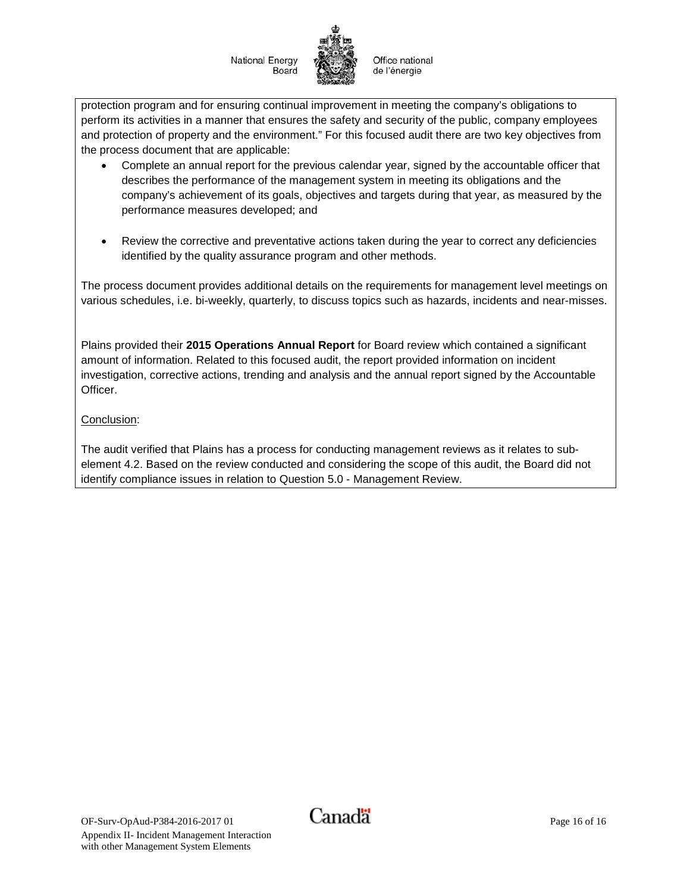Office national de l'énergie

protection program and for ensuring continual improvement in meeting the company's obligations to perform its activities in a manner that ensures the safety and security of the public, company employees and protection of property and the environment." For this focused audit there are two key objectives from the process document that are applicable:

- Complete an annual report for the previous calendar year, signed by the accountable officer that describes the performance of the management system in meeting its obligations and the company's achievement of its goals, objectives and targets during that year, as measured by the performance measures developed; and
- Review the corrective and preventative actions taken during the year to correct any deficiencies identified by the quality assurance program and other methods.

The process document provides additional details on the requirements for management level meetings on various schedules, i.e. bi-weekly, quarterly, to discuss topics such as hazards, incidents and near-misses.

Plains provided their **2015 Operations Annual Report** for Board review which contained a significant amount of information. Related to this focused audit, the report provided information on incident investigation, corrective actions, trending and analysis and the annual report signed by the Accountable Officer.

## Conclusion:

The audit verified that Plains has a process for conducting management reviews as it relates to subelement 4.2. Based on the review conducted and considering the scope of this audit, the Board did not identify compliance issues in relation to Question 5.0 - Management Review.

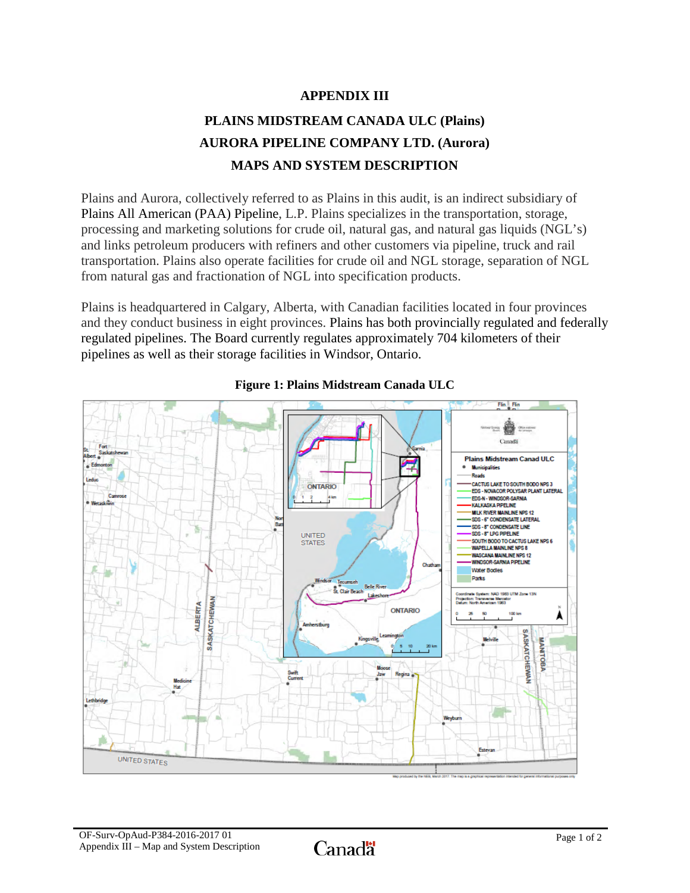# **APPENDIX III**

# **PLAINS MIDSTREAM CANADA ULC (Plains) AURORA PIPELINE COMPANY LTD. (Aurora) MAPS AND SYSTEM DESCRIPTION**

Plains and Aurora, collectively referred to as Plains in this audit, is an indirect subsidiary of [Plains All American \(PAA\) Pipeline,](http://www.paalp.com/) L.P. Plains specializes in the transportation, storage, processing and marketing solutions for crude oil, natural gas, and natural gas liquids (NGL's) and links petroleum producers with refiners and other customers via pipeline, truck and rail transportation. Plains also operate facilities for crude oil and NGL storage, separation of NGL from natural gas and fractionation of NGL into specification products.

Plains is headquartered in Calgary, Alberta, with Canadian facilities located in four provinces and they conduct business in eight provinces. Plains has both provincially regulated and federally regulated pipelines. The Board currently regulates approximately 704 kilometers of their pipelines as well as their storage facilities in Windsor, Ontario.



## **Figure 1: Plains Midstream Canada ULC**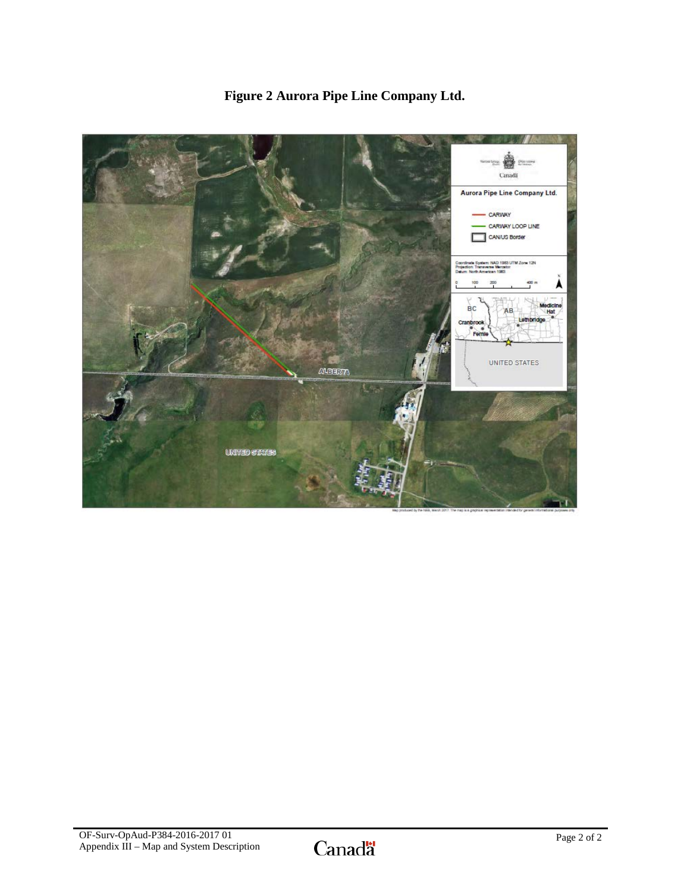

# **Figure 2 Aurora Pipe Line Company Ltd.**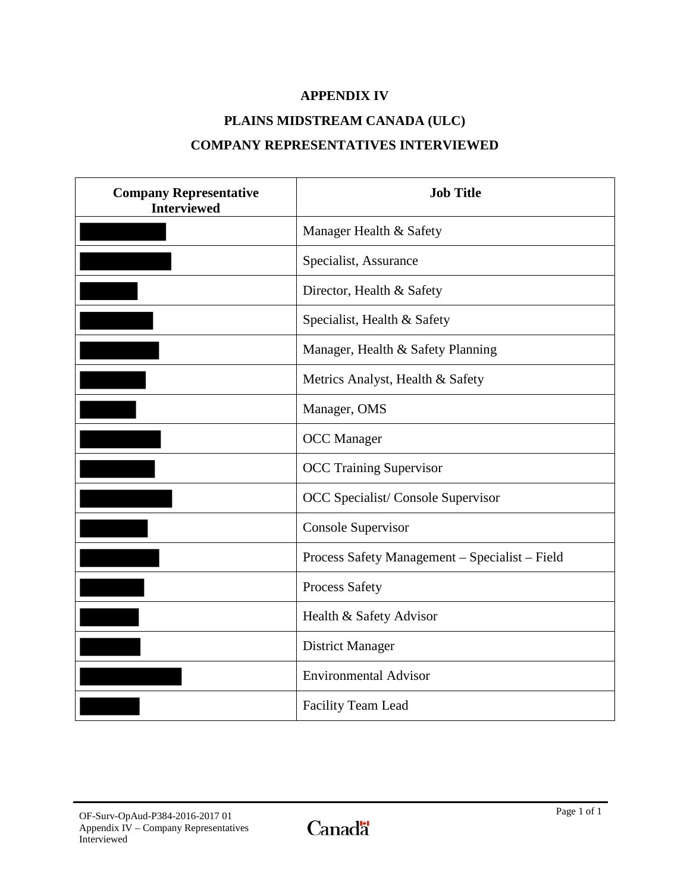# **APPENDIX IV**

# **PLAINS MIDSTREAM CANADA (ULC)**

# **COMPANY REPRESENTATIVES INTERVIEWED**

| <b>Company Representative</b><br><b>Interviewed</b> | <b>Job Title</b>                               |
|-----------------------------------------------------|------------------------------------------------|
|                                                     | Manager Health & Safety                        |
|                                                     | Specialist, Assurance                          |
|                                                     | Director, Health & Safety                      |
|                                                     | Specialist, Health & Safety                    |
|                                                     | Manager, Health & Safety Planning              |
|                                                     | Metrics Analyst, Health & Safety               |
|                                                     | Manager, OMS                                   |
|                                                     | <b>OCC</b> Manager                             |
|                                                     | <b>OCC Training Supervisor</b>                 |
|                                                     | OCC Specialist/Console Supervisor              |
|                                                     | <b>Console Supervisor</b>                      |
|                                                     | Process Safety Management - Specialist - Field |
|                                                     | <b>Process Safety</b>                          |
|                                                     | Health & Safety Advisor                        |
|                                                     | <b>District Manager</b>                        |
|                                                     | <b>Environmental Advisor</b>                   |
|                                                     | Facility Team Lead                             |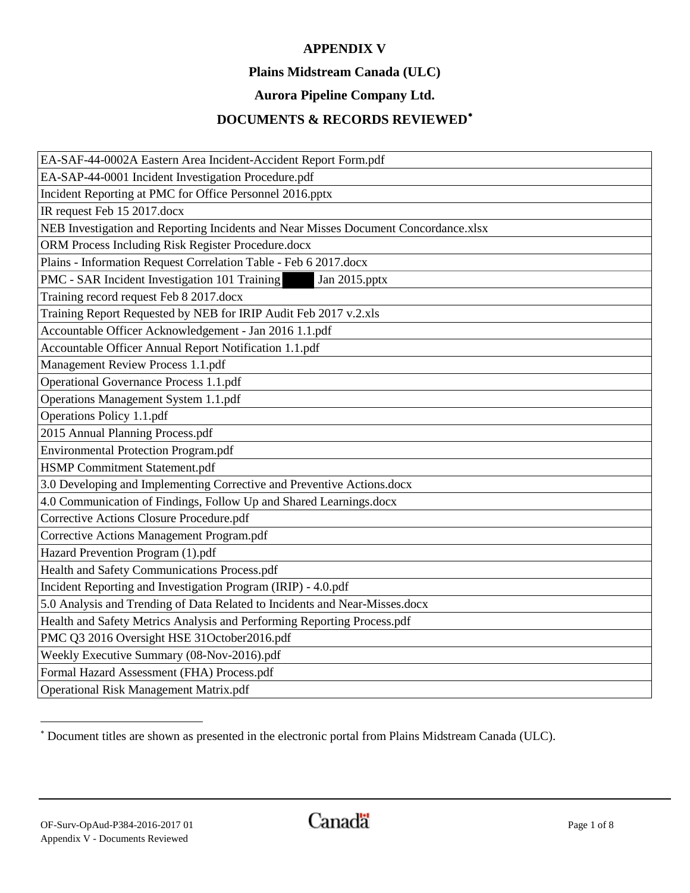# **APPENDIX V**

## **Plains Midstream Canada (ULC)**

# **Aurora Pipeline Company Ltd.**

# **DOCUMENTS & RECORDS REVIEWED**[∗](#page-49-0)

| EA-SAF-44-0002A Eastern Area Incident-Accident Report Form.pdf                      |  |  |
|-------------------------------------------------------------------------------------|--|--|
| EA-SAP-44-0001 Incident Investigation Procedure.pdf                                 |  |  |
| Incident Reporting at PMC for Office Personnel 2016.pptx                            |  |  |
| IR request Feb 15 2017.docx                                                         |  |  |
| NEB Investigation and Reporting Incidents and Near Misses Document Concordance.xlsx |  |  |
| ORM Process Including Risk Register Procedure.docx                                  |  |  |
| Plains - Information Request Correlation Table - Feb 6 2017.docx                    |  |  |
| PMC - SAR Incident Investigation 101 Training<br>Jan 2015.pptx                      |  |  |
| Training record request Feb 8 2017.docx                                             |  |  |
| Training Report Requested by NEB for IRIP Audit Feb 2017 v.2.xls                    |  |  |
| Accountable Officer Acknowledgement - Jan 2016 1.1.pdf                              |  |  |
| Accountable Officer Annual Report Notification 1.1.pdf                              |  |  |
| Management Review Process 1.1.pdf                                                   |  |  |
| Operational Governance Process 1.1.pdf                                              |  |  |
| Operations Management System 1.1.pdf                                                |  |  |
| Operations Policy 1.1.pdf                                                           |  |  |
| 2015 Annual Planning Process.pdf                                                    |  |  |
| Environmental Protection Program.pdf                                                |  |  |
| HSMP Commitment Statement.pdf                                                       |  |  |
| 3.0 Developing and Implementing Corrective and Preventive Actions.docx              |  |  |
| 4.0 Communication of Findings, Follow Up and Shared Learnings.docx                  |  |  |
| Corrective Actions Closure Procedure.pdf                                            |  |  |
| Corrective Actions Management Program.pdf                                           |  |  |
| Hazard Prevention Program (1).pdf                                                   |  |  |
| Health and Safety Communications Process.pdf                                        |  |  |
| Incident Reporting and Investigation Program (IRIP) - 4.0.pdf                       |  |  |
| 5.0 Analysis and Trending of Data Related to Incidents and Near-Misses.docx         |  |  |
| Health and Safety Metrics Analysis and Performing Reporting Process.pdf             |  |  |
| PMC Q3 2016 Oversight HSE 31October2016.pdf                                         |  |  |
| Weekly Executive Summary (08-Nov-2016).pdf                                          |  |  |
| Formal Hazard Assessment (FHA) Process.pdf                                          |  |  |
| Operational Risk Management Matrix.pdf                                              |  |  |

<span id="page-49-0"></span><sup>∗</sup> Document titles are shown as presented in the electronic portal from Plains Midstream Canada (ULC).

l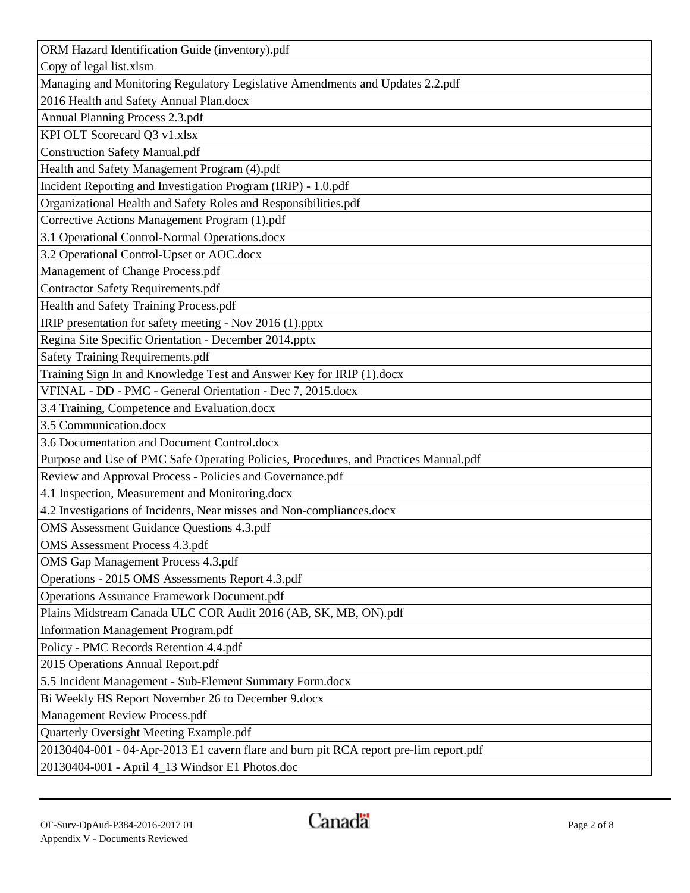| ORM Hazard Identification Guide (inventory).pdf                                       |  |
|---------------------------------------------------------------------------------------|--|
| Copy of legal list.xlsm                                                               |  |
| Managing and Monitoring Regulatory Legislative Amendments and Updates 2.2.pdf         |  |
| 2016 Health and Safety Annual Plan.docx                                               |  |
| Annual Planning Process 2.3.pdf                                                       |  |
| KPI OLT Scorecard Q3 v1.xlsx                                                          |  |
| <b>Construction Safety Manual.pdf</b>                                                 |  |
| Health and Safety Management Program (4).pdf                                          |  |
| Incident Reporting and Investigation Program (IRIP) - 1.0.pdf                         |  |
| Organizational Health and Safety Roles and Responsibilities.pdf                       |  |
| Corrective Actions Management Program (1).pdf                                         |  |
| 3.1 Operational Control-Normal Operations.docx                                        |  |
| 3.2 Operational Control-Upset or AOC.docx                                             |  |
| Management of Change Process.pdf                                                      |  |
| <b>Contractor Safety Requirements.pdf</b>                                             |  |
| Health and Safety Training Process.pdf                                                |  |
| IRIP presentation for safety meeting - Nov 2016 (1).pptx                              |  |
| Regina Site Specific Orientation - December 2014.pptx                                 |  |
| Safety Training Requirements.pdf                                                      |  |
| Training Sign In and Knowledge Test and Answer Key for IRIP (1).docx                  |  |
| VFINAL - DD - PMC - General Orientation - Dec 7, 2015.docx                            |  |
| 3.4 Training, Competence and Evaluation.docx                                          |  |
| 3.5 Communication.docx                                                                |  |
| 3.6 Documentation and Document Control.docx                                           |  |
| Purpose and Use of PMC Safe Operating Policies, Procedures, and Practices Manual.pdf  |  |
| Review and Approval Process - Policies and Governance.pdf                             |  |
| 4.1 Inspection, Measurement and Monitoring.docx                                       |  |
| 4.2 Investigations of Incidents, Near misses and Non-compliances.docx                 |  |
| <b>OMS</b> Assessment Guidance Questions 4.3.pdf                                      |  |
| <b>OMS</b> Assessment Process 4.3.pdf                                                 |  |
| <b>OMS</b> Gap Management Process 4.3.pdf                                             |  |
| Operations - 2015 OMS Assessments Report 4.3.pdf                                      |  |
| <b>Operations Assurance Framework Document.pdf</b>                                    |  |
| Plains Midstream Canada ULC COR Audit 2016 (AB, SK, MB, ON).pdf                       |  |
| <b>Information Management Program.pdf</b>                                             |  |
| Policy - PMC Records Retention 4.4.pdf                                                |  |
| 2015 Operations Annual Report.pdf                                                     |  |
| 5.5 Incident Management - Sub-Element Summary Form.docx                               |  |
| Bi Weekly HS Report November 26 to December 9.docx                                    |  |
| Management Review Process.pdf                                                         |  |
| Quarterly Oversight Meeting Example.pdf                                               |  |
| 20130404-001 - 04-Apr-2013 E1 cavern flare and burn pit RCA report pre-lim report.pdf |  |
| 20130404-001 - April 4_13 Windsor E1 Photos.doc                                       |  |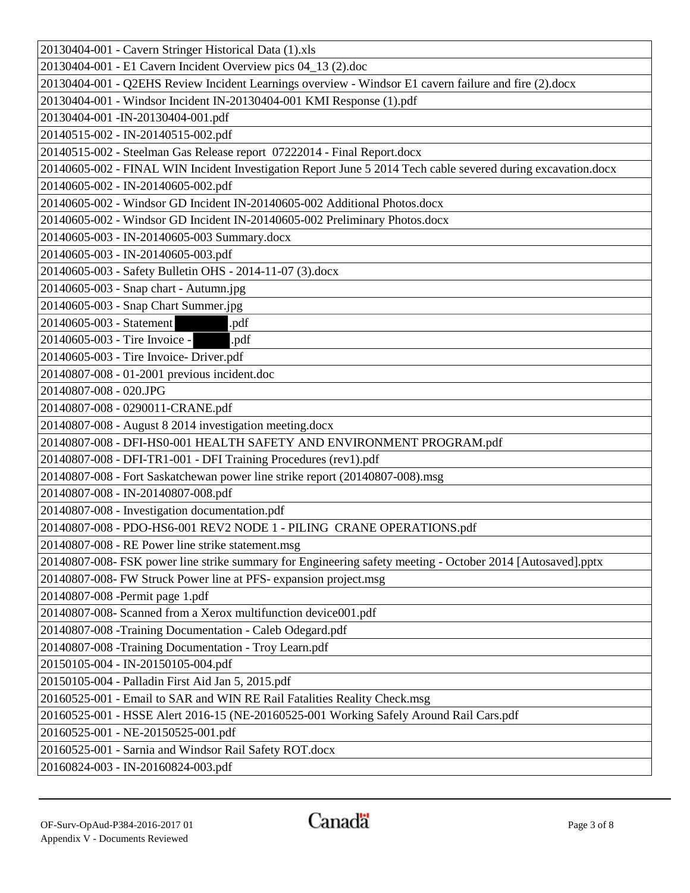| 20130404-001 - Cavern Stringer Historical Data (1).xls                                                       |
|--------------------------------------------------------------------------------------------------------------|
| 20130404-001 - E1 Cavern Incident Overview pics 04_13 (2).doc                                                |
| 20130404-001 - Q2EHS Review Incident Learnings overview - Windsor E1 cavern failure and fire (2).docx        |
| 20130404-001 - Windsor Incident IN-20130404-001 KMI Response (1).pdf                                         |
| 20130404-001 -IN-20130404-001.pdf                                                                            |
| 20140515-002 - IN-20140515-002.pdf                                                                           |
| 20140515-002 - Steelman Gas Release report 07222014 - Final Report.docx                                      |
| 20140605-002 - FINAL WIN Incident Investigation Report June 5 2014 Tech cable severed during excavation.docx |
| 20140605-002 - IN-20140605-002.pdf                                                                           |
| 20140605-002 - Windsor GD Incident IN-20140605-002 Additional Photos.docx                                    |
| 20140605-002 - Windsor GD Incident IN-20140605-002 Preliminary Photos.docx                                   |
| 20140605-003 - IN-20140605-003 Summary.docx                                                                  |
| 20140605-003 - IN-20140605-003.pdf                                                                           |
| 20140605-003 - Safety Bulletin OHS - 2014-11-07 (3).docx                                                     |
| 20140605-003 - Snap chart - Autumn.jpg                                                                       |
| 20140605-003 - Snap Chart Summer.jpg                                                                         |
| 20140605-003 - Statement<br>.pdf                                                                             |
| 20140605-003 - Tire Invoice -<br>.pdf                                                                        |
| 20140605-003 - Tire Invoice- Driver.pdf                                                                      |
| 20140807-008 - 01-2001 previous incident.doc                                                                 |
| 20140807-008 - 020.JPG                                                                                       |
| 20140807-008 - 0290011-CRANE.pdf                                                                             |
| 20140807-008 - August 8 2014 investigation meeting.docx                                                      |
| 20140807-008 - DFI-HS0-001 HEALTH SAFETY AND ENVIRONMENT PROGRAM.pdf                                         |
| 20140807-008 - DFI-TR1-001 - DFI Training Procedures (rev1).pdf                                              |
| 20140807-008 - Fort Saskatchewan power line strike report (20140807-008).msg                                 |
| 20140807-008 - IN-20140807-008.pdf                                                                           |
| 20140807-008 - Investigation documentation.pdf                                                               |
| 20140807-008 - PDO-HS6-001 REV2 NODE 1 - PILING CRANE OPERATIONS.pdf                                         |
| 20140807-008 - RE Power line strike statement.msg                                                            |
| 20140807-008- FSK power line strike summary for Engineering safety meeting - October 2014 [Autosaved].pptx   |
| 20140807-008- FW Struck Power line at PFS- expansion project.msg                                             |
| 20140807-008 -Permit page 1.pdf                                                                              |
| 20140807-008- Scanned from a Xerox multifunction device001.pdf                                               |
| 20140807-008 - Training Documentation - Caleb Odegard.pdf                                                    |
| 20140807-008 - Training Documentation - Troy Learn.pdf                                                       |
| 20150105-004 - IN-20150105-004.pdf                                                                           |
| 20150105-004 - Palladin First Aid Jan 5, 2015.pdf                                                            |
| 20160525-001 - Email to SAR and WIN RE Rail Fatalities Reality Check.msg                                     |
| 20160525-001 - HSSE Alert 2016-15 (NE-20160525-001 Working Safely Around Rail Cars.pdf                       |
| 20160525-001 - NE-20150525-001.pdf                                                                           |
| 20160525-001 - Sarnia and Windsor Rail Safety ROT.docx                                                       |
| 20160824-003 - IN-20160824-003.pdf                                                                           |
|                                                                                                              |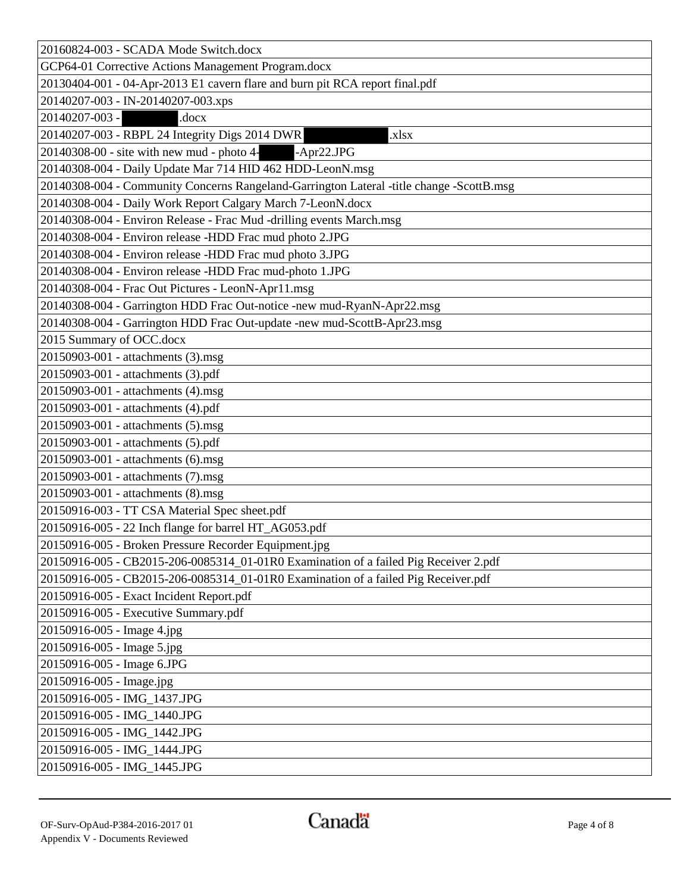| 20160824-003 - SCADA Mode Switch.docx                                                    |  |
|------------------------------------------------------------------------------------------|--|
| GCP64-01 Corrective Actions Management Program.docx                                      |  |
| 20130404-001 - 04-Apr-2013 E1 cavern flare and burn pit RCA report final.pdf             |  |
| 20140207-003 - IN-20140207-003.xps                                                       |  |
| 20140207-003 -<br>.docx                                                                  |  |
| 20140207-003 - RBPL 24 Integrity Digs 2014 DWR<br>.xlsx                                  |  |
| 20140308-00 - site with new mud - photo 4-<br>$-Apr22.JPG$                               |  |
| 20140308-004 - Daily Update Mar 714 HID 462 HDD-LeonN.msg                                |  |
| 20140308-004 - Community Concerns Rangeland-Garrington Lateral -title change -ScottB.msg |  |
| 20140308-004 - Daily Work Report Calgary March 7-LeonN.docx                              |  |
| 20140308-004 - Environ Release - Frac Mud -drilling events March.msg                     |  |
| 20140308-004 - Environ release -HDD Frac mud photo 2.JPG                                 |  |
| 20140308-004 - Environ release -HDD Frac mud photo 3.JPG                                 |  |
| 20140308-004 - Environ release -HDD Frac mud-photo 1.JPG                                 |  |
| 20140308-004 - Frac Out Pictures - LeonN-Apr11.msg                                       |  |
| 20140308-004 - Garrington HDD Frac Out-notice -new mud-RyanN-Apr22.msg                   |  |
| 20140308-004 - Garrington HDD Frac Out-update -new mud-ScottB-Apr23.msg                  |  |
| 2015 Summary of OCC.docx                                                                 |  |
| 20150903-001 - attachments (3).msg                                                       |  |
| 20150903-001 - attachments (3).pdf                                                       |  |
| 20150903-001 - attachments (4).msg                                                       |  |
| 20150903-001 - attachments (4).pdf                                                       |  |
| 20150903-001 - attachments (5).msg                                                       |  |
| 20150903-001 - attachments (5).pdf                                                       |  |
| 20150903-001 - attachments (6).msg                                                       |  |
| 20150903-001 - attachments (7).msg                                                       |  |
| 20150903-001 - attachments (8).msg                                                       |  |
| 20150916-003 - TT CSA Material Spec sheet.pdf                                            |  |
| 20150916-005 - 22 Inch flange for barrel HT_AG053.pdf                                    |  |
| 20150916-005 - Broken Pressure Recorder Equipment.jpg                                    |  |
| 20150916-005 - CB2015-206-0085314_01-01R0 Examination of a failed Pig Receiver 2.pdf     |  |
| 20150916-005 - CB2015-206-0085314_01-01R0 Examination of a failed Pig Receiver.pdf       |  |
| 20150916-005 - Exact Incident Report.pdf                                                 |  |
| 20150916-005 - Executive Summary.pdf                                                     |  |
| 20150916-005 - Image 4.jpg                                                               |  |
| 20150916-005 - Image 5.jpg                                                               |  |
| 20150916-005 - Image 6.JPG                                                               |  |
| 20150916-005 - Image.jpg                                                                 |  |
| 20150916-005 - IMG_1437.JPG                                                              |  |
| 20150916-005 - IMG_1440.JPG                                                              |  |
| 20150916-005 - IMG_1442.JPG                                                              |  |
| 20150916-005 - IMG_1444.JPG                                                              |  |
| 20150916-005 - IMG_1445.JPG                                                              |  |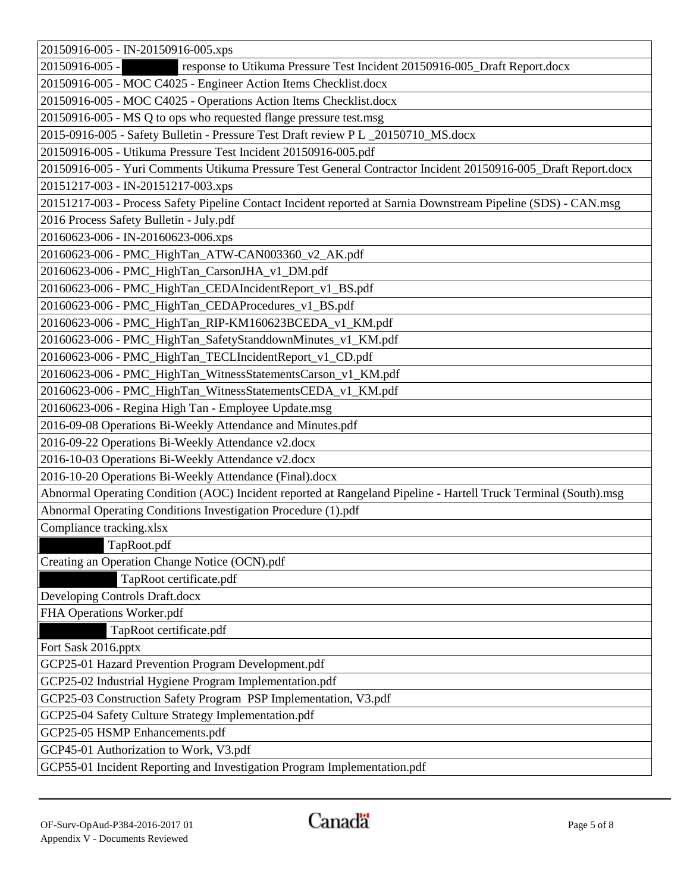| 20150916-005 - IN-20150916-005.xps                                                                              |
|-----------------------------------------------------------------------------------------------------------------|
| response to Utikuma Pressure Test Incident 20150916-005_Draft Report.docx<br>20150916-005 -                     |
| 20150916-005 - MOC C4025 - Engineer Action Items Checklist.docx                                                 |
| 20150916-005 - MOC C4025 - Operations Action Items Checklist.docx                                               |
| 20150916-005 - MS Q to ops who requested flange pressure test.msg                                               |
| 2015-0916-005 - Safety Bulletin - Pressure Test Draft review P L _20150710_MS.docx                              |
| 20150916-005 - Utikuma Pressure Test Incident 20150916-005.pdf                                                  |
| 20150916-005 - Yuri Comments Utikuma Pressure Test General Contractor Incident 20150916-005_Draft Report.docx   |
| 20151217-003 - IN-20151217-003.xps                                                                              |
| 20151217-003 - Process Safety Pipeline Contact Incident reported at Sarnia Downstream Pipeline (SDS) - CAN.msg  |
| 2016 Process Safety Bulletin - July.pdf                                                                         |
| 20160623-006 - IN-20160623-006.xps                                                                              |
| 20160623-006 - PMC_HighTan_ATW-CAN003360_v2_AK.pdf                                                              |
| 20160623-006 - PMC_HighTan_CarsonJHA_v1_DM.pdf                                                                  |
| 20160623-006 - PMC_HighTan_CEDAIncidentReport_v1_BS.pdf                                                         |
| 20160623-006 - PMC_HighTan_CEDAProcedures_v1_BS.pdf                                                             |
| 20160623-006 - PMC_HighTan_RIP-KM160623BCEDA_v1_KM.pdf                                                          |
| 20160623-006 - PMC_HighTan_SafetyStanddownMinutes_v1_KM.pdf                                                     |
| 20160623-006 - PMC_HighTan_TECLIncidentReport_v1_CD.pdf                                                         |
| 20160623-006 - PMC_HighTan_WitnessStatementsCarson_v1_KM.pdf                                                    |
| 20160623-006 - PMC_HighTan_WitnessStatementsCEDA_v1_KM.pdf                                                      |
| 20160623-006 - Regina High Tan - Employee Update.msg                                                            |
| 2016-09-08 Operations Bi-Weekly Attendance and Minutes.pdf                                                      |
| 2016-09-22 Operations Bi-Weekly Attendance v2.docx                                                              |
| 2016-10-03 Operations Bi-Weekly Attendance v2.docx                                                              |
| 2016-10-20 Operations Bi-Weekly Attendance (Final).docx                                                         |
| Abnormal Operating Condition (AOC) Incident reported at Rangeland Pipeline - Hartell Truck Terminal (South).msg |
| Abnormal Operating Conditions Investigation Procedure (1).pdf                                                   |
| Compliance tracking.xlsx                                                                                        |
| TapRoot.pdf                                                                                                     |
| Creating an Operation Change Notice (OCN).pdf                                                                   |
| TapRoot certificate.pdf                                                                                         |
| Developing Controls Draft.docx                                                                                  |
| FHA Operations Worker.pdf                                                                                       |
| TapRoot certificate.pdf                                                                                         |
| Fort Sask 2016.pptx                                                                                             |
| GCP25-01 Hazard Prevention Program Development.pdf                                                              |
| GCP25-02 Industrial Hygiene Program Implementation.pdf                                                          |
| GCP25-03 Construction Safety Program PSP Implementation, V3.pdf                                                 |
| GCP25-04 Safety Culture Strategy Implementation.pdf                                                             |
| GCP25-05 HSMP Enhancements.pdf                                                                                  |
| GCP45-01 Authorization to Work, V3.pdf                                                                          |
| GCP55-01 Incident Reporting and Investigation Program Implementation.pdf                                        |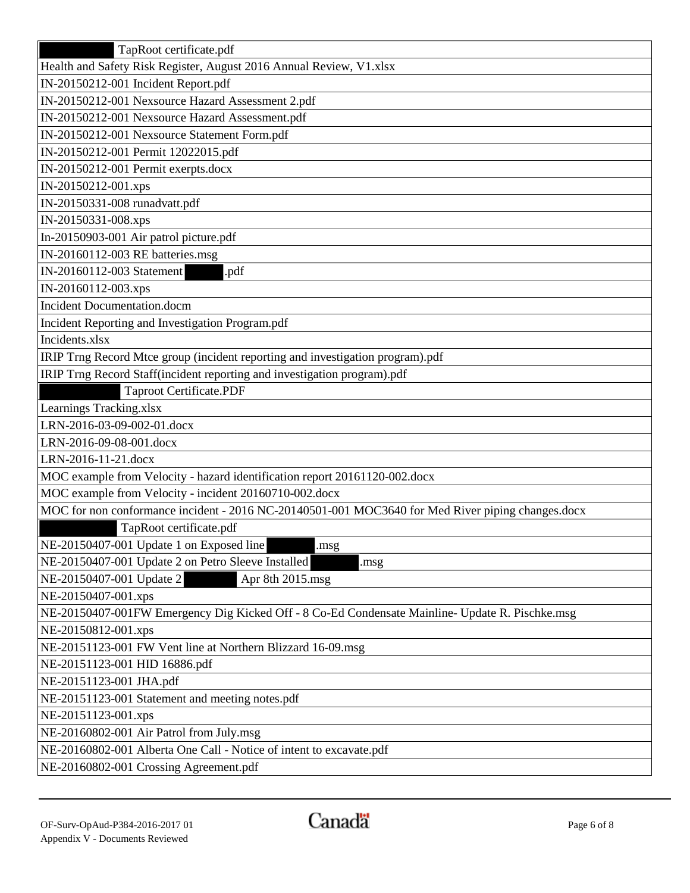| TapRoot certificate.pdf                                                                           |
|---------------------------------------------------------------------------------------------------|
| Health and Safety Risk Register, August 2016 Annual Review, V1.xlsx                               |
| IN-20150212-001 Incident Report.pdf                                                               |
| IN-20150212-001 Nexsource Hazard Assessment 2.pdf                                                 |
| IN-20150212-001 Nexsource Hazard Assessment.pdf                                                   |
| IN-20150212-001 Nexsource Statement Form.pdf                                                      |
| IN-20150212-001 Permit 12022015.pdf                                                               |
| IN-20150212-001 Permit exerpts.docx                                                               |
| IN-20150212-001.xps                                                                               |
| IN-20150331-008 runadvatt.pdf                                                                     |
| IN-20150331-008.xps                                                                               |
| In-20150903-001 Air patrol picture.pdf                                                            |
| IN-20160112-003 RE batteries.msg                                                                  |
| IN-20160112-003 Statement<br>.pdf                                                                 |
| IN-20160112-003.xps                                                                               |
| <b>Incident Documentation.docm</b>                                                                |
| Incident Reporting and Investigation Program.pdf                                                  |
| Incidents.xlsx                                                                                    |
| IRIP Trng Record Mtce group (incident reporting and investigation program).pdf                    |
| IRIP Trng Record Staff(incident reporting and investigation program).pdf                          |
| <b>Taproot Certificate.PDF</b>                                                                    |
| Learnings Tracking.xlsx                                                                           |
| LRN-2016-03-09-002-01.docx                                                                        |
| LRN-2016-09-08-001.docx                                                                           |
| LRN-2016-11-21.docx                                                                               |
| MOC example from Velocity - hazard identification report 20161120-002.docx                        |
| MOC example from Velocity - incident 20160710-002.docx                                            |
| MOC for non conformance incident - 2016 NC-20140501-001 MOC3640 for Med River piping changes.docx |
| TapRoot certificate.pdf                                                                           |
| NE-20150407-001 Update 1 on Exposed line<br>.msg                                                  |
| NE-20150407-001 Update 2 on Petro Sleeve Installed<br>.msg                                        |
| NE-20150407-001 Update 2<br>Apr 8th 2015.msg                                                      |
| NE-20150407-001.xps                                                                               |
| NE-20150407-001FW Emergency Dig Kicked Off - 8 Co-Ed Condensate Mainline- Update R. Pischke.msg   |
| NE-20150812-001.xps                                                                               |
| NE-20151123-001 FW Vent line at Northern Blizzard 16-09.msg                                       |
| NE-20151123-001 HID 16886.pdf                                                                     |
| NE-20151123-001 JHA.pdf                                                                           |
| NE-20151123-001 Statement and meeting notes.pdf                                                   |
| NE-20151123-001.xps                                                                               |
| NE-20160802-001 Air Patrol from July.msg                                                          |
| NE-20160802-001 Alberta One Call - Notice of intent to excavate.pdf                               |
| NE-20160802-001 Crossing Agreement.pdf                                                            |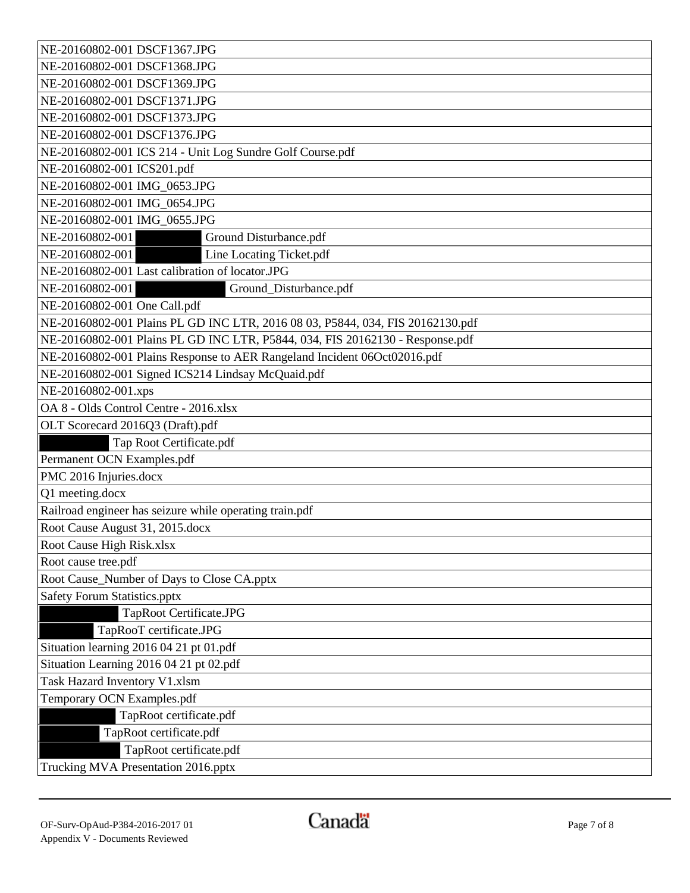| NE-20160802-001 DSCF1367.JPG                                                   |  |  |
|--------------------------------------------------------------------------------|--|--|
| NE-20160802-001 DSCF1368.JPG                                                   |  |  |
| NE-20160802-001 DSCF1369.JPG                                                   |  |  |
| NE-20160802-001 DSCF1371.JPG                                                   |  |  |
| NE-20160802-001 DSCF1373.JPG                                                   |  |  |
| NE-20160802-001 DSCF1376.JPG                                                   |  |  |
| NE-20160802-001 ICS 214 - Unit Log Sundre Golf Course.pdf                      |  |  |
| NE-20160802-001 ICS201.pdf                                                     |  |  |
| NE-20160802-001 IMG 0653.JPG                                                   |  |  |
| NE-20160802-001 IMG_0654.JPG                                                   |  |  |
| NE-20160802-001 IMG_0655.JPG                                                   |  |  |
| NE-20160802-001<br>Ground Disturbance.pdf                                      |  |  |
| Line Locating Ticket.pdf<br>NE-20160802-001                                    |  |  |
| NE-20160802-001 Last calibration of locator.JPG                                |  |  |
| NE-20160802-001<br>Ground_Disturbance.pdf                                      |  |  |
| NE-20160802-001 One Call.pdf                                                   |  |  |
| NE-20160802-001 Plains PL GD INC LTR, 2016 08 03, P5844, 034, FIS 20162130.pdf |  |  |
| NE-20160802-001 Plains PL GD INC LTR, P5844, 034, FIS 20162130 - Response.pdf  |  |  |
| NE-20160802-001 Plains Response to AER Rangeland Incident 06Oct02016.pdf       |  |  |
| NE-20160802-001 Signed ICS214 Lindsay McQuaid.pdf                              |  |  |
| NE-20160802-001.xps                                                            |  |  |
| OA 8 - Olds Control Centre - 2016.xlsx                                         |  |  |
| OLT Scorecard 2016Q3 (Draft).pdf                                               |  |  |
| Tap Root Certificate.pdf                                                       |  |  |
| Permanent OCN Examples.pdf                                                     |  |  |
| PMC 2016 Injuries.docx                                                         |  |  |
| Q1 meeting.docx                                                                |  |  |
| Railroad engineer has seizure while operating train.pdf                        |  |  |
| Root Cause August 31, 2015.docx                                                |  |  |
| Root Cause High Risk.xlsx                                                      |  |  |
| Root cause tree.pdf                                                            |  |  |
| Root Cause_Number of Days to Close CA.pptx                                     |  |  |
| Safety Forum Statistics.pptx                                                   |  |  |
| TapRoot Certificate.JPG                                                        |  |  |
| TapRooT certificate.JPG                                                        |  |  |
| Situation learning 2016 04 21 pt 01.pdf                                        |  |  |
| Situation Learning 2016 04 21 pt 02.pdf                                        |  |  |
| Task Hazard Inventory V1.xlsm                                                  |  |  |
| Temporary OCN Examples.pdf                                                     |  |  |
| TapRoot certificate.pdf                                                        |  |  |
| TapRoot certificate.pdf                                                        |  |  |
| TapRoot certificate.pdf                                                        |  |  |
| Trucking MVA Presentation 2016.pptx                                            |  |  |